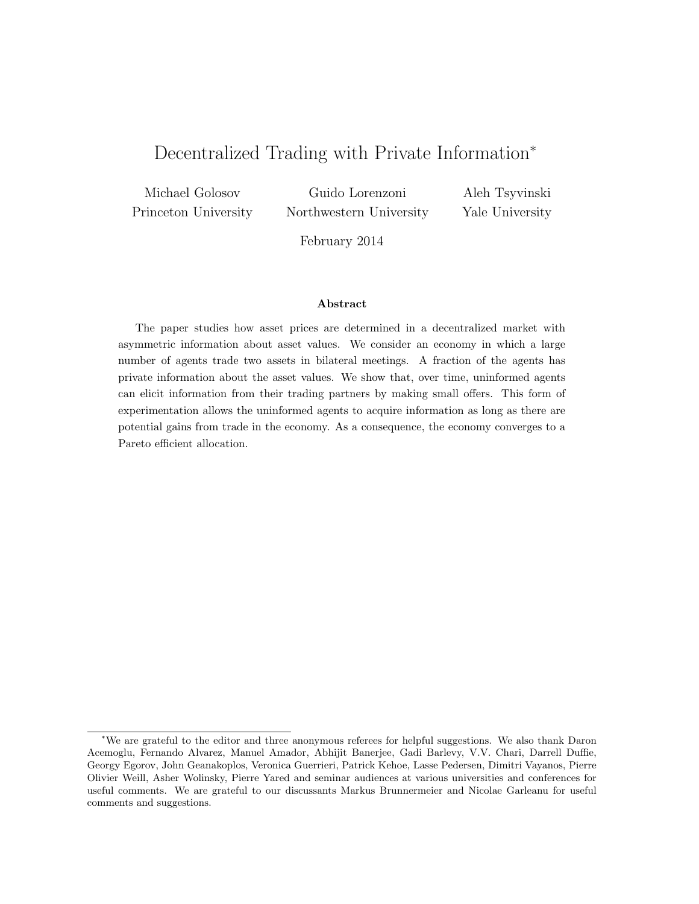# Decentralized Trading with Private Information<sup>∗</sup>

Michael Golosov Princeton University

Guido Lorenzoni Northwestern University

Aleh Tsyvinski Yale University

February 2014

#### Abstract

The paper studies how asset prices are determined in a decentralized market with asymmetric information about asset values. We consider an economy in which a large number of agents trade two assets in bilateral meetings. A fraction of the agents has private information about the asset values. We show that, over time, uninformed agents can elicit information from their trading partners by making small offers. This form of experimentation allows the uninformed agents to acquire information as long as there are potential gains from trade in the economy. As a consequence, the economy converges to a Pareto efficient allocation.

<sup>∗</sup>We are grateful to the editor and three anonymous referees for helpful suggestions. We also thank Daron Acemoglu, Fernando Alvarez, Manuel Amador, Abhijit Banerjee, Gadi Barlevy, V.V. Chari, Darrell Duffie, Georgy Egorov, John Geanakoplos, Veronica Guerrieri, Patrick Kehoe, Lasse Pedersen, Dimitri Vayanos, Pierre Olivier Weill, Asher Wolinsky, Pierre Yared and seminar audiences at various universities and conferences for useful comments. We are grateful to our discussants Markus Brunnermeier and Nicolae Garleanu for useful comments and suggestions.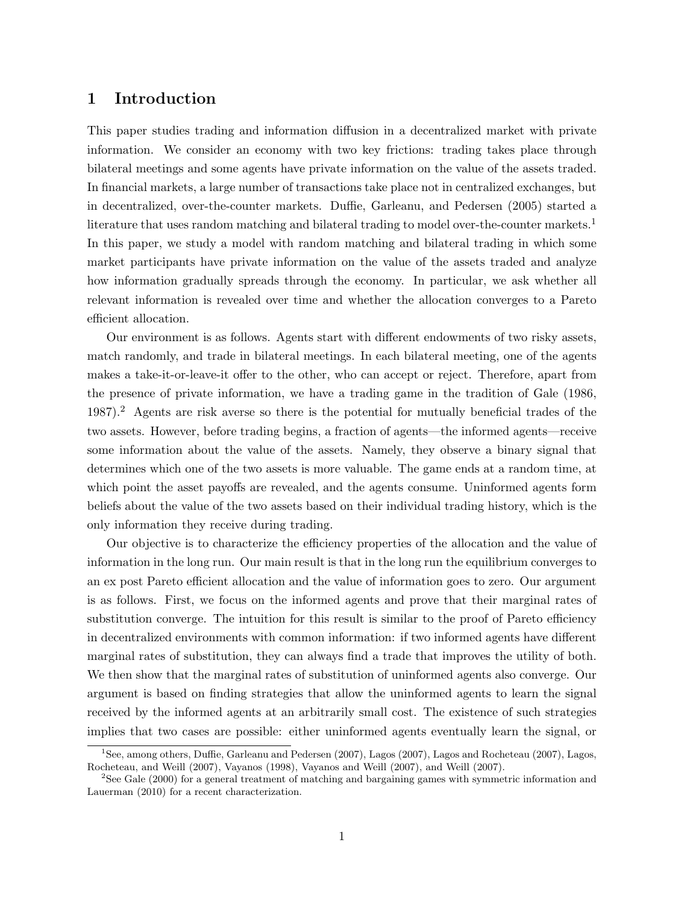# 1 Introduction

This paper studies trading and information diffusion in a decentralized market with private information. We consider an economy with two key frictions: trading takes place through bilateral meetings and some agents have private information on the value of the assets traded. In financial markets, a large number of transactions take place not in centralized exchanges, but in decentralized, over-the-counter markets. Duffie, Garleanu, and Pedersen (2005) started a literature that uses random matching and bilateral trading to model over-the-counter markets.<sup>1</sup> In this paper, we study a model with random matching and bilateral trading in which some market participants have private information on the value of the assets traded and analyze how information gradually spreads through the economy. In particular, we ask whether all relevant information is revealed over time and whether the allocation converges to a Pareto efficient allocation.

Our environment is as follows. Agents start with different endowments of two risky assets, match randomly, and trade in bilateral meetings. In each bilateral meeting, one of the agents makes a take-it-or-leave-it offer to the other, who can accept or reject. Therefore, apart from the presence of private information, we have a trading game in the tradition of Gale (1986, 1987).<sup>2</sup> Agents are risk averse so there is the potential for mutually beneficial trades of the two assets. However, before trading begins, a fraction of agents—the informed agents—receive some information about the value of the assets. Namely, they observe a binary signal that determines which one of the two assets is more valuable. The game ends at a random time, at which point the asset payoffs are revealed, and the agents consume. Uninformed agents form beliefs about the value of the two assets based on their individual trading history, which is the only information they receive during trading.

Our objective is to characterize the efficiency properties of the allocation and the value of information in the long run. Our main result is that in the long run the equilibrium converges to an ex post Pareto efficient allocation and the value of information goes to zero. Our argument is as follows. First, we focus on the informed agents and prove that their marginal rates of substitution converge. The intuition for this result is similar to the proof of Pareto efficiency in decentralized environments with common information: if two informed agents have different marginal rates of substitution, they can always find a trade that improves the utility of both. We then show that the marginal rates of substitution of uninformed agents also converge. Our argument is based on finding strategies that allow the uninformed agents to learn the signal received by the informed agents at an arbitrarily small cost. The existence of such strategies implies that two cases are possible: either uninformed agents eventually learn the signal, or

<sup>&</sup>lt;sup>1</sup>See, among others, Duffie, Garleanu and Pedersen (2007), Lagos (2007), Lagos and Rocheteau (2007), Lagos, Rocheteau, and Weill (2007), Vayanos (1998), Vayanos and Weill (2007), and Weill (2007).

<sup>&</sup>lt;sup>2</sup>See Gale (2000) for a general treatment of matching and bargaining games with symmetric information and Lauerman (2010) for a recent characterization.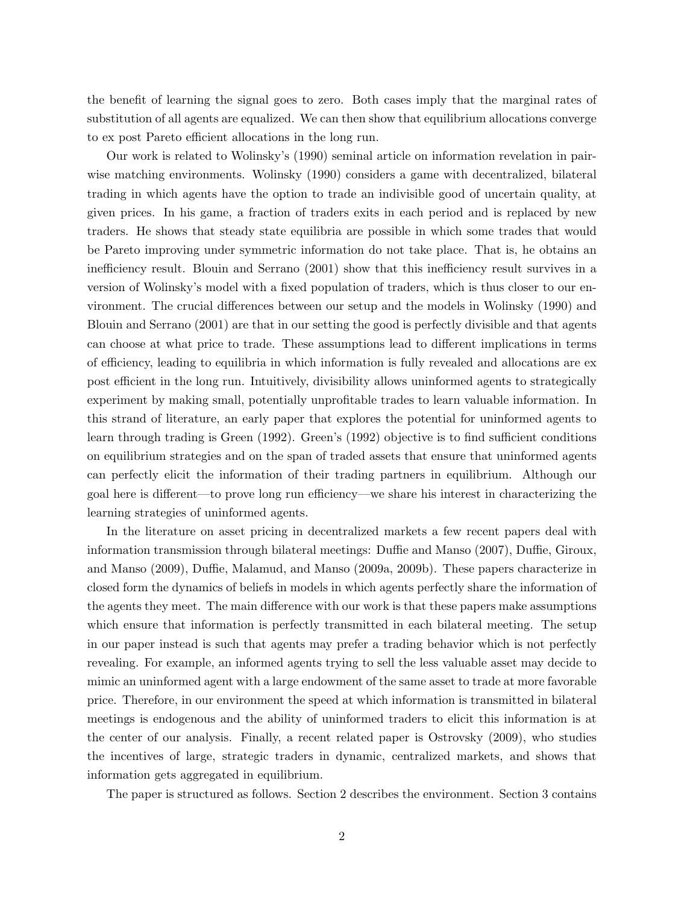the benefit of learning the signal goes to zero. Both cases imply that the marginal rates of substitution of all agents are equalized. We can then show that equilibrium allocations converge to ex post Pareto efficient allocations in the long run.

Our work is related to Wolinsky's (1990) seminal article on information revelation in pairwise matching environments. Wolinsky (1990) considers a game with decentralized, bilateral trading in which agents have the option to trade an indivisible good of uncertain quality, at given prices. In his game, a fraction of traders exits in each period and is replaced by new traders. He shows that steady state equilibria are possible in which some trades that would be Pareto improving under symmetric information do not take place. That is, he obtains an inefficiency result. Blouin and Serrano (2001) show that this inefficiency result survives in a version of Wolinsky's model with a fixed population of traders, which is thus closer to our environment. The crucial differences between our setup and the models in Wolinsky (1990) and Blouin and Serrano (2001) are that in our setting the good is perfectly divisible and that agents can choose at what price to trade. These assumptions lead to different implications in terms of efficiency, leading to equilibria in which information is fully revealed and allocations are ex post efficient in the long run. Intuitively, divisibility allows uninformed agents to strategically experiment by making small, potentially unprofitable trades to learn valuable information. In this strand of literature, an early paper that explores the potential for uninformed agents to learn through trading is Green (1992). Green's (1992) objective is to find sufficient conditions on equilibrium strategies and on the span of traded assets that ensure that uninformed agents can perfectly elicit the information of their trading partners in equilibrium. Although our goal here is different—to prove long run efficiency—we share his interest in characterizing the learning strategies of uninformed agents.

In the literature on asset pricing in decentralized markets a few recent papers deal with information transmission through bilateral meetings: Duffie and Manso (2007), Duffie, Giroux, and Manso (2009), Duffie, Malamud, and Manso (2009a, 2009b). These papers characterize in closed form the dynamics of beliefs in models in which agents perfectly share the information of the agents they meet. The main difference with our work is that these papers make assumptions which ensure that information is perfectly transmitted in each bilateral meeting. The setup in our paper instead is such that agents may prefer a trading behavior which is not perfectly revealing. For example, an informed agents trying to sell the less valuable asset may decide to mimic an uninformed agent with a large endowment of the same asset to trade at more favorable price. Therefore, in our environment the speed at which information is transmitted in bilateral meetings is endogenous and the ability of uninformed traders to elicit this information is at the center of our analysis. Finally, a recent related paper is Ostrovsky (2009), who studies the incentives of large, strategic traders in dynamic, centralized markets, and shows that information gets aggregated in equilibrium.

The paper is structured as follows. Section 2 describes the environment. Section 3 contains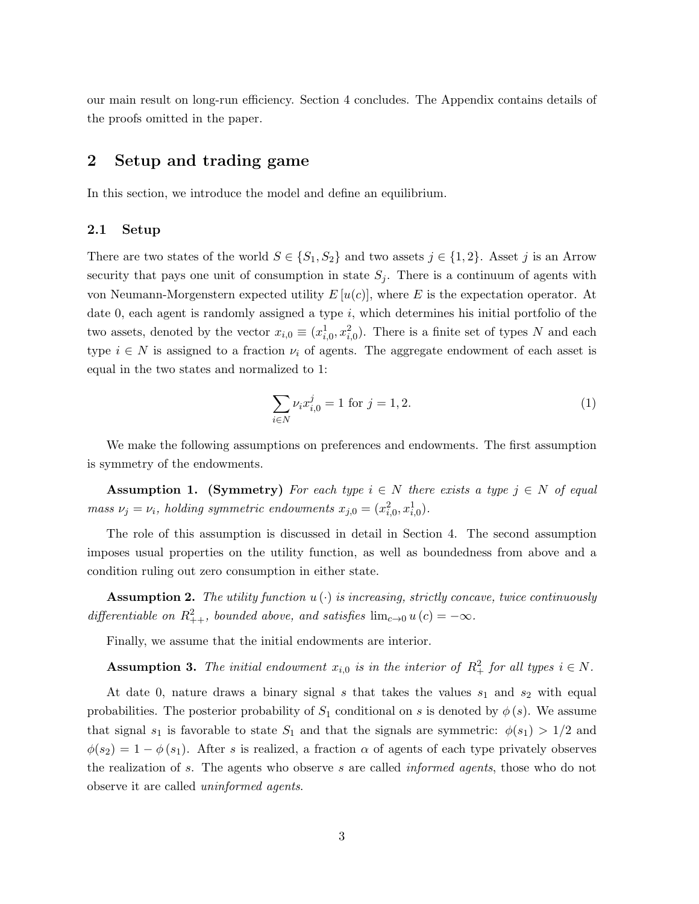our main result on long-run efficiency. Section 4 concludes. The Appendix contains details of the proofs omitted in the paper.

# 2 Setup and trading game

In this section, we introduce the model and define an equilibrium.

### 2.1 Setup

There are two states of the world  $S \in \{S_1, S_2\}$  and two assets  $j \in \{1, 2\}$ . Asset j is an Arrow security that pays one unit of consumption in state  $S_i$ . There is a continuum of agents with von Neumann-Morgenstern expected utility  $E[u(c)]$ , where E is the expectation operator. At date  $0$ , each agent is randomly assigned a type  $i$ , which determines his initial portfolio of the two assets, denoted by the vector  $x_{i,0} \equiv (x_{i,0}^1, x_{i,0}^2)$ . There is a finite set of types N and each type  $i \in N$  is assigned to a fraction  $\nu_i$  of agents. The aggregate endowment of each asset is equal in the two states and normalized to 1:

$$
\sum_{i \in N} \nu_i x_{i,0}^j = 1 \text{ for } j = 1, 2. \tag{1}
$$

We make the following assumptions on preferences and endowments. The first assumption is symmetry of the endowments.

**Assumption 1.** (Symmetry) For each type  $i \in N$  there exists a type  $j \in N$  of equal mass  $\nu_j = \nu_i$ , holding symmetric endowments  $x_{j,0} = (x_{i,0}^2, x_{i,0}^1)$ .

The role of this assumption is discussed in detail in Section 4. The second assumption imposes usual properties on the utility function, as well as boundedness from above and a condition ruling out zero consumption in either state.

**Assumption 2.** The utility function  $u(\cdot)$  is increasing, strictly concave, twice continuously differentiable on  $R_{++}^2$ , bounded above, and satisfies  $\lim_{c\to 0} u(c) = -\infty$ .

Finally, we assume that the initial endowments are interior.

**Assumption 3.** The initial endowment  $x_{i,0}$  is in the interior of  $R_+^2$  for all types  $i \in N$ .

At date 0, nature draws a binary signal s that takes the values  $s_1$  and  $s_2$  with equal probabilities. The posterior probability of  $S_1$  conditional on s is denoted by  $\phi(s)$ . We assume that signal  $s_1$  is favorable to state  $S_1$  and that the signals are symmetric:  $\phi(s_1) > 1/2$  and  $\phi(s_2) = 1 - \phi(s_1)$ . After s is realized, a fraction  $\alpha$  of agents of each type privately observes the realization of s. The agents who observe s are called informed agents, those who do not observe it are called uninformed agents.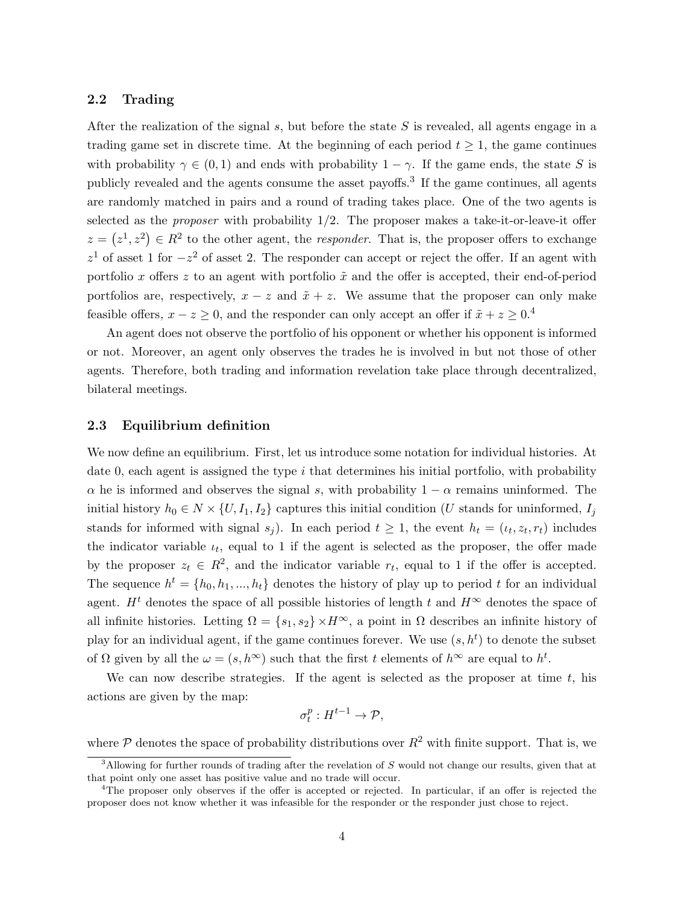### 2.2 Trading

After the realization of the signal s, but before the state  $S$  is revealed, all agents engage in a trading game set in discrete time. At the beginning of each period  $t \geq 1$ , the game continues with probability  $\gamma \in (0,1)$  and ends with probability  $1-\gamma$ . If the game ends, the state S is publicly revealed and the agents consume the asset payoffs.<sup>3</sup> If the game continues, all agents are randomly matched in pairs and a round of trading takes place. One of the two agents is selected as the *proposer* with probability  $1/2$ . The proposer makes a take-it-or-leave-it offer  $z = (z^1, z^2) \in R^2$  to the other agent, the *responder*. That is, the proposer offers to exchange  $z<sup>1</sup>$  of asset 1 for  $-z<sup>2</sup>$  of asset 2. The responder can accept or reject the offer. If an agent with portfolio x offers z to an agent with portfolio  $\tilde{x}$  and the offer is accepted, their end-of-period portfolios are, respectively,  $x - z$  and  $\tilde{x} + z$ . We assume that the proposer can only make feasible offers,  $x - z \geq 0$ , and the responder can only accept an offer if  $\tilde{x} + z \geq 0$ .<sup>4</sup>

An agent does not observe the portfolio of his opponent or whether his opponent is informed or not. Moreover, an agent only observes the trades he is involved in but not those of other agents. Therefore, both trading and information revelation take place through decentralized, bilateral meetings.

### 2.3 Equilibrium definition

We now define an equilibrium. First, let us introduce some notation for individual histories. At date 0, each agent is assigned the type  $i$  that determines his initial portfolio, with probability  $\alpha$  he is informed and observes the signal s, with probability  $1 - \alpha$  remains uninformed. The initial history  $h_0 \in N \times \{U, I_1, I_2\}$  captures this initial condition (U stands for uninformed,  $I_j$ stands for informed with signal  $s_j$ ). In each period  $t \geq 1$ , the event  $h_t = (t_t, z_t, r_t)$  includes the indicator variable  $u_t$ , equal to 1 if the agent is selected as the proposer, the offer made by the proposer  $z_t \in R^2$ , and the indicator variable  $r_t$ , equal to 1 if the offer is accepted. The sequence  $h^t = \{h_0, h_1, ..., h_t\}$  denotes the history of play up to period t for an individual agent.  $H<sup>t</sup>$  denotes the space of all possible histories of length t and  $H<sup>\infty</sup>$  denotes the space of all infinite histories. Letting  $\Omega = \{s_1, s_2\} \times H^\infty$ , a point in  $\Omega$  describes an infinite history of play for an individual agent, if the game continues forever. We use  $(s, h<sup>t</sup>)$  to denote the subset of  $\Omega$  given by all the  $\omega = (s, h^{\infty})$  such that the first t elements of  $h^{\infty}$  are equal to  $h^t$ .

We can now describe strategies. If the agent is selected as the proposer at time  $t$ , his actions are given by the map:

$$
\sigma_t^p : H^{t-1} \to \mathcal{P},
$$

where  $P$  denotes the space of probability distributions over  $R^2$  with finite support. That is, we

 $\frac{3}{3}$ Allowing for further rounds of trading after the revelation of S would not change our results, given that at that point only one asset has positive value and no trade will occur.

<sup>&</sup>lt;sup>4</sup>The proposer only observes if the offer is accepted or rejected. In particular, if an offer is rejected the proposer does not know whether it was infeasible for the responder or the responder just chose to reject.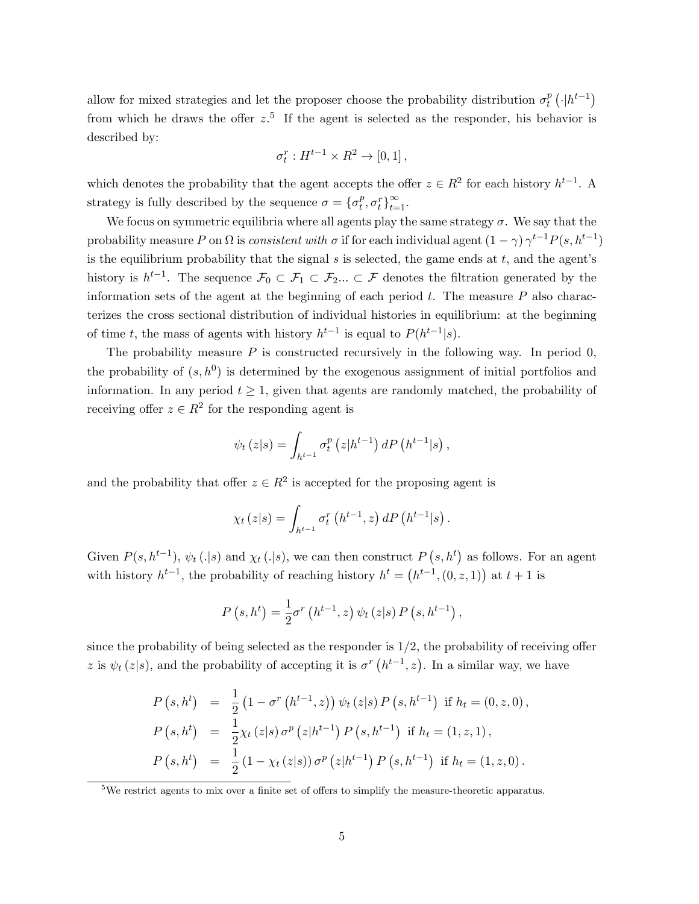allow for mixed strategies and let the proposer choose the probability distribution  $\sigma_t^p$  $_{t}^{p}(\cdot|h^{t-1})$ from which he draws the offer  $z^5$ . If the agent is selected as the responder, his behavior is described by:

$$
\sigma_t^r : H^{t-1} \times R^2 \to [0,1] \,,
$$

which denotes the probability that the agent accepts the offer  $z \in R^2$  for each history  $h^{t-1}$ . A strategy is fully described by the sequence  $\sigma = \{\sigma_t^p\}$  $_t^p, \sigma_t^r \}_{t=1}^\infty$ .

We focus on symmetric equilibria where all agents play the same strategy  $\sigma$ . We say that the probability measure P on  $\Omega$  is consistent with  $\sigma$  if for each individual agent  $(1 - \gamma) \gamma^{t-1} P(s, h^{t-1})$ is the equilibrium probability that the signal  $s$  is selected, the game ends at  $t$ , and the agent's history is  $h^{t-1}$ . The sequence  $\mathcal{F}_0 \subset \mathcal{F}_1 \subset \mathcal{F}_2... \subset \mathcal{F}$  denotes the filtration generated by the information sets of the agent at the beginning of each period  $t$ . The measure  $P$  also characterizes the cross sectional distribution of individual histories in equilibrium: at the beginning of time t, the mass of agents with history  $h^{t-1}$  is equal to  $P(h^{t-1}|s)$ .

The probability measure  $P$  is constructed recursively in the following way. In period 0, the probability of  $(s, h^0)$  is determined by the exogenous assignment of initial portfolios and information. In any period  $t \geq 1$ , given that agents are randomly matched, the probability of receiving offer  $z \in R^2$  for the responding agent is

$$
\psi_t(z|s) = \int_{h^{t-1}} \sigma_t^p(z|h^{t-1})\,dP\left(h^{t-1}|s\right),
$$

and the probability that offer  $z \in R^2$  is accepted for the proposing agent is

$$
\chi_t(z|s) = \int_{h^{t-1}} \sigma_t^r(h^{t-1}, z) \, dP(h^{t-1}|s) \, .
$$

Given  $P(s, h^{t-1}), \psi_t(.|s)$  and  $\chi_t(.|s)$ , we can then construct  $P(s, h^t)$  as follows. For an agent with history  $h^{t-1}$ , the probability of reaching history  $h^t = (h^{t-1}, (0, z, 1))$  at  $t + 1$  is

$$
P(s, h^{t}) = \frac{1}{2} \sigma^{r} (h^{t-1}, z) \psi_{t} (z|s) P (s, h^{t-1}),
$$

since the probability of being selected as the responder is  $1/2$ , the probability of receiving offer z is  $\psi_t(z|s)$ , and the probability of accepting it is  $\sigma^r(h^{t-1}, z)$ . In a similar way, we have

$$
P(s, h^{t}) = \frac{1}{2} (1 - \sigma^{r} (h^{t-1}, z)) \psi_{t}(z|s) P(s, h^{t-1}) \text{ if } h_{t} = (0, z, 0),
$$
  
\n
$$
P(s, h^{t}) = \frac{1}{2} \chi_{t}(z|s) \sigma^{p} (z|h^{t-1}) P(s, h^{t-1}) \text{ if } h_{t} = (1, z, 1),
$$
  
\n
$$
P(s, h^{t}) = \frac{1}{2} (1 - \chi_{t}(z|s)) \sigma^{p} (z|h^{t-1}) P(s, h^{t-1}) \text{ if } h_{t} = (1, z, 0).
$$

<sup>&</sup>lt;sup>5</sup>We restrict agents to mix over a finite set of offers to simplify the measure-theoretic apparatus.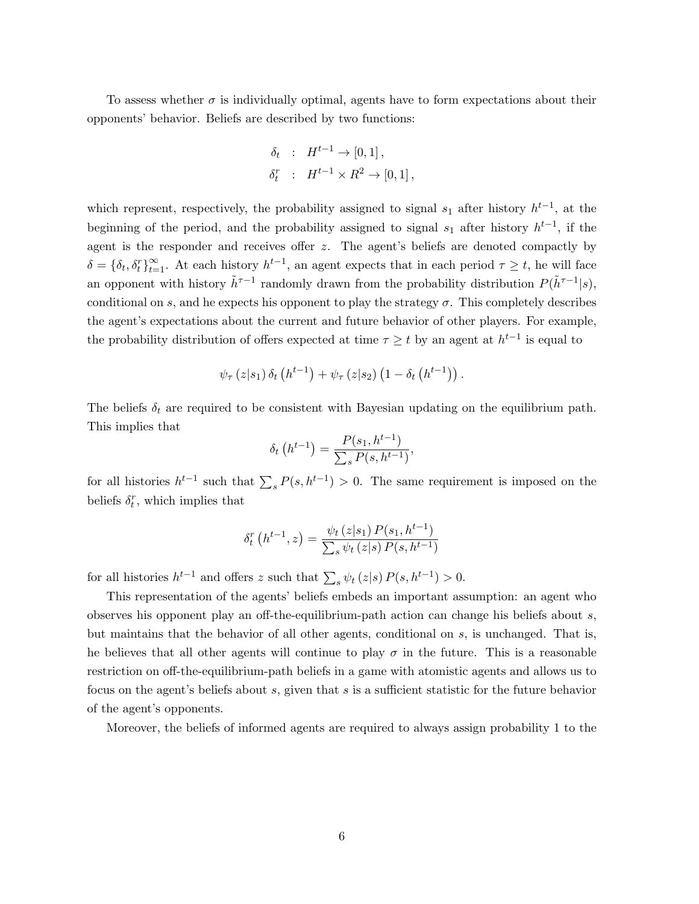To assess whether  $\sigma$  is individually optimal, agents have to form expectations about their opponents' behavior. Beliefs are described by two functions:

$$
\delta_t : H^{t-1} \to [0, 1], \n\delta_t^r : H^{t-1} \times R^2 \to [0, 1],
$$

which represent, respectively, the probability assigned to signal  $s_1$  after history  $h^{t-1}$ , at the beginning of the period, and the probability assigned to signal  $s_1$  after history  $h^{t-1}$ , if the agent is the responder and receives offer  $z$ . The agent's beliefs are denoted compactly by  $\delta = {\delta_t, \delta_t^r}_{t=1}^{\infty}$ . At each history  $h^{t-1}$ , an agent expects that in each period  $\tau \geq t$ , he will face an opponent with history  $\tilde{h}^{\tau-1}$  randomly drawn from the probability distribution  $P(\tilde{h}^{\tau-1}|s)$ , conditional on s, and he expects his opponent to play the strategy  $\sigma$ . This completely describes the agent's expectations about the current and future behavior of other players. For example, the probability distribution of offers expected at time  $\tau \geq t$  by an agent at  $h^{t-1}$  is equal to

$$
\psi_{\tau}(z|s_1) \delta_t(h^{t-1}) + \psi_{\tau}(z|s_2) (1 - \delta_t(h^{t-1})).
$$

The beliefs  $\delta_t$  are required to be consistent with Bayesian updating on the equilibrium path. This implies that

$$
\delta_t\left(h^{t-1}\right) = \frac{P(s_1, h^{t-1})}{\sum_s P(s, h^{t-1})},
$$

for all histories  $h^{t-1}$  such that  $\sum_{s} P(s, h^{t-1}) > 0$ . The same requirement is imposed on the beliefs  $\delta_t^r$ , which implies that

$$
\delta_t^r(h^{t-1}, z) = \frac{\psi_t(z|s_1) P(s_1, h^{t-1})}{\sum_s \psi_t(z|s) P(s, h^{t-1})}
$$

for all histories  $h^{t-1}$  and offers z such that  $\sum_s \psi_t(z|s) P(s, h^{t-1}) > 0$ .

This representation of the agents' beliefs embeds an important assumption: an agent who observes his opponent play an off-the-equilibrium-path action can change his beliefs about s, but maintains that the behavior of all other agents, conditional on s, is unchanged. That is, he believes that all other agents will continue to play  $\sigma$  in the future. This is a reasonable restriction on off-the-equilibrium-path beliefs in a game with atomistic agents and allows us to focus on the agent's beliefs about s, given that s is a sufficient statistic for the future behavior of the agent's opponents.

Moreover, the beliefs of informed agents are required to always assign probability 1 to the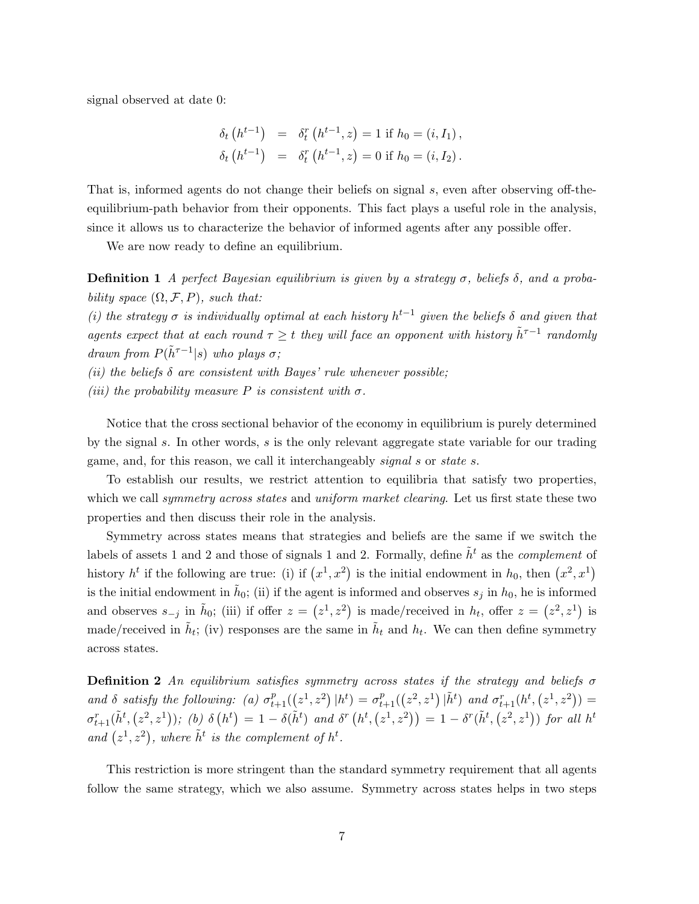signal observed at date 0:

$$
\begin{array}{rcl}\n\delta_t \left( h^{t-1} \right) & = & \delta_t^r \left( h^{t-1}, z \right) = 1 \text{ if } h_0 = (i, I_1), \\
\delta_t \left( h^{t-1} \right) & = & \delta_t^r \left( h^{t-1}, z \right) = 0 \text{ if } h_0 = (i, I_2).\n\end{array}
$$

That is, informed agents do not change their beliefs on signal s, even after observing off-theequilibrium-path behavior from their opponents. This fact plays a useful role in the analysis, since it allows us to characterize the behavior of informed agents after any possible offer.

We are now ready to define an equilibrium.

**Definition 1** A perfect Bayesian equilibrium is given by a strategy  $\sigma$ , beliefs  $\delta$ , and a probability space  $(\Omega, \mathcal{F}, P)$ , such that:

(i) the strategy  $\sigma$  is individually optimal at each history  $h^{t-1}$  given the beliefs  $\delta$  and given that agents expect that at each round  $\tau \geq t$  they will face an opponent with history  $\tilde{h}^{\tau-1}$  randomly drawn from  $P(\tilde{h}^{\tau-1}|s)$  who plays  $\sigma$ ;

(ii) the beliefs  $\delta$  are consistent with Bayes' rule whenever possible;

(iii) the probability measure P is consistent with  $\sigma$ .

Notice that the cross sectional behavior of the economy in equilibrium is purely determined by the signal s. In other words, s is the only relevant aggregate state variable for our trading game, and, for this reason, we call it interchangeably signal s or state s.

To establish our results, we restrict attention to equilibria that satisfy two properties, which we call *symmetry across states* and *uniform market clearing*. Let us first state these two properties and then discuss their role in the analysis.

Symmetry across states means that strategies and beliefs are the same if we switch the labels of assets 1 and 2 and those of signals 1 and 2. Formally, define  $\tilde{h}^t$  as the *complement* of history  $h^t$  if the following are true: (i) if  $(x^1, x^2)$  is the initial endowment in  $h_0$ , then  $(x^2, x^1)$ is the initial endowment in  $\tilde{h}_0$ ; (ii) if the agent is informed and observes  $s_j$  in  $h_0$ , he is informed and observes  $s_{-j}$  in  $\tilde{h}_0$ ; (iii) if offer  $z = (z^1, z^2)$  is made/received in  $h_t$ , offer  $z = (z^2, z^1)$  is made/received in  $\tilde{h}_t$ ; (iv) responses are the same in  $\tilde{h}_t$  and  $h_t$ . We can then define symmetry across states.

**Definition 2** An equilibrium satisfies symmetry across states if the strategy and beliefs  $\sigma$ and  $\delta$  satisfy the following: (a)  $\sigma_{t+1}^p((z^1, z^2) | h^t) = \sigma_{t+1}^p((z^2, z^1) | \tilde{h}^t)$  and  $\sigma_{t+1}^r(h^t, (z^1, z^2)) =$  $\sigma_{t+1}^r(\tilde{h}^t,(z^2,z^1));$  (b)  $\delta(h^t) = 1 - \delta(\tilde{h}^t)$  and  $\delta^r(h^t,(z^1,z^2)) = 1 - \delta^r(\tilde{h}^t,(z^2,z^1))$  for all  $h^t$ and  $(z^1, z^2)$ , where  $\tilde{h}^t$  is the complement of  $h^t$ .

This restriction is more stringent than the standard symmetry requirement that all agents follow the same strategy, which we also assume. Symmetry across states helps in two steps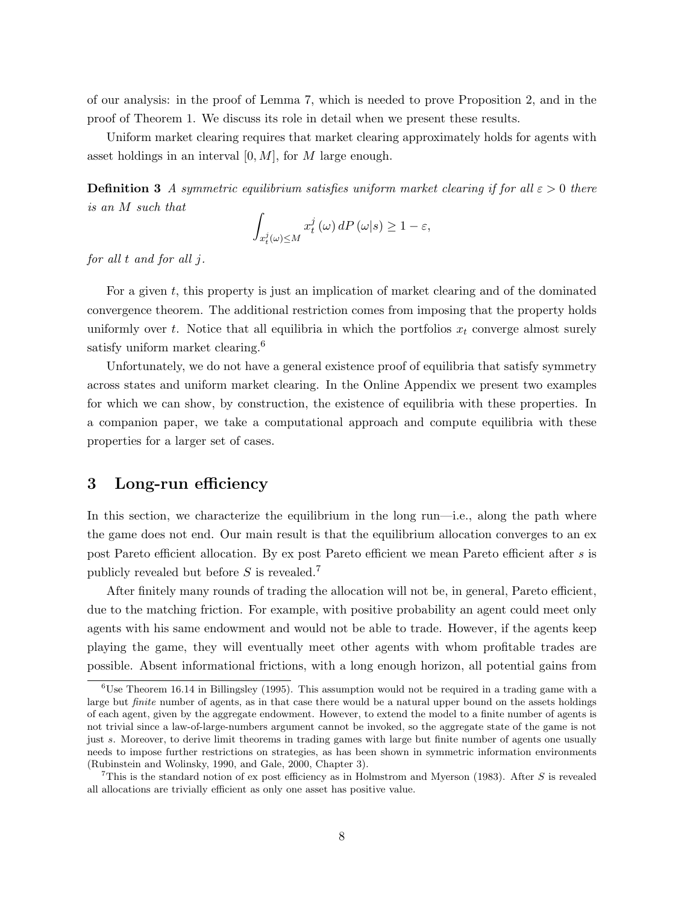of our analysis: in the proof of Lemma 7, which is needed to prove Proposition 2, and in the proof of Theorem 1. We discuss its role in detail when we present these results.

Uniform market clearing requires that market clearing approximately holds for agents with asset holdings in an interval  $[0, M]$ , for M large enough.

**Definition 3** A symmetric equilibrium satisfies uniform market clearing if for all  $\varepsilon > 0$  there is an M such that

$$
\int_{x_t^j(\omega)\leq M} x_t^j(\omega) dP(\omega|s) \geq 1-\varepsilon,
$$

for all t and for all j.

For a given t, this property is just an implication of market clearing and of the dominated convergence theorem. The additional restriction comes from imposing that the property holds uniformly over t. Notice that all equilibria in which the portfolios  $x_t$  converge almost surely satisfy uniform market clearing.<sup>6</sup>

Unfortunately, we do not have a general existence proof of equilibria that satisfy symmetry across states and uniform market clearing. In the Online Appendix we present two examples for which we can show, by construction, the existence of equilibria with these properties. In a companion paper, we take a computational approach and compute equilibria with these properties for a larger set of cases.

# 3 Long-run efficiency

In this section, we characterize the equilibrium in the long run—i.e., along the path where the game does not end. Our main result is that the equilibrium allocation converges to an ex post Pareto efficient allocation. By ex post Pareto efficient we mean Pareto efficient after s is publicly revealed but before  $S$  is revealed.<sup>7</sup>

After finitely many rounds of trading the allocation will not be, in general, Pareto efficient, due to the matching friction. For example, with positive probability an agent could meet only agents with his same endowment and would not be able to trade. However, if the agents keep playing the game, they will eventually meet other agents with whom profitable trades are possible. Absent informational frictions, with a long enough horizon, all potential gains from

 ${}^{6}$ Use Theorem 16.14 in Billingsley (1995). This assumption would not be required in a trading game with a large but finite number of agents, as in that case there would be a natural upper bound on the assets holdings of each agent, given by the aggregate endowment. However, to extend the model to a finite number of agents is not trivial since a law-of-large-numbers argument cannot be invoked, so the aggregate state of the game is not just s. Moreover, to derive limit theorems in trading games with large but finite number of agents one usually needs to impose further restrictions on strategies, as has been shown in symmetric information environments (Rubinstein and Wolinsky, 1990, and Gale, 2000, Chapter 3).

<sup>&</sup>lt;sup>7</sup>This is the standard notion of ex post efficiency as in Holmstrom and Myerson (1983). After S is revealed all allocations are trivially efficient as only one asset has positive value.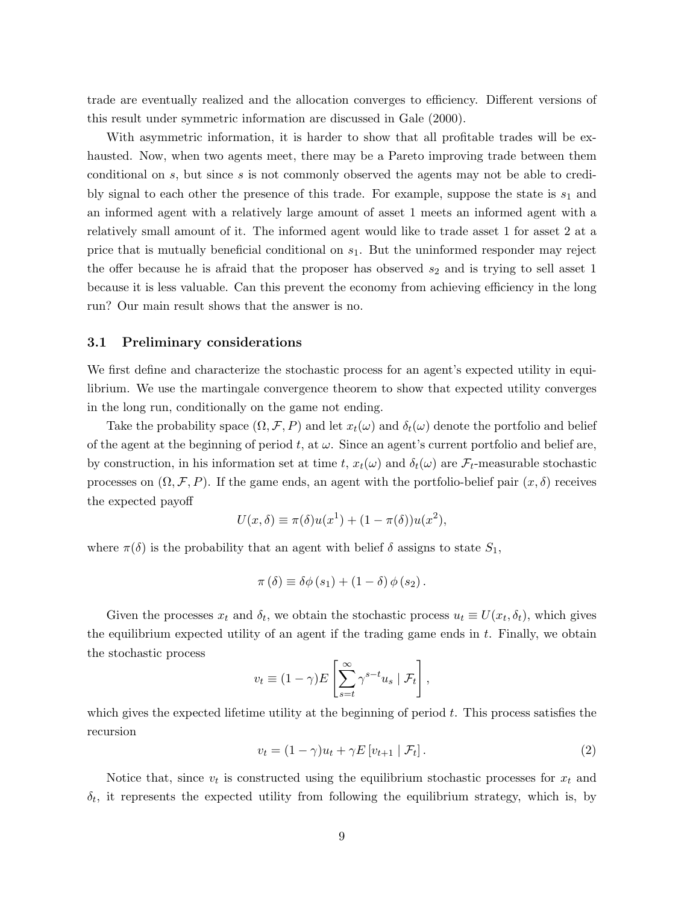trade are eventually realized and the allocation converges to efficiency. Different versions of this result under symmetric information are discussed in Gale (2000).

With asymmetric information, it is harder to show that all profitable trades will be exhausted. Now, when two agents meet, there may be a Pareto improving trade between them conditional on s, but since s is not commonly observed the agents may not be able to credibly signal to each other the presence of this trade. For example, suppose the state is  $s_1$  and an informed agent with a relatively large amount of asset 1 meets an informed agent with a relatively small amount of it. The informed agent would like to trade asset 1 for asset 2 at a price that is mutually beneficial conditional on  $s_1$ . But the uninformed responder may reject the offer because he is afraid that the proposer has observed  $s_2$  and is trying to sell asset 1 because it is less valuable. Can this prevent the economy from achieving efficiency in the long run? Our main result shows that the answer is no.

#### 3.1 Preliminary considerations

We first define and characterize the stochastic process for an agent's expected utility in equilibrium. We use the martingale convergence theorem to show that expected utility converges in the long run, conditionally on the game not ending.

Take the probability space  $(\Omega, \mathcal{F}, P)$  and let  $x_t(\omega)$  and  $\delta_t(\omega)$  denote the portfolio and belief of the agent at the beginning of period t, at  $\omega$ . Since an agent's current portfolio and belief are, by construction, in his information set at time t,  $x_t(\omega)$  and  $\delta_t(\omega)$  are  $\mathcal{F}_t$ -measurable stochastic processes on  $(\Omega, \mathcal{F}, P)$ . If the game ends, an agent with the portfolio-belief pair  $(x, \delta)$  receives the expected payoff

$$
U(x,\delta) \equiv \pi(\delta)u(x^{1}) + (1 - \pi(\delta))u(x^{2}),
$$

where  $\pi(\delta)$  is the probability that an agent with belief  $\delta$  assigns to state  $S_1$ ,

$$
\pi(\delta) \equiv \delta\phi(s_1) + (1-\delta)\phi(s_2).
$$

Given the processes  $x_t$  and  $\delta_t$ , we obtain the stochastic process  $u_t \equiv U(x_t, \delta_t)$ , which gives the equilibrium expected utility of an agent if the trading game ends in  $t$ . Finally, we obtain the stochastic process

$$
v_t \equiv (1 - \gamma) E \left[ \sum_{s=t}^{\infty} \gamma^{s-t} u_s \mid \mathcal{F}_t \right],
$$

which gives the expected lifetime utility at the beginning of period  $t$ . This process satisfies the recursion

$$
v_t = (1 - \gamma)u_t + \gamma E \left[ v_{t+1} \mid \mathcal{F}_t \right]. \tag{2}
$$

Notice that, since  $v_t$  is constructed using the equilibrium stochastic processes for  $x_t$  and  $\delta_t$ , it represents the expected utility from following the equilibrium strategy, which is, by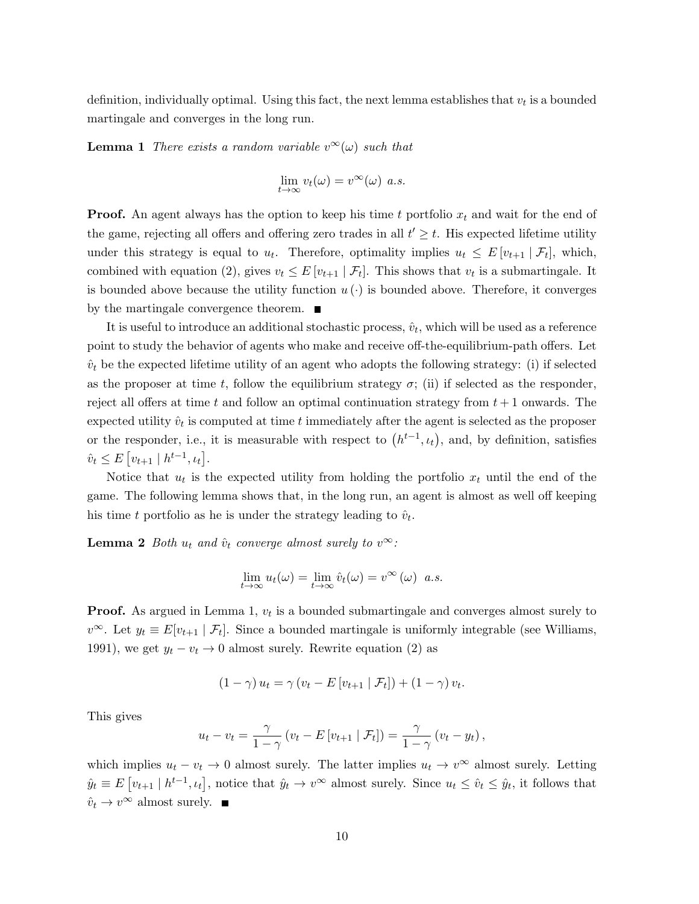definition, individually optimal. Using this fact, the next lemma establishes that  $v_t$  is a bounded martingale and converges in the long run.

**Lemma 1** There exists a random variable  $v^{\infty}(\omega)$  such that

$$
\lim_{t \to \infty} v_t(\omega) = v^{\infty}(\omega) \ a.s.
$$

**Proof.** An agent always has the option to keep his time t portfolio  $x_t$  and wait for the end of the game, rejecting all offers and offering zero trades in all  $t' \geq t$ . His expected lifetime utility under this strategy is equal to  $u_t$ . Therefore, optimality implies  $u_t \leq E[v_{t+1} | \mathcal{F}_t]$ , which, combined with equation (2), gives  $v_t \le E[v_{t+1} | \mathcal{F}_t]$ . This shows that  $v_t$  is a submartingale. It is bounded above because the utility function  $u(\cdot)$  is bounded above. Therefore, it converges by the martingale convergence theorem.  $\blacksquare$ 

It is useful to introduce an additional stochastic process,  $\hat{v}_t$ , which will be used as a reference point to study the behavior of agents who make and receive off-the-equilibrium-path offers. Let  $\hat{v}_t$  be the expected lifetime utility of an agent who adopts the following strategy: (i) if selected as the proposer at time t, follow the equilibrium strategy  $\sigma$ ; (ii) if selected as the responder, reject all offers at time t and follow an optimal continuation strategy from  $t + 1$  onwards. The expected utility  $\hat{v}_t$  is computed at time t immediately after the agent is selected as the proposer or the responder, i.e., it is measurable with respect to  $(h^{t-1}, \iota_t)$ , and, by definition, satisfies  $\hat{v}_t \le E \left[ v_{t+1} \mid h^{t-1}, \iota_t \right].$ 

Notice that  $u_t$  is the expected utility from holding the portfolio  $x_t$  until the end of the game. The following lemma shows that, in the long run, an agent is almost as well off keeping his time t portfolio as he is under the strategy leading to  $\hat{v}_t$ .

**Lemma 2** Both  $u_t$  and  $\hat{v}_t$  converge almost surely to  $v^{\infty}$ :

$$
\lim_{t \to \infty} u_t(\omega) = \lim_{t \to \infty} \hat{v}_t(\omega) = v^{\infty}(\omega) \quad a.s.
$$

**Proof.** As argued in Lemma 1,  $v_t$  is a bounded submartingale and converges almost surely to  $v^{\infty}$ . Let  $y_t \equiv E[v_{t+1} | \mathcal{F}_t]$ . Since a bounded martingale is uniformly integrable (see Williams, 1991), we get  $y_t - v_t \to 0$  almost surely. Rewrite equation (2) as

$$
(1 - \gamma) u_t = \gamma (v_t - E[v_{t+1} | \mathcal{F}_t]) + (1 - \gamma) v_t.
$$

This gives

$$
u_t - v_t = \frac{\gamma}{1 - \gamma} \left( v_t - E \left[ v_{t+1} \mid \mathcal{F}_t \right] \right) = \frac{\gamma}{1 - \gamma} \left( v_t - y_t \right),
$$

which implies  $u_t - v_t \to 0$  almost surely. The latter implies  $u_t \to v^\infty$  almost surely. Letting  $\hat{y}_t \equiv E[v_{t+1} | h^{t-1}, \iota_t],$  notice that  $\hat{y}_t \to v^\infty$  almost surely. Since  $u_t \leq \hat{v}_t \leq \hat{y}_t$ , it follows that  $\hat{v}_t \to v^{\infty}$  almost surely.  $\blacksquare$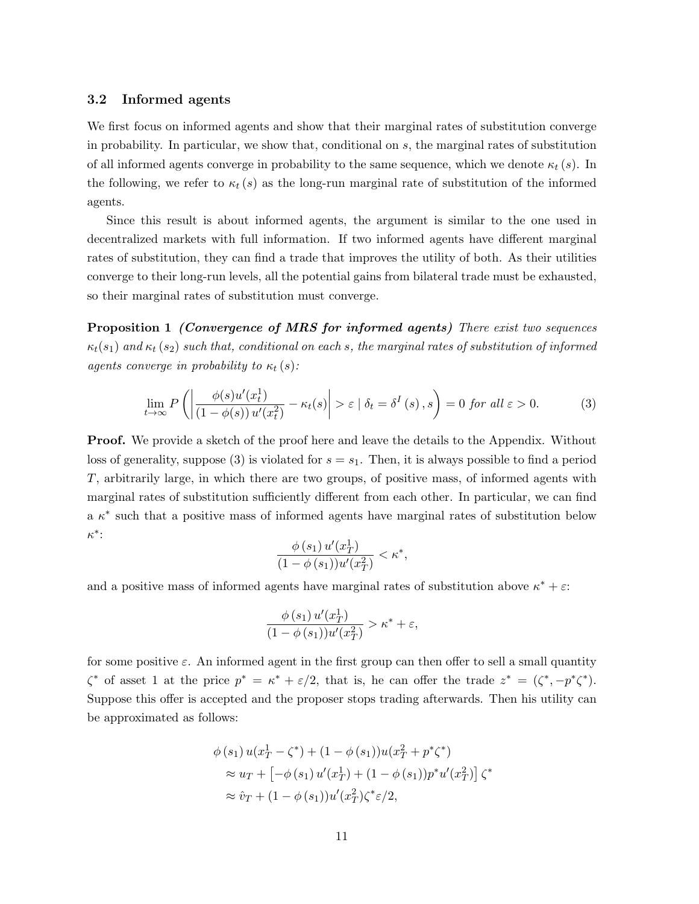#### 3.2 Informed agents

We first focus on informed agents and show that their marginal rates of substitution converge in probability. In particular, we show that, conditional on s, the marginal rates of substitution of all informed agents converge in probability to the same sequence, which we denote  $\kappa_t(s)$ . In the following, we refer to  $\kappa_t(s)$  as the long-run marginal rate of substitution of the informed agents.

Since this result is about informed agents, the argument is similar to the one used in decentralized markets with full information. If two informed agents have different marginal rates of substitution, they can find a trade that improves the utility of both. As their utilities converge to their long-run levels, all the potential gains from bilateral trade must be exhausted, so their marginal rates of substitution must converge.

Proposition 1 (Convergence of MRS for informed agents) There exist two sequences  $\kappa_t(s_1)$  and  $\kappa_t(s_2)$  such that, conditional on each s, the marginal rates of substitution of informed agents converge in probability to  $\kappa_t(s)$ :

$$
\lim_{t \to \infty} P\left( \left| \frac{\phi(s)u'(x_t^1)}{(1 - \phi(s))u'(x_t^2)} - \kappa_t(s) \right| > \varepsilon \left| \delta_t = \delta^I(s), s \right) = 0 \text{ for all } \varepsilon > 0. \tag{3}
$$

Proof. We provide a sketch of the proof here and leave the details to the Appendix. Without loss of generality, suppose (3) is violated for  $s = s<sub>1</sub>$ . Then, it is always possible to find a period T, arbitrarily large, in which there are two groups, of positive mass, of informed agents with marginal rates of substitution sufficiently different from each other. In particular, we can find a  $\kappa^*$  such that a positive mass of informed agents have marginal rates of substitution below  $\kappa^*$ :

$$
\frac{\phi(s_1) u'(x_T^1)}{(1-\phi(s_1))u'(x_T^2)} < \kappa^*,
$$

and a positive mass of informed agents have marginal rates of substitution above  $\kappa^* + \varepsilon$ .

$$
\frac{\phi(s_1) u'(x_T^1)}{(1 - \phi(s_1))u'(x_T^2)} > \kappa^* + \varepsilon,
$$

for some positive  $\varepsilon$ . An informed agent in the first group can then offer to sell a small quantity  $\zeta^*$  of asset 1 at the price  $p^* = \kappa^* + \varepsilon/2$ , that is, he can offer the trade  $z^* = (\zeta^*, -p^*\zeta^*).$ Suppose this offer is accepted and the proposer stops trading afterwards. Then his utility can be approximated as follows:

$$
\phi(s_1) u(x_T^1 - \zeta^*) + (1 - \phi(s_1))u(x_T^2 + p^*\zeta^*)
$$
  
\n
$$
\approx u_T + \left[ -\phi(s_1) u'(x_T^1) + (1 - \phi(s_1))p^*u'(x_T^2) \right] \zeta^*
$$
  
\n
$$
\approx \hat{v}_T + (1 - \phi(s_1))u'(x_T^2)\zeta^* \varepsilon/2,
$$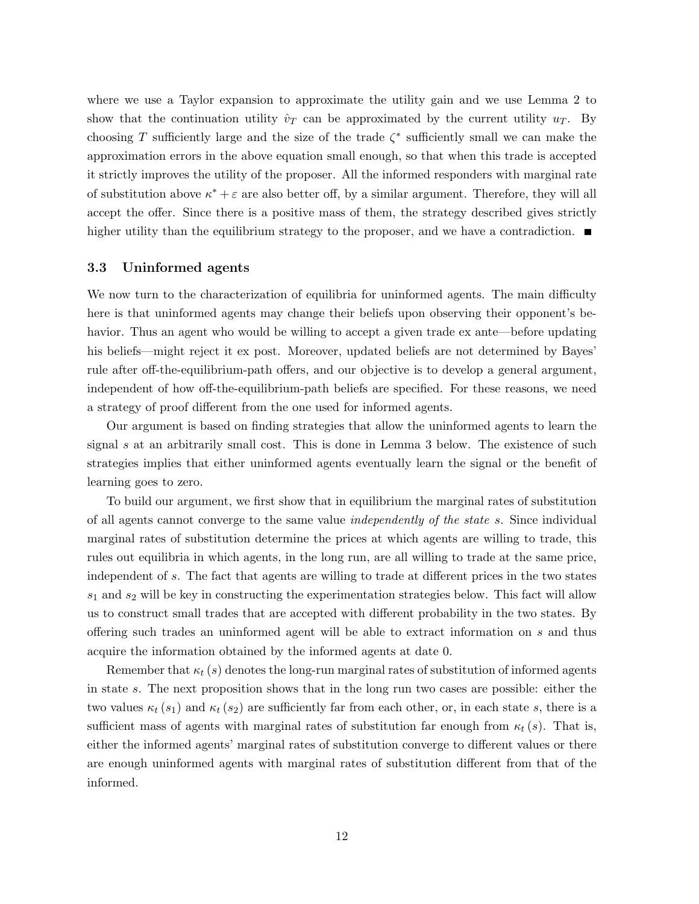where we use a Taylor expansion to approximate the utility gain and we use Lemma 2 to show that the continuation utility  $\hat{v}_T$  can be approximated by the current utility  $u_T$ . By choosing T sufficiently large and the size of the trade  $\zeta^*$  sufficiently small we can make the approximation errors in the above equation small enough, so that when this trade is accepted it strictly improves the utility of the proposer. All the informed responders with marginal rate of substitution above  $\kappa^* + \varepsilon$  are also better off, by a similar argument. Therefore, they will all accept the offer. Since there is a positive mass of them, the strategy described gives strictly higher utility than the equilibrium strategy to the proposer, and we have a contradiction.  $\blacksquare$ 

#### 3.3 Uninformed agents

We now turn to the characterization of equilibria for uninformed agents. The main difficulty here is that uninformed agents may change their beliefs upon observing their opponent's behavior. Thus an agent who would be willing to accept a given trade ex ante—before updating his beliefs—might reject it ex post. Moreover, updated beliefs are not determined by Bayes' rule after off-the-equilibrium-path offers, and our objective is to develop a general argument, independent of how off-the-equilibrium-path beliefs are specified. For these reasons, we need a strategy of proof different from the one used for informed agents.

Our argument is based on finding strategies that allow the uninformed agents to learn the signal  $s$  at an arbitrarily small cost. This is done in Lemma 3 below. The existence of such strategies implies that either uninformed agents eventually learn the signal or the benefit of learning goes to zero.

To build our argument, we first show that in equilibrium the marginal rates of substitution of all agents cannot converge to the same value independently of the state s. Since individual marginal rates of substitution determine the prices at which agents are willing to trade, this rules out equilibria in which agents, in the long run, are all willing to trade at the same price, independent of s. The fact that agents are willing to trade at different prices in the two states  $s_1$  and  $s_2$  will be key in constructing the experimentation strategies below. This fact will allow us to construct small trades that are accepted with different probability in the two states. By offering such trades an uninformed agent will be able to extract information on s and thus acquire the information obtained by the informed agents at date 0.

Remember that  $\kappa_t(s)$  denotes the long-run marginal rates of substitution of informed agents in state s. The next proposition shows that in the long run two cases are possible: either the two values  $\kappa_t(s_1)$  and  $\kappa_t(s_2)$  are sufficiently far from each other, or, in each state s, there is a sufficient mass of agents with marginal rates of substitution far enough from  $\kappa_t(s)$ . That is, either the informed agents' marginal rates of substitution converge to different values or there are enough uninformed agents with marginal rates of substitution different from that of the informed.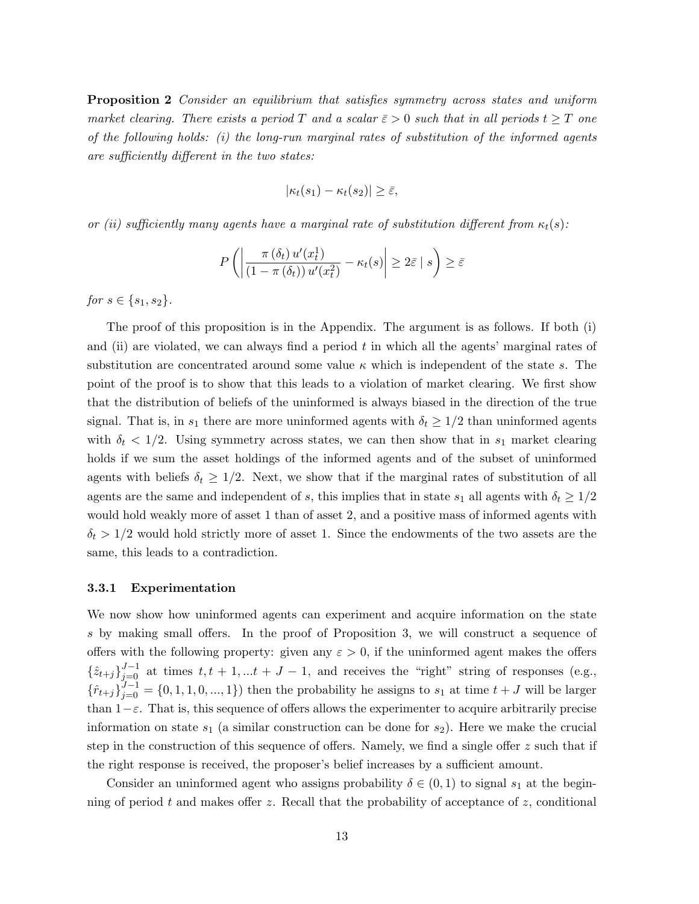Proposition 2 Consider an equilibrium that satisfies symmetry across states and uniform market clearing. There exists a period T and a scalar  $\bar{\varepsilon} > 0$  such that in all periods  $t \geq T$  one of the following holds: (i) the long-run marginal rates of substitution of the informed agents are sufficiently different in the two states:

$$
|\kappa_t(s_1) - \kappa_t(s_2)| \geq \bar{\varepsilon},
$$

or (ii) sufficiently many agents have a marginal rate of substitution different from  $\kappa_t(s)$ :

$$
P\left(\left|\frac{\pi(\delta_t) u'(x_t^1)}{(1-\pi(\delta_t)) u'(x_t^2)} - \kappa_t(s)\right| \geq 2\bar{\varepsilon} \mid s\right) \geq \bar{\varepsilon}
$$

for  $s \in \{s_1, s_2\}.$ 

The proof of this proposition is in the Appendix. The argument is as follows. If both (i) and (ii) are violated, we can always find a period  $t$  in which all the agents' marginal rates of substitution are concentrated around some value  $\kappa$  which is independent of the state s. The point of the proof is to show that this leads to a violation of market clearing. We first show that the distribution of beliefs of the uninformed is always biased in the direction of the true signal. That is, in  $s_1$  there are more uninformed agents with  $\delta_t \geq 1/2$  than uninformed agents with  $\delta_t$  < 1/2. Using symmetry across states, we can then show that in  $s_1$  market clearing holds if we sum the asset holdings of the informed agents and of the subset of uninformed agents with beliefs  $\delta_t \geq 1/2$ . Next, we show that if the marginal rates of substitution of all agents are the same and independent of s, this implies that in state  $s_1$  all agents with  $\delta_t \geq 1/2$ would hold weakly more of asset 1 than of asset 2, and a positive mass of informed agents with  $\delta_t > 1/2$  would hold strictly more of asset 1. Since the endowments of the two assets are the same, this leads to a contradiction.

#### 3.3.1 Experimentation

We now show how uninformed agents can experiment and acquire information on the state s by making small offers. In the proof of Proposition 3, we will construct a sequence of offers with the following property: given any  $\varepsilon > 0$ , if the uninformed agent makes the offers  $\{\hat{z}_{t+j}\}_{j=0}^{J-1}$  at times  $t, t+1, ...t+J-1$ , and receives the "right" string of responses (e.g.,  $\{\hat{r}_{t+j}\}_{j=0}^{J-1} = \{0, 1, 1, 0, ..., 1\}$  then the probability he assigns to  $s_1$  at time  $t+J$  will be larger than  $1-\varepsilon$ . That is, this sequence of offers allows the experimenter to acquire arbitrarily precise information on state  $s_1$  (a similar construction can be done for  $s_2$ ). Here we make the crucial step in the construction of this sequence of offers. Namely, we find a single offer  $z$  such that if the right response is received, the proposer's belief increases by a sufficient amount.

Consider an uninformed agent who assigns probability  $\delta \in (0,1)$  to signal  $s_1$  at the beginning of period  $t$  and makes offer  $z$ . Recall that the probability of acceptance of  $z$ , conditional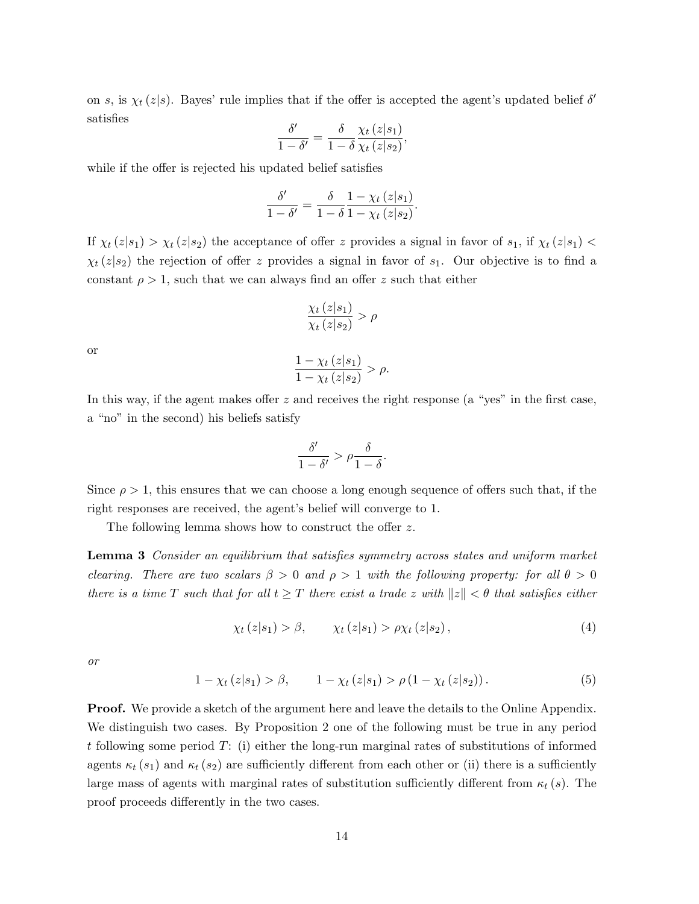on s, is  $\chi_t(z|s)$ . Bayes' rule implies that if the offer is accepted the agent's updated belief  $\delta'$ satisfies

$$
\frac{\delta'}{1-\delta'}=\frac{\delta}{1-\delta}\frac{\chi_t\left(z|s_1\right)}{\chi_t\left(z|s_2\right)},
$$

while if the offer is rejected his updated belief satisfies

$$
\frac{\delta'}{1-\delta'}=\frac{\delta}{1-\delta}\frac{1-\chi_t\left(z|s_1\right)}{1-\chi_t\left(z|s_2\right)}.
$$

If  $\chi_t(z|s_1) > \chi_t(z|s_2)$  the acceptance of offer z provides a signal in favor of  $s_1$ , if  $\chi_t(z|s_1)$  $\chi_t(z|s_2)$  the rejection of offer z provides a signal in favor of  $s_1$ . Our objective is to find a constant  $\rho > 1$ , such that we can always find an offer z such that either

$$
\frac{\chi_t(z|s_1)}{\chi_t(z|s_2)} > \rho
$$

or

$$
\frac{1 - \chi_t(z|s_1)}{1 - \chi_t(z|s_2)} > \rho.
$$

In this way, if the agent makes offer  $z$  and receives the right response (a "yes" in the first case, a "no" in the second) his beliefs satisfy

$$
\frac{\delta'}{1-\delta'} > \rho \frac{\delta}{1-\delta}.
$$

Since  $\rho > 1$ , this ensures that we can choose a long enough sequence of offers such that, if the right responses are received, the agent's belief will converge to 1.

The following lemma shows how to construct the offer z.

Lemma 3 Consider an equilibrium that satisfies symmetry across states and uniform market clearing. There are two scalars  $\beta > 0$  and  $\rho > 1$  with the following property: for all  $\theta > 0$ there is a time T such that for all  $t \geq T$  there exist a trade z with  $||z|| < \theta$  that satisfies either

$$
\chi_t(z|s_1) > \beta, \qquad \chi_t(z|s_1) > \rho \chi_t(z|s_2), \tag{4}
$$

or

$$
1 - \chi_t(z|s_1) > \beta, \qquad 1 - \chi_t(z|s_1) > \rho \left(1 - \chi_t(z|s_2)\right). \tag{5}
$$

Proof. We provide a sketch of the argument here and leave the details to the Online Appendix. We distinguish two cases. By Proposition 2 one of the following must be true in any period t following some period  $T$ : (i) either the long-run marginal rates of substitutions of informed agents  $\kappa_t(s_1)$  and  $\kappa_t(s_2)$  are sufficiently different from each other or (ii) there is a sufficiently large mass of agents with marginal rates of substitution sufficiently different from  $\kappa_t(s)$ . The proof proceeds differently in the two cases.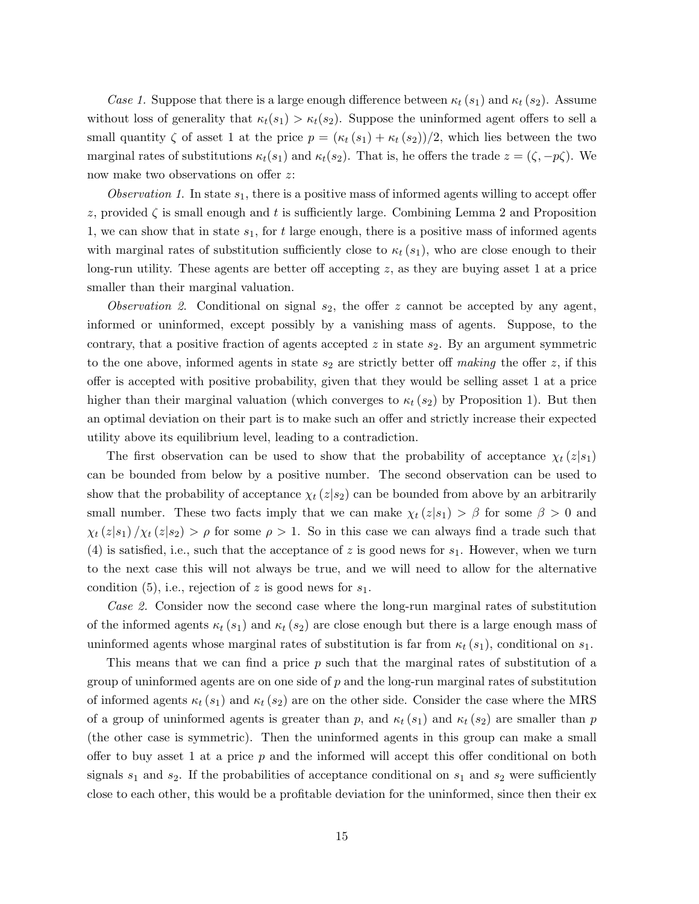Case 1. Suppose that there is a large enough difference between  $\kappa_t(s_1)$  and  $\kappa_t(s_2)$ . Assume without loss of generality that  $\kappa_t(s_1) > \kappa_t(s_2)$ . Suppose the uninformed agent offers to sell a small quantity  $\zeta$  of asset 1 at the price  $p = (\kappa_t(s_1) + \kappa_t(s_2))/2$ , which lies between the two marginal rates of substitutions  $\kappa_t(s_1)$  and  $\kappa_t(s_2)$ . That is, he offers the trade  $z = (\zeta, -p\zeta)$ . We now make two observations on offer z:

Observation 1. In state  $s_1$ , there is a positive mass of informed agents willing to accept offer z, provided  $\zeta$  is small enough and t is sufficiently large. Combining Lemma 2 and Proposition 1, we can show that in state  $s_1$ , for t large enough, there is a positive mass of informed agents with marginal rates of substitution sufficiently close to  $\kappa_t(s_1)$ , who are close enough to their long-run utility. These agents are better off accepting z, as they are buying asset 1 at a price smaller than their marginal valuation.

Observation 2. Conditional on signal  $s_2$ , the offer z cannot be accepted by any agent, informed or uninformed, except possibly by a vanishing mass of agents. Suppose, to the contrary, that a positive fraction of agents accepted  $z$  in state  $s_2$ . By an argument symmetric to the one above, informed agents in state  $s_2$  are strictly better off making the offer z, if this offer is accepted with positive probability, given that they would be selling asset 1 at a price higher than their marginal valuation (which converges to  $\kappa_t$  (s<sub>2</sub>) by Proposition 1). But then an optimal deviation on their part is to make such an offer and strictly increase their expected utility above its equilibrium level, leading to a contradiction.

The first observation can be used to show that the probability of acceptance  $\chi_t(z|s_1)$ can be bounded from below by a positive number. The second observation can be used to show that the probability of acceptance  $\chi_t(z|s_2)$  can be bounded from above by an arbitrarily small number. These two facts imply that we can make  $\chi_t(z|s_1) > \beta$  for some  $\beta > 0$  and  $\chi_t(z|s_1)/\chi_t(z|s_2) > \rho$  for some  $\rho > 1$ . So in this case we can always find a trade such that (4) is satisfied, i.e., such that the acceptance of z is good news for  $s_1$ . However, when we turn to the next case this will not always be true, and we will need to allow for the alternative condition (5), i.e., rejection of z is good news for  $s_1$ .

Case 2. Consider now the second case where the long-run marginal rates of substitution of the informed agents  $\kappa_t$  (s<sub>1</sub>) and  $\kappa_t$  (s<sub>2</sub>) are close enough but there is a large enough mass of uninformed agents whose marginal rates of substitution is far from  $\kappa_t(s_1)$ , conditional on  $s_1$ .

This means that we can find a price  $p$  such that the marginal rates of substitution of a group of uninformed agents are on one side of  $p$  and the long-run marginal rates of substitution of informed agents  $\kappa_t(s_1)$  and  $\kappa_t(s_2)$  are on the other side. Consider the case where the MRS of a group of uninformed agents is greater than p, and  $\kappa_t$  (s<sub>1</sub>) and  $\kappa_t$  (s<sub>2</sub>) are smaller than p (the other case is symmetric). Then the uninformed agents in this group can make a small offer to buy asset 1 at a price p and the informed will accept this offer conditional on both signals  $s_1$  and  $s_2$ . If the probabilities of acceptance conditional on  $s_1$  and  $s_2$  were sufficiently close to each other, this would be a profitable deviation for the uninformed, since then their ex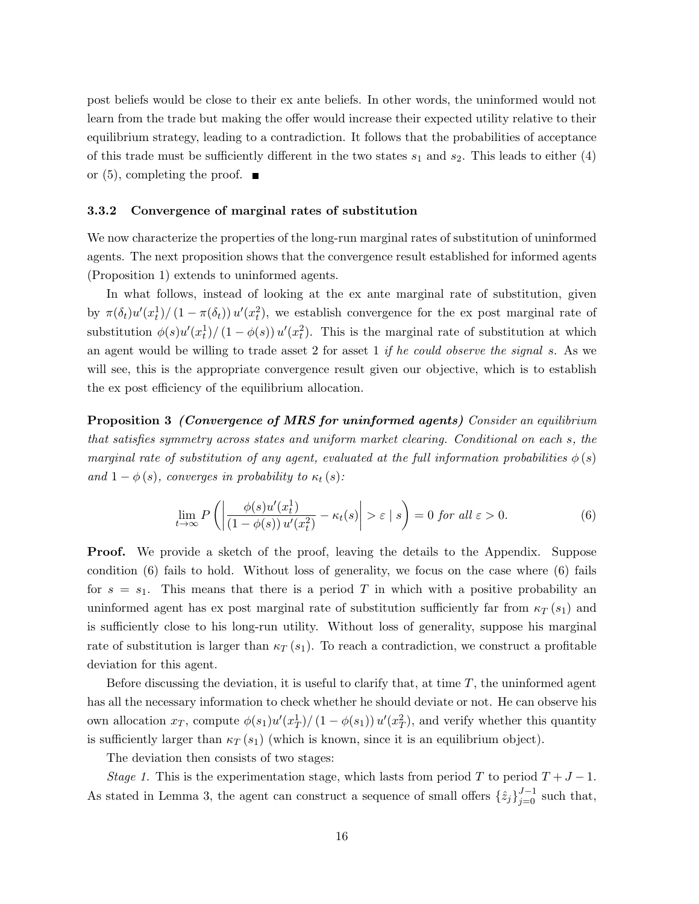post beliefs would be close to their ex ante beliefs. In other words, the uninformed would not learn from the trade but making the offer would increase their expected utility relative to their equilibrium strategy, leading to a contradiction. It follows that the probabilities of acceptance of this trade must be sufficiently different in the two states  $s_1$  and  $s_2$ . This leads to either (4) or  $(5)$ , completing the proof.

#### 3.3.2 Convergence of marginal rates of substitution

We now characterize the properties of the long-run marginal rates of substitution of uninformed agents. The next proposition shows that the convergence result established for informed agents (Proposition 1) extends to uninformed agents.

In what follows, instead of looking at the ex ante marginal rate of substitution, given by  $\pi(\delta_t)u'(x_t^1)/(1-\pi(\delta_t))u'(x_t^2)$ , we establish convergence for the ex post marginal rate of substitution  $\phi(s)u'(x_t^1)/(1-\phi(s))u'(x_t^2)$ . This is the marginal rate of substitution at which an agent would be willing to trade asset  $2$  for asset  $1$  if he could observe the signal  $s$ . As we will see, this is the appropriate convergence result given our objective, which is to establish the ex post efficiency of the equilibrium allocation.

Proposition 3 (Convergence of MRS for uninformed agents) Consider an equilibrium that satisfies symmetry across states and uniform market clearing. Conditional on each s, the marginal rate of substitution of any agent, evaluated at the full information probabilities  $\phi(s)$ and  $1 - \phi(s)$ , converges in probability to  $\kappa_t(s)$ :

$$
\lim_{t \to \infty} P\left( \left| \frac{\phi(s)u'(x_t^1)}{(1 - \phi(s))u'(x_t^2)} - \kappa_t(s) \right| > \varepsilon \mid s \right) = 0 \text{ for all } \varepsilon > 0.
$$
 (6)

**Proof.** We provide a sketch of the proof, leaving the details to the Appendix. Suppose condition (6) fails to hold. Without loss of generality, we focus on the case where (6) fails for  $s = s_1$ . This means that there is a period T in which with a positive probability an uninformed agent has ex post marginal rate of substitution sufficiently far from  $\kappa_T(s_1)$  and is sufficiently close to his long-run utility. Without loss of generality, suppose his marginal rate of substitution is larger than  $\kappa_T(s_1)$ . To reach a contradiction, we construct a profitable deviation for this agent.

Before discussing the deviation, it is useful to clarify that, at time  $T$ , the uninformed agent has all the necessary information to check whether he should deviate or not. He can observe his own allocation  $x_T$ , compute  $\phi(s_1)u'(x_T^1)/(1-\phi(s_1))u'(x_T^2)$ , and verify whether this quantity is sufficiently larger than  $\kappa_T(s_1)$  (which is known, since it is an equilibrium object).

The deviation then consists of two stages:

Stage 1. This is the experimentation stage, which lasts from period T to period  $T + J - 1$ . As stated in Lemma 3, the agent can construct a sequence of small offers  $\{\hat{z}_j\}_{j=0}^{J-1}$  such that,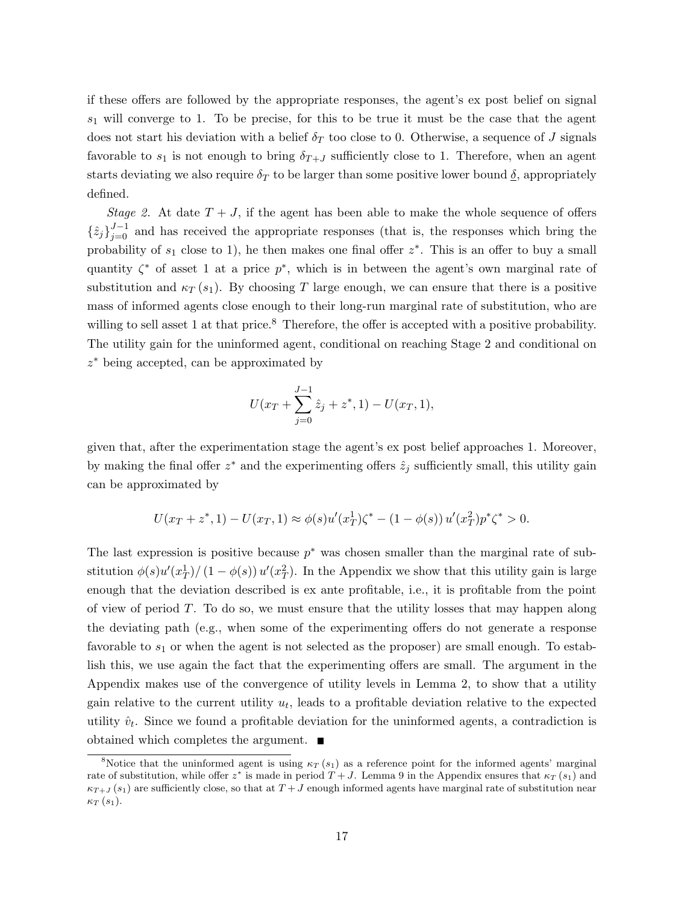if these offers are followed by the appropriate responses, the agent's ex post belief on signal  $s_1$  will converge to 1. To be precise, for this to be true it must be the case that the agent does not start his deviation with a belief  $\delta_T$  too close to 0. Otherwise, a sequence of J signals favorable to  $s_1$  is not enough to bring  $\delta_{T+J}$  sufficiently close to 1. Therefore, when an agent starts deviating we also require  $\delta_T$  to be larger than some positive lower bound  $\delta$ , appropriately defined.

Stage 2. At date  $T + J$ , if the agent has been able to make the whole sequence of offers  $\{\hat{z}_j\}_{j=0}^{J-1}$  and has received the appropriate responses (that is, the responses which bring the probability of  $s_1$  close to 1), he then makes one final offer  $z^*$ . This is an offer to buy a small quantity  $\zeta^*$  of asset 1 at a price  $p^*$ , which is in between the agent's own marginal rate of substitution and  $\kappa_T(s_1)$ . By choosing T large enough, we can ensure that there is a positive mass of informed agents close enough to their long-run marginal rate of substitution, who are willing to sell asset 1 at that price.<sup>8</sup> Therefore, the offer is accepted with a positive probability. The utility gain for the uninformed agent, conditional on reaching Stage 2 and conditional on z <sup>∗</sup> being accepted, can be approximated by

$$
U(x_T + \sum_{j=0}^{J-1} \hat{z}_j + z^*, 1) - U(x_T, 1),
$$

given that, after the experimentation stage the agent's ex post belief approaches 1. Moreover, by making the final offer  $z^*$  and the experimenting offers  $\hat{z}_j$  sufficiently small, this utility gain can be approximated by

$$
U(x_T + z^*, 1) - U(x_T, 1) \approx \phi(s)u'(x_T^1)\zeta^* - (1 - \phi(s))u'(x_T^2)p^*\zeta^* > 0.
$$

The last expression is positive because  $p^*$  was chosen smaller than the marginal rate of substitution  $\phi(s)u'(x_T^1)/(1-\phi(s))u'(x_T^2)$ . In the Appendix we show that this utility gain is large enough that the deviation described is ex ante profitable, i.e., it is profitable from the point of view of period  $T$ . To do so, we must ensure that the utility losses that may happen along the deviating path (e.g., when some of the experimenting offers do not generate a response favorable to  $s_1$  or when the agent is not selected as the proposer) are small enough. To establish this, we use again the fact that the experimenting offers are small. The argument in the Appendix makes use of the convergence of utility levels in Lemma 2, to show that a utility gain relative to the current utility  $u_t$ , leads to a profitable deviation relative to the expected utility  $\hat{v}_t$ . Since we found a profitable deviation for the uninformed agents, a contradiction is obtained which completes the argument.

<sup>&</sup>lt;sup>8</sup>Notice that the uninformed agent is using  $\kappa_T(s_1)$  as a reference point for the informed agents' marginal rate of substitution, while offer  $z^*$  is made in period  $T+J$ . Lemma 9 in the Appendix ensures that  $\kappa_T(s_1)$  and  $\kappa_{T+J}(s_1)$  are sufficiently close, so that at  $T+J$  enough informed agents have marginal rate of substitution near  $\kappa_T(s_1)$ .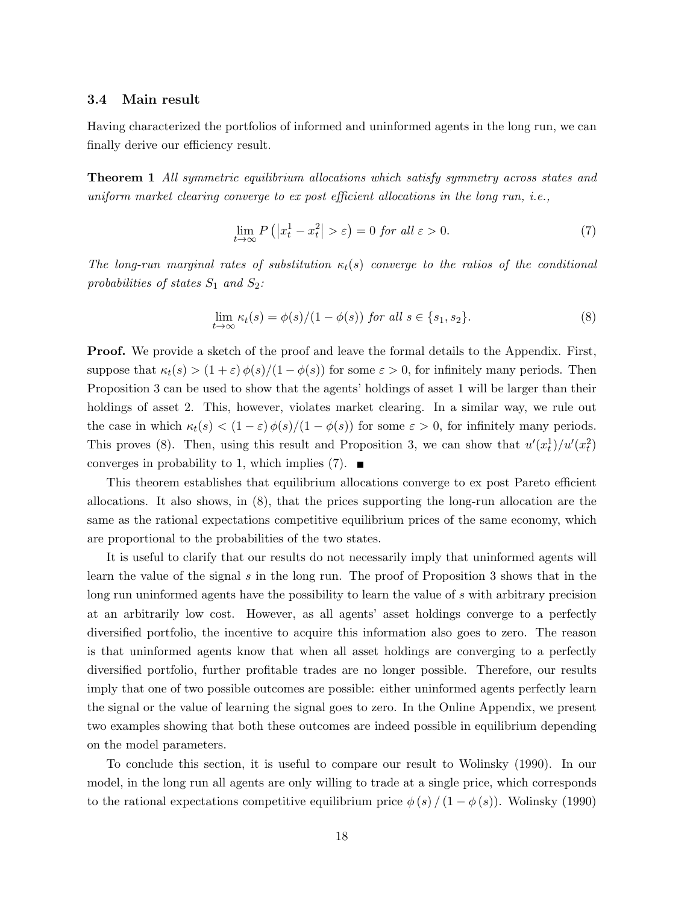#### 3.4 Main result

Having characterized the portfolios of informed and uninformed agents in the long run, we can finally derive our efficiency result.

Theorem 1 All symmetric equilibrium allocations which satisfy symmetry across states and uniform market clearing converge to ex post efficient allocations in the long run, *i.e.*,

$$
\lim_{t \to \infty} P\left(|x_t^1 - x_t^2| > \varepsilon\right) = 0 \text{ for all } \varepsilon > 0. \tag{7}
$$

The long-run marginal rates of substitution  $\kappa_t(s)$  converge to the ratios of the conditional probabilities of states  $S_1$  and  $S_2$ :

$$
\lim_{t \to \infty} \kappa_t(s) = \phi(s)/(1 - \phi(s)) \text{ for all } s \in \{s_1, s_2\}. \tag{8}
$$

Proof. We provide a sketch of the proof and leave the formal details to the Appendix. First, suppose that  $\kappa_t(s) > (1+\varepsilon) \phi(s)/(1-\phi(s))$  for some  $\varepsilon > 0$ , for infinitely many periods. Then Proposition 3 can be used to show that the agents' holdings of asset 1 will be larger than their holdings of asset 2. This, however, violates market clearing. In a similar way, we rule out the case in which  $\kappa_t(s) < (1 - \varepsilon) \phi(s)/(1 - \phi(s))$  for some  $\varepsilon > 0$ , for infinitely many periods. This proves (8). Then, using this result and Proposition 3, we can show that  $u'(x_t^1)/u'(x_t^2)$ converges in probability to 1, which implies (7).  $\blacksquare$ 

This theorem establishes that equilibrium allocations converge to ex post Pareto efficient allocations. It also shows, in (8), that the prices supporting the long-run allocation are the same as the rational expectations competitive equilibrium prices of the same economy, which are proportional to the probabilities of the two states.

It is useful to clarify that our results do not necessarily imply that uninformed agents will learn the value of the signal s in the long run. The proof of Proposition 3 shows that in the long run uninformed agents have the possibility to learn the value of s with arbitrary precision at an arbitrarily low cost. However, as all agents' asset holdings converge to a perfectly diversified portfolio, the incentive to acquire this information also goes to zero. The reason is that uninformed agents know that when all asset holdings are converging to a perfectly diversified portfolio, further profitable trades are no longer possible. Therefore, our results imply that one of two possible outcomes are possible: either uninformed agents perfectly learn the signal or the value of learning the signal goes to zero. In the Online Appendix, we present two examples showing that both these outcomes are indeed possible in equilibrium depending on the model parameters.

To conclude this section, it is useful to compare our result to Wolinsky (1990). In our model, in the long run all agents are only willing to trade at a single price, which corresponds to the rational expectations competitive equilibrium price  $\phi(s) / (1 - \phi(s))$ . Wolinsky (1990)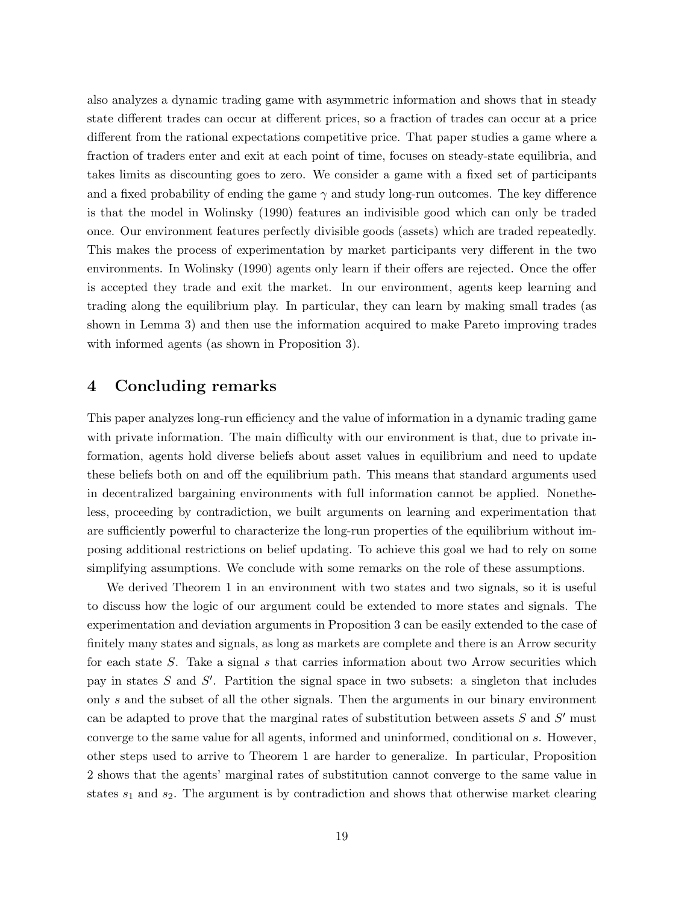also analyzes a dynamic trading game with asymmetric information and shows that in steady state different trades can occur at different prices, so a fraction of trades can occur at a price different from the rational expectations competitive price. That paper studies a game where a fraction of traders enter and exit at each point of time, focuses on steady-state equilibria, and takes limits as discounting goes to zero. We consider a game with a fixed set of participants and a fixed probability of ending the game  $\gamma$  and study long-run outcomes. The key difference is that the model in Wolinsky (1990) features an indivisible good which can only be traded once. Our environment features perfectly divisible goods (assets) which are traded repeatedly. This makes the process of experimentation by market participants very different in the two environments. In Wolinsky (1990) agents only learn if their offers are rejected. Once the offer is accepted they trade and exit the market. In our environment, agents keep learning and trading along the equilibrium play. In particular, they can learn by making small trades (as shown in Lemma 3) and then use the information acquired to make Pareto improving trades with informed agents (as shown in Proposition 3).

### 4 Concluding remarks

This paper analyzes long-run efficiency and the value of information in a dynamic trading game with private information. The main difficulty with our environment is that, due to private information, agents hold diverse beliefs about asset values in equilibrium and need to update these beliefs both on and off the equilibrium path. This means that standard arguments used in decentralized bargaining environments with full information cannot be applied. Nonetheless, proceeding by contradiction, we built arguments on learning and experimentation that are sufficiently powerful to characterize the long-run properties of the equilibrium without imposing additional restrictions on belief updating. To achieve this goal we had to rely on some simplifying assumptions. We conclude with some remarks on the role of these assumptions.

We derived Theorem 1 in an environment with two states and two signals, so it is useful to discuss how the logic of our argument could be extended to more states and signals. The experimentation and deviation arguments in Proposition 3 can be easily extended to the case of finitely many states and signals, as long as markets are complete and there is an Arrow security for each state S. Take a signal s that carries information about two Arrow securities which pay in states  $S$  and  $S'$ . Partition the signal space in two subsets: a singleton that includes only s and the subset of all the other signals. Then the arguments in our binary environment can be adapted to prove that the marginal rates of substitution between assets  $S$  and  $S'$  must converge to the same value for all agents, informed and uninformed, conditional on s. However, other steps used to arrive to Theorem 1 are harder to generalize. In particular, Proposition 2 shows that the agents' marginal rates of substitution cannot converge to the same value in states  $s_1$  and  $s_2$ . The argument is by contradiction and shows that otherwise market clearing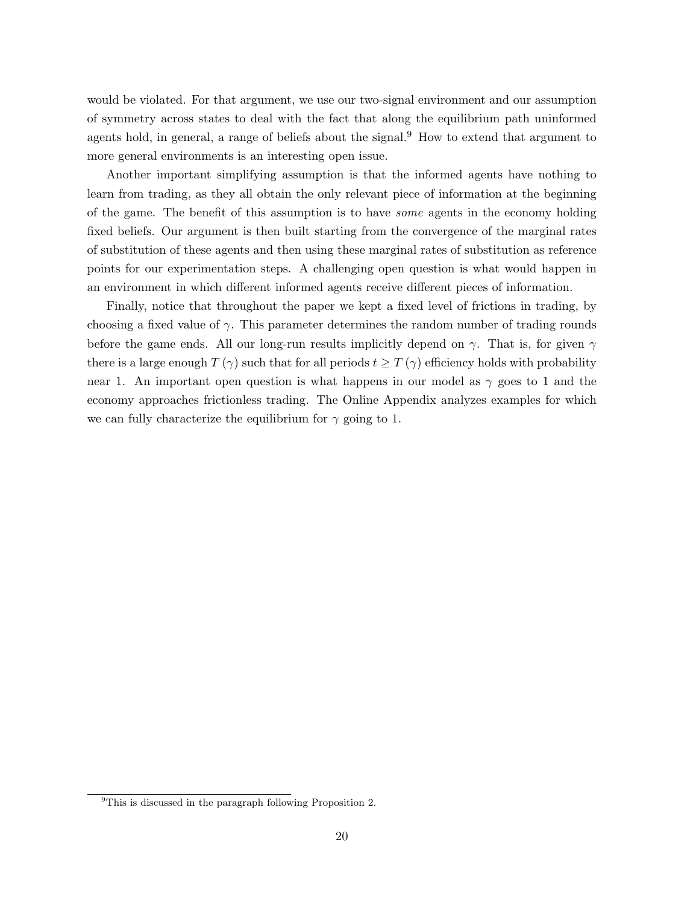would be violated. For that argument, we use our two-signal environment and our assumption of symmetry across states to deal with the fact that along the equilibrium path uninformed agents hold, in general, a range of beliefs about the signal.<sup>9</sup> How to extend that argument to more general environments is an interesting open issue.

Another important simplifying assumption is that the informed agents have nothing to learn from trading, as they all obtain the only relevant piece of information at the beginning of the game. The benefit of this assumption is to have some agents in the economy holding fixed beliefs. Our argument is then built starting from the convergence of the marginal rates of substitution of these agents and then using these marginal rates of substitution as reference points for our experimentation steps. A challenging open question is what would happen in an environment in which different informed agents receive different pieces of information.

Finally, notice that throughout the paper we kept a fixed level of frictions in trading, by choosing a fixed value of  $\gamma$ . This parameter determines the random number of trading rounds before the game ends. All our long-run results implicitly depend on  $\gamma$ . That is, for given  $\gamma$ there is a large enough  $T(\gamma)$  such that for all periods  $t \geq T(\gamma)$  efficiency holds with probability near 1. An important open question is what happens in our model as  $\gamma$  goes to 1 and the economy approaches frictionless trading. The Online Appendix analyzes examples for which we can fully characterize the equilibrium for  $\gamma$  going to 1.

<sup>&</sup>lt;sup>9</sup>This is discussed in the paragraph following Proposition 2.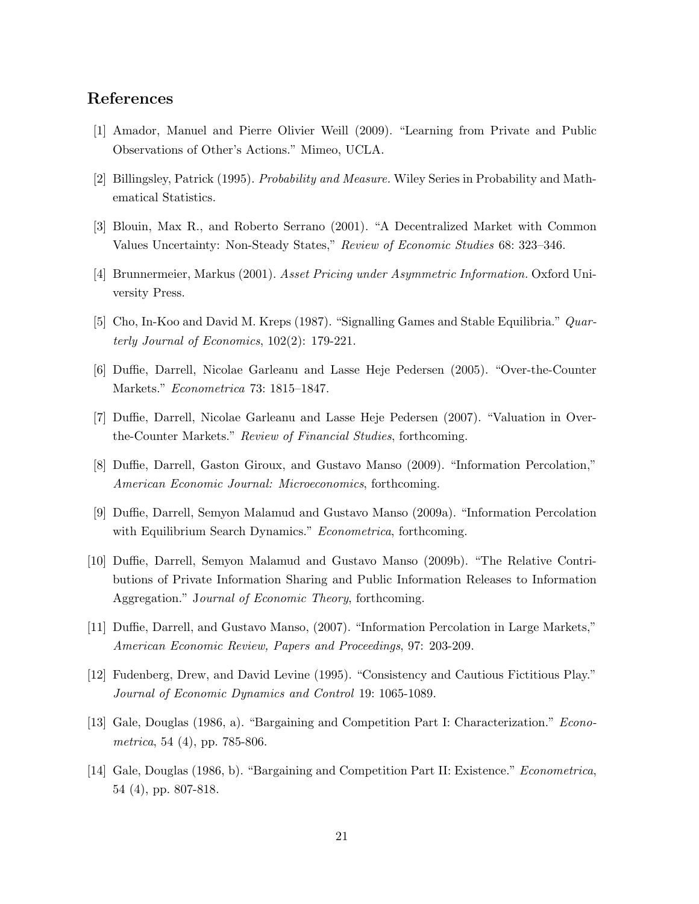## References

- [1] Amador, Manuel and Pierre Olivier Weill (2009). "Learning from Private and Public Observations of Other's Actions." Mimeo, UCLA.
- [2] Billingsley, Patrick (1995). Probability and Measure. Wiley Series in Probability and Mathematical Statistics.
- [3] Blouin, Max R., and Roberto Serrano (2001). "A Decentralized Market with Common Values Uncertainty: Non-Steady States," Review of Economic Studies 68: 323–346.
- [4] Brunnermeier, Markus (2001). Asset Pricing under Asymmetric Information. Oxford University Press.
- [5] Cho, In-Koo and David M. Kreps (1987). "Signalling Games and Stable Equilibria." Quarterly Journal of Economics, 102(2): 179-221.
- [6] Duffie, Darrell, Nicolae Garleanu and Lasse Heje Pedersen (2005). "Over-the-Counter Markets." Econometrica 73: 1815–1847.
- [7] Duffie, Darrell, Nicolae Garleanu and Lasse Heje Pedersen (2007). "Valuation in Overthe-Counter Markets." Review of Financial Studies, forthcoming.
- [8] Duffie, Darrell, Gaston Giroux, and Gustavo Manso (2009). "Information Percolation," American Economic Journal: Microeconomics, forthcoming.
- [9] Duffie, Darrell, Semyon Malamud and Gustavo Manso (2009a). "Information Percolation with Equilibrium Search Dynamics." *Econometrica*, forthcoming.
- [10] Duffie, Darrell, Semyon Malamud and Gustavo Manso (2009b). "The Relative Contributions of Private Information Sharing and Public Information Releases to Information Aggregation." Journal of Economic Theory, forthcoming.
- [11] Duffie, Darrell, and Gustavo Manso, (2007). "Information Percolation in Large Markets," American Economic Review, Papers and Proceedings, 97: 203-209.
- [12] Fudenberg, Drew, and David Levine (1995). "Consistency and Cautious Fictitious Play." Journal of Economic Dynamics and Control 19: 1065-1089.
- [13] Gale, Douglas (1986, a). "Bargaining and Competition Part I: Characterization." Econometrica, 54 (4), pp. 785-806.
- [14] Gale, Douglas (1986, b). "Bargaining and Competition Part II: Existence." Econometrica, 54 (4), pp. 807-818.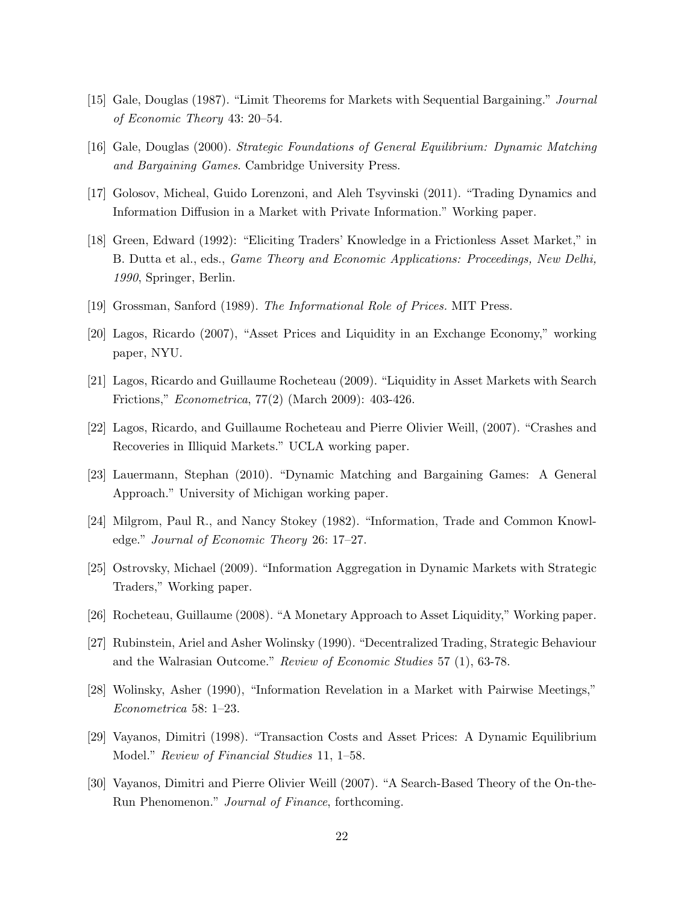- [15] Gale, Douglas (1987). "Limit Theorems for Markets with Sequential Bargaining." Journal of Economic Theory 43: 20–54.
- [16] Gale, Douglas (2000). Strategic Foundations of General Equilibrium: Dynamic Matching and Bargaining Games. Cambridge University Press.
- [17] Golosov, Micheal, Guido Lorenzoni, and Aleh Tsyvinski (2011). "Trading Dynamics and Information Diffusion in a Market with Private Information." Working paper.
- [18] Green, Edward (1992): "Eliciting Traders' Knowledge in a Frictionless Asset Market," in B. Dutta et al., eds., Game Theory and Economic Applications: Proceedings, New Delhi, 1990, Springer, Berlin.
- [19] Grossman, Sanford (1989). The Informational Role of Prices. MIT Press.
- [20] Lagos, Ricardo (2007), "Asset Prices and Liquidity in an Exchange Economy," working paper, NYU.
- [21] Lagos, Ricardo and Guillaume Rocheteau (2009). "Liquidity in Asset Markets with Search Frictions," Econometrica, 77(2) (March 2009): 403-426.
- [22] Lagos, Ricardo, and Guillaume Rocheteau and Pierre Olivier Weill, (2007). "Crashes and Recoveries in Illiquid Markets." UCLA working paper.
- [23] Lauermann, Stephan (2010). "Dynamic Matching and Bargaining Games: A General Approach." University of Michigan working paper.
- [24] Milgrom, Paul R., and Nancy Stokey (1982). "Information, Trade and Common Knowledge." Journal of Economic Theory 26: 17–27.
- [25] Ostrovsky, Michael (2009). "Information Aggregation in Dynamic Markets with Strategic Traders," Working paper.
- [26] Rocheteau, Guillaume (2008). "A Monetary Approach to Asset Liquidity," Working paper.
- [27] Rubinstein, Ariel and Asher Wolinsky (1990). "Decentralized Trading, Strategic Behaviour and the Walrasian Outcome." Review of Economic Studies 57 (1), 63-78.
- [28] Wolinsky, Asher (1990), "Information Revelation in a Market with Pairwise Meetings," Econometrica 58: 1–23.
- [29] Vayanos, Dimitri (1998). "Transaction Costs and Asset Prices: A Dynamic Equilibrium Model." Review of Financial Studies 11, 1–58.
- [30] Vayanos, Dimitri and Pierre Olivier Weill (2007). "A Search-Based Theory of the On-the-Run Phenomenon." Journal of Finance, forthcoming.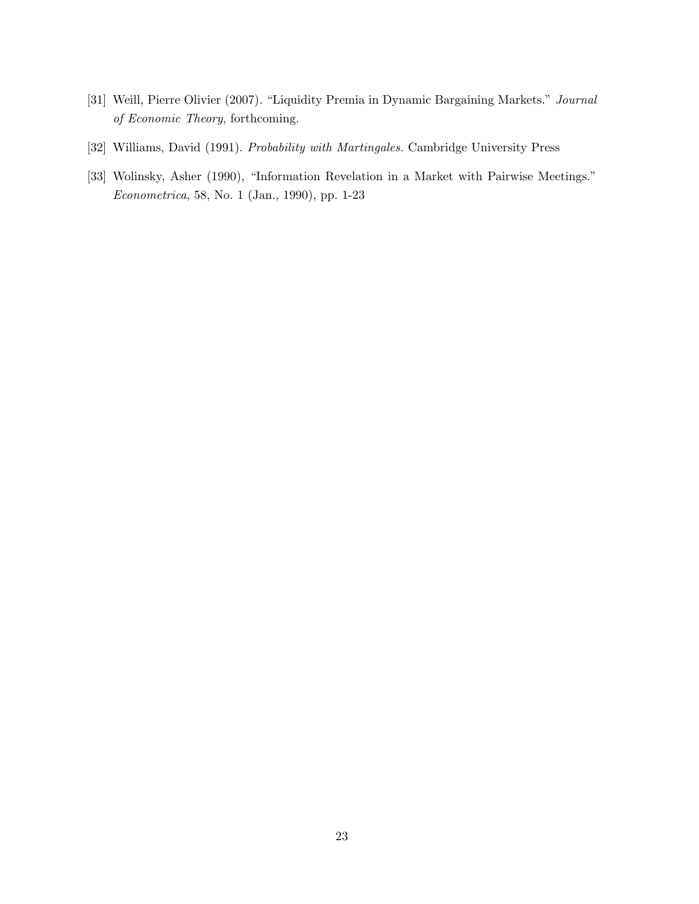- [31] Weill, Pierre Olivier (2007). "Liquidity Premia in Dynamic Bargaining Markets." Journal of Economic Theory, forthcoming.
- [32] Williams, David (1991). Probability with Martingales. Cambridge University Press
- [33] Wolinsky, Asher (1990), "Information Revelation in a Market with Pairwise Meetings." Econometrica, 58, No. 1 (Jan., 1990), pp. 1-23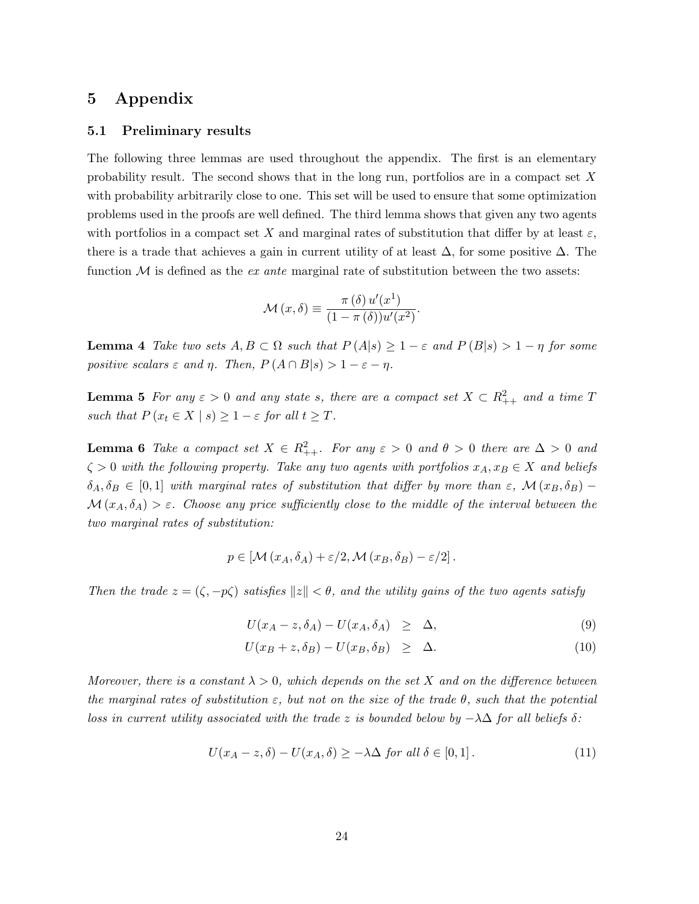# 5 Appendix

#### 5.1 Preliminary results

The following three lemmas are used throughout the appendix. The first is an elementary probability result. The second shows that in the long run, portfolios are in a compact set  $X$ with probability arbitrarily close to one. This set will be used to ensure that some optimization problems used in the proofs are well defined. The third lemma shows that given any two agents with portfolios in a compact set X and marginal rates of substitution that differ by at least  $\varepsilon$ , there is a trade that achieves a gain in current utility of at least  $\Delta$ , for some positive  $\Delta$ . The function  $\mathcal M$  is defined as the *ex ante* marginal rate of substitution between the two assets:

$$
\mathcal{M}(x,\delta) \equiv \frac{\pi(\delta) u'(x^1)}{(1 - \pi(\delta))u'(x^2)}.
$$

**Lemma 4** Take two sets  $A, B \subset \Omega$  such that  $P(A|s) \geq 1 - \varepsilon$  and  $P(B|s) > 1 - \eta$  for some positive scalars  $\varepsilon$  and  $\eta$ . Then,  $P(A \cap B|s) > 1 - \varepsilon - \eta$ .

**Lemma 5** For any  $\varepsilon > 0$  and any state s, there are a compact set  $X \subset R_{++}^2$  and a time T such that  $P(x_t \in X \mid s) \geq 1 - \varepsilon$  for all  $t \geq T$ .

**Lemma 6** Take a compact set  $X \in R_{++}^2$ . For any  $\varepsilon > 0$  and  $\theta > 0$  there are  $\Delta > 0$  and  $\zeta > 0$  with the following property. Take any two agents with portfolios  $x_A, x_B \in X$  and beliefs  $\delta_A, \delta_B \in [0,1]$  with marginal rates of substitution that differ by more than  $\varepsilon$ ,  $\mathcal{M}(x_B, \delta_B)$  –  $\mathcal{M}(x_A, \delta_A) > \varepsilon$ . Choose any price sufficiently close to the middle of the interval between the two marginal rates of substitution:

$$
p \in [\mathcal{M}(x_A, \delta_A) + \varepsilon/2, \mathcal{M}(x_B, \delta_B) - \varepsilon/2].
$$

Then the trade  $z = (\zeta, -p\zeta)$  satisfies  $||z|| < \theta$ , and the utility gains of the two agents satisfy

$$
U(x_A - z, \delta_A) - U(x_A, \delta_A) \geq \Delta, \tag{9}
$$

$$
U(x_B + z, \delta_B) - U(x_B, \delta_B) \geq \Delta. \tag{10}
$$

Moreover, there is a constant  $\lambda > 0$ , which depends on the set X and on the difference between the marginal rates of substitution  $\varepsilon$ , but not on the size of the trade  $\theta$ , such that the potential loss in current utility associated with the trade z is bounded below by  $-\lambda\Delta$  for all beliefs  $\delta$ :

$$
U(x_A - z, \delta) - U(x_A, \delta) \ge -\lambda \Delta \text{ for all } \delta \in [0, 1]. \tag{11}
$$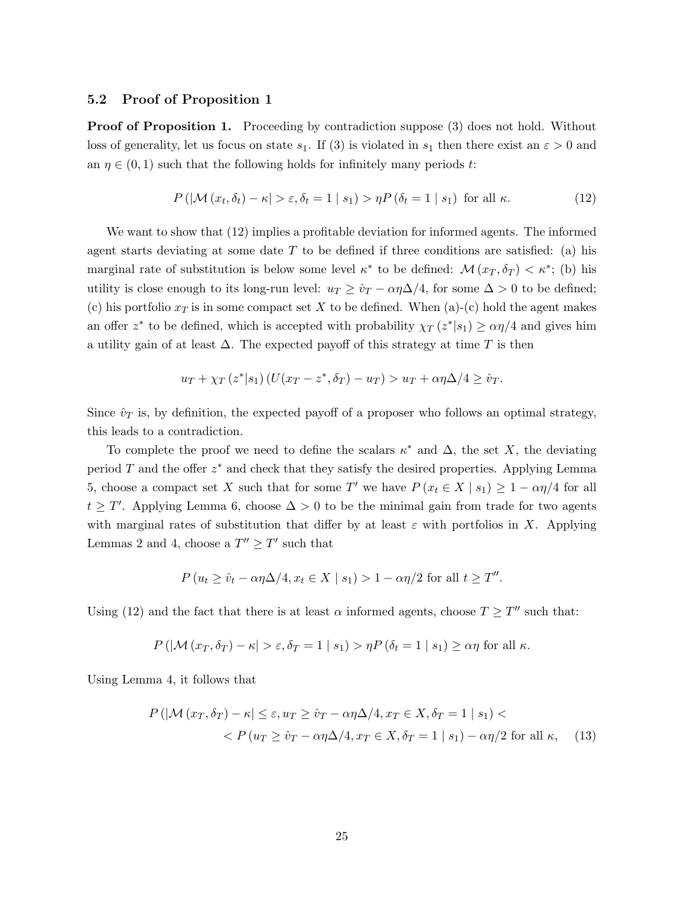#### 5.2 Proof of Proposition 1

**Proof of Proposition 1.** Proceeding by contradiction suppose (3) does not hold. Without loss of generality, let us focus on state  $s_1$ . If (3) is violated in  $s_1$  then there exist an  $\varepsilon > 0$  and an  $\eta \in (0,1)$  such that the following holds for infinitely many periods t:

$$
P\left(|\mathcal{M}(x_t, \delta_t) - \kappa| > \varepsilon, \delta_t = 1 \mid s_1\right) > \eta P\left(\delta_t = 1 \mid s_1\right) \text{ for all } \kappa. \tag{12}
$$

We want to show that (12) implies a profitable deviation for informed agents. The informed agent starts deviating at some date  $T$  to be defined if three conditions are satisfied: (a) his marginal rate of substitution is below some level  $\kappa^*$  to be defined:  $\mathcal{M}(x_T, \delta_T) < \kappa^*$ ; (b) his utility is close enough to its long-run level:  $u_T \geq \hat{v}_T - \alpha \eta \Delta/4$ , for some  $\Delta > 0$  to be defined; (c) his portfolio  $x_T$  is in some compact set X to be defined. When (a)-(c) hold the agent makes an offer  $z^*$  to be defined, which is accepted with probability  $\chi_T(z^*|s_1) \ge \alpha \eta/4$  and gives him a utility gain of at least  $\Delta$ . The expected payoff of this strategy at time T is then

$$
u_T + \chi_T(z^*|s_1) \left( U(x_T - z^*, \delta_T) - u_T \right) > u_T + \alpha \eta \Delta/4 \ge \hat{v}_T.
$$

Since  $\hat{v}_T$  is, by definition, the expected payoff of a proposer who follows an optimal strategy, this leads to a contradiction.

To complete the proof we need to define the scalars  $\kappa^*$  and  $\Delta$ , the set X, the deviating period  $T$  and the offer  $z^*$  and check that they satisfy the desired properties. Applying Lemma 5, choose a compact set X such that for some T' we have  $P(x_t \in X \mid s_1) \geq 1 - \alpha \eta/4$  for all  $t \geq T'$ . Applying Lemma 6, choose  $\Delta > 0$  to be the minimal gain from trade for two agents with marginal rates of substitution that differ by at least  $\varepsilon$  with portfolios in X. Applying Lemmas 2 and 4, choose a  $T'' \geq T'$  such that

$$
P(u_t \ge \hat{v}_t - \alpha \eta \Delta/4, x_t \in X \mid s_1) > 1 - \alpha \eta/2 \text{ for all } t \ge T''.
$$

Using (12) and the fact that there is at least  $\alpha$  informed agents, choose  $T \geq T''$  such that:

$$
P(|\mathcal{M}(x_T, \delta_T) - \kappa| > \varepsilon, \delta_T = 1 | s_1) > \eta P(\delta_t = 1 | s_1) \ge \alpha \eta \text{ for all } \kappa.
$$

Using Lemma 4, it follows that

$$
P\left(|\mathcal{M}\left(x_{T}, \delta_{T}\right) - \kappa| \leq \varepsilon, u_{T} \geq \hat{v}_{T} - \alpha \eta \Delta/4, x_{T} \in X, \delta_{T} = 1 \mid s_{1}\right) < \\
\langle P\left(u_{T} \geq \hat{v}_{T} - \alpha \eta \Delta/4, x_{T} \in X, \delta_{T} = 1 \mid s_{1}\right) - \alpha \eta/2 \text{ for all } \kappa,\tag{13}
$$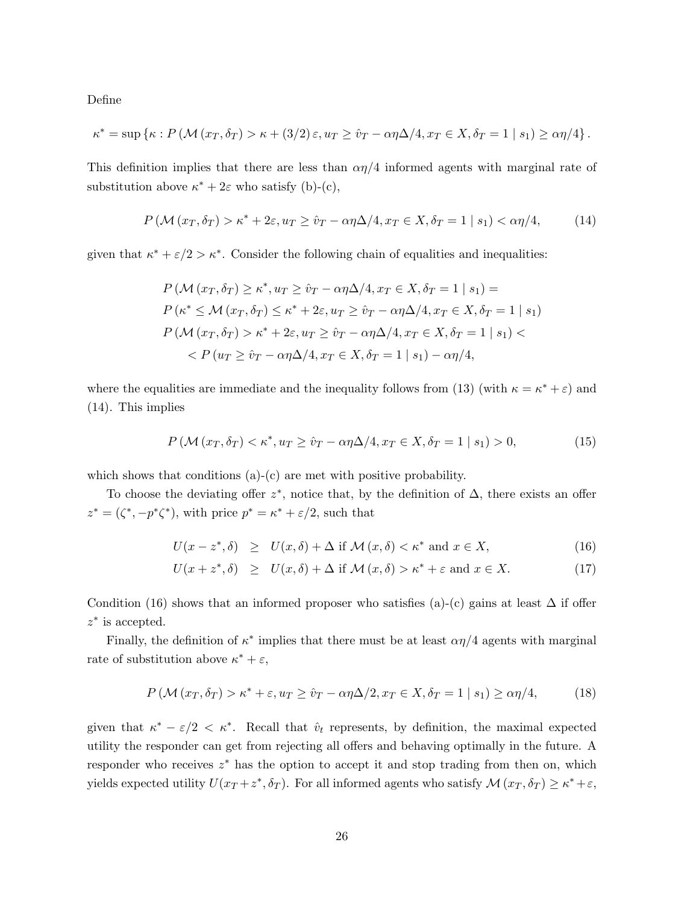Define

$$
\kappa^* = \sup \left\{ \kappa : P\left(\mathcal{M}\left(x_T, \delta_T\right) > \kappa + \left(\frac{3}{2}\right)\varepsilon, u_T \geq \hat{v}_T - \alpha\eta\Delta/4, x_T \in X, \delta_T = 1 \mid s_1\right) \geq \alpha\eta/4 \right\}.
$$

This definition implies that there are less than  $\alpha \eta/4$  informed agents with marginal rate of substitution above  $\kappa^* + 2\varepsilon$  who satisfy (b)-(c),

$$
P\left(\mathcal{M}\left(x_{T}, \delta_{T}\right) > \kappa^{*} + 2\varepsilon, u_{T} \geq \hat{v}_{T} - \alpha\eta\Delta/4, x_{T} \in X, \delta_{T} = 1 \mid s_{1}\right) < \alpha\eta/4,\tag{14}
$$

given that  $\kappa^* + \varepsilon/2 > \kappa^*$ . Consider the following chain of equalities and inequalities:

$$
P\left(\mathcal{M}\left(x_{T}, \delta_{T}\right) \geq \kappa^{*}, u_{T} \geq \hat{v}_{T} - \alpha \eta \Delta/4, x_{T} \in X, \delta_{T} = 1 \mid s_{1}\right) =
$$
\n
$$
P\left(\kappa^{*} \leq \mathcal{M}\left(x_{T}, \delta_{T}\right) \leq \kappa^{*} + 2\varepsilon, u_{T} \geq \hat{v}_{T} - \alpha \eta \Delta/4, x_{T} \in X, \delta_{T} = 1 \mid s_{1}\right)
$$
\n
$$
P\left(\mathcal{M}\left(x_{T}, \delta_{T}\right) > \kappa^{*} + 2\varepsilon, u_{T} \geq \hat{v}_{T} - \alpha \eta \Delta/4, x_{T} \in X, \delta_{T} = 1 \mid s_{1}\right) <
$$
\n
$$
\langle P\left(u_{T} \geq \hat{v}_{T} - \alpha \eta \Delta/4, x_{T} \in X, \delta_{T} = 1 \mid s_{1}\right) - \alpha \eta/4,
$$

where the equalities are immediate and the inequality follows from (13) (with  $\kappa = \kappa^* + \varepsilon$ ) and (14). This implies

$$
P\left(\mathcal{M}\left(x_{T}, \delta_{T}\right) < \kappa^*, u_{T} \geq \hat{v}_{T} - \alpha \eta \Delta/4, x_{T} \in X, \delta_{T} = 1 \mid s_{1}\right) > 0,\tag{15}
$$

which shows that conditions (a)-(c) are met with positive probability.

To choose the deviating offer  $z^*$ , notice that, by the definition of  $\Delta$ , there exists an offer  $z^* = (\zeta^*, -p^*\zeta^*),$  with price  $p^* = \kappa^* + \varepsilon/2$ , such that

$$
U(x - z^*, \delta) \ge U(x, \delta) + \Delta \text{ if } \mathcal{M}(x, \delta) < \kappa^* \text{ and } x \in X,\tag{16}
$$

$$
U(x + z^*, \delta) \ge U(x, \delta) + \Delta \text{ if } \mathcal{M}(x, \delta) > \kappa^* + \varepsilon \text{ and } x \in X. \tag{17}
$$

Condition (16) shows that an informed proposer who satisfies (a)-(c) gains at least  $\Delta$  if offer z ∗ is accepted.

Finally, the definition of  $\kappa^*$  implies that there must be at least  $\alpha\eta/4$  agents with marginal rate of substitution above  $\kappa^* + \varepsilon$ ,

$$
P\left(\mathcal{M}\left(x_{T}, \delta_{T}\right) > \kappa^{*} + \varepsilon, u_{T} \geq \hat{v}_{T} - \alpha \eta \Delta/2, x_{T} \in X, \delta_{T} = 1 \mid s_{1}\right) \geq \alpha \eta/4,\tag{18}
$$

given that  $\kappa^* - \varepsilon/2 < \kappa^*$ . Recall that  $\hat{v}_t$  represents, by definition, the maximal expected utility the responder can get from rejecting all offers and behaving optimally in the future. A responder who receives  $z^*$  has the option to accept it and stop trading from then on, which yields expected utility  $U(x_T + z^*, \delta_T)$ . For all informed agents who satisfy  $\mathcal{M}(x_T, \delta_T) \geq \kappa^* + \varepsilon$ ,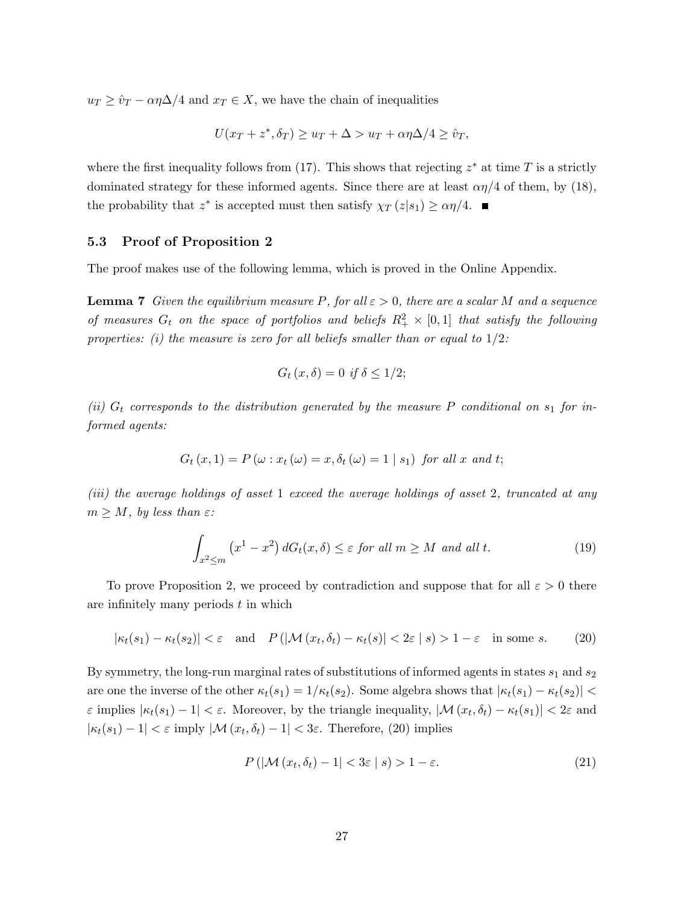$u_T \geq \hat{v}_T - \alpha \eta \Delta/4$  and  $x_T \in X$ , we have the chain of inequalities

$$
U(x_T + z^*, \delta_T) \ge u_T + \Delta > u_T + \alpha \eta \Delta/4 \ge \hat{v}_T,
$$

where the first inequality follows from (17). This shows that rejecting  $z^*$  at time T is a strictly dominated strategy for these informed agents. Since there are at least  $\alpha \eta/4$  of them, by (18), the probability that  $z^*$  is accepted must then satisfy  $\chi_T(z|s_1) \ge \alpha \eta/4$ .

### 5.3 Proof of Proposition 2

The proof makes use of the following lemma, which is proved in the Online Appendix.

**Lemma 7** Given the equilibrium measure P, for all  $\varepsilon > 0$ , there are a scalar M and a sequence of measures  $G_t$  on the space of portfolios and beliefs  $R_+^2 \times [0,1]$  that satisfy the following properties: (i) the measure is zero for all beliefs smaller than or equal to  $1/2$ :

$$
G_t(x,\delta) = 0 \text{ if } \delta \le 1/2;
$$

(ii)  $G_t$  corresponds to the distribution generated by the measure P conditional on  $s_1$  for informed agents:

$$
G_t(x,1) = P(\omega : x_t(\omega) = x, \delta_t(\omega) = 1 | s_1) \text{ for all } x \text{ and } t;
$$

(iii) the average holdings of asset 1 exceed the average holdings of asset 2, truncated at any  $m \geq M$ , by less than  $\varepsilon$ :

$$
\int_{x^2 \le m} (x^1 - x^2) dG_t(x, \delta) \le \varepsilon \text{ for all } m \ge M \text{ and all } t.
$$
 (19)

To prove Proposition 2, we proceed by contradiction and suppose that for all  $\varepsilon > 0$  there are infinitely many periods  $t$  in which

$$
|\kappa_t(s_1) - \kappa_t(s_2)| < \varepsilon \quad \text{and} \quad P\left(|\mathcal{M}(x_t, \delta_t) - \kappa_t(s)| < 2\varepsilon \mid s\right) > 1 - \varepsilon \quad \text{in some } s. \tag{20}
$$

By symmetry, the long-run marginal rates of substitutions of informed agents in states  $s_1$  and  $s_2$ are one the inverse of the other  $\kappa_t(s_1) = 1/\kappa_t(s_2)$ . Some algebra shows that  $|\kappa_t(s_1) - \kappa_t(s_2)|$  $\varepsilon$  implies  $|\kappa_t(s_1) - 1| < \varepsilon$ . Moreover, by the triangle inequality,  $|\mathcal{M}(x_t, \delta_t) - \kappa_t(s_1)| < 2\varepsilon$  and  $|\kappa_t(s_1) - 1| < \varepsilon$  imply  $|\mathcal{M}(x_t, \delta_t) - 1| < 3\varepsilon$ . Therefore, (20) implies

$$
P\left(|\mathcal{M}\left(x_t, \delta_t\right) - 1| < 3\varepsilon \mid s\right) > 1 - \varepsilon. \tag{21}
$$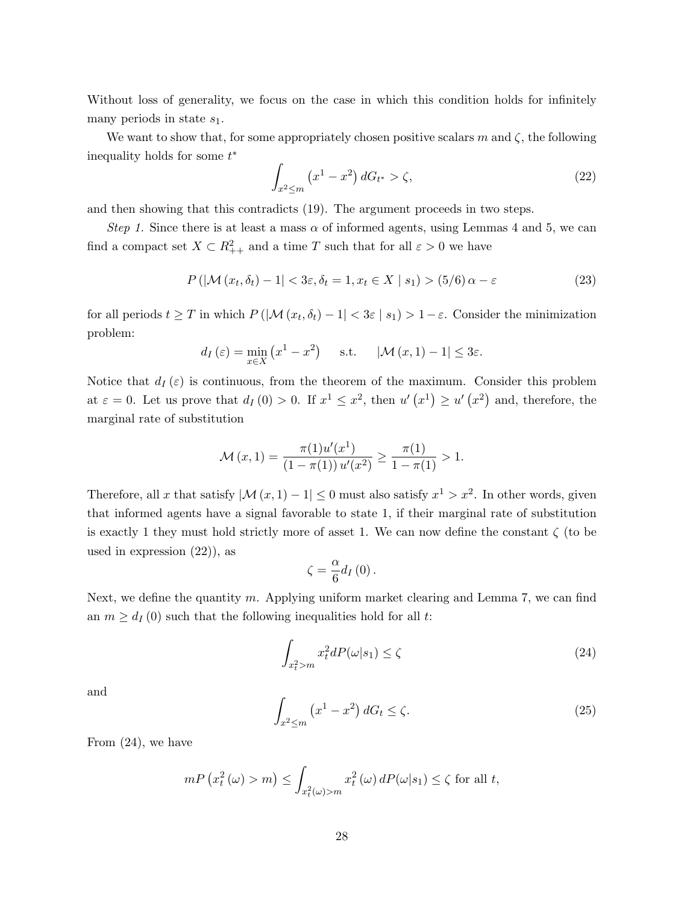Without loss of generality, we focus on the case in which this condition holds for infinitely many periods in state  $s_1$ .

We want to show that, for some appropriately chosen positive scalars m and  $\zeta$ , the following inequality holds for some  $t^*$ 

$$
\int_{x^2 \le m} (x^1 - x^2) dG_{t^*} > \zeta,
$$
\n(22)

and then showing that this contradicts (19). The argument proceeds in two steps.

Step 1. Since there is at least a mass  $\alpha$  of informed agents, using Lemmas 4 and 5, we can find a compact set  $X \subset R_{++}^2$  and a time T such that for all  $\varepsilon > 0$  we have

$$
P\left(|\mathcal{M}\left(x_t,\delta_t\right)-1|<3\varepsilon,\delta_t=1,x_t\in X\mid s_1\right)>(5/6)\,\alpha-\varepsilon\tag{23}
$$

for all periods  $t \geq T$  in which  $P(|\mathcal{M}(x_t, \delta_t) - 1| < 3\varepsilon \mid s_1) > 1 - \varepsilon$ . Consider the minimization problem:

$$
d_I(\varepsilon) = \min_{x \in X} (x^1 - x^2)
$$
 s.t.  $|\mathcal{M}(x, 1) - 1| \leq 3\varepsilon$ .

Notice that  $d_I(\varepsilon)$  is continuous, from the theorem of the maximum. Consider this problem at  $\varepsilon = 0$ . Let us prove that  $d_I(0) > 0$ . If  $x^1 \le x^2$ , then  $u'(x^1) \ge u'(x^2)$  and, therefore, the marginal rate of substitution

$$
\mathcal{M}(x,1) = \frac{\pi(1)u'(x^1)}{(1 - \pi(1))u'(x^2)} \ge \frac{\pi(1)}{1 - \pi(1)} > 1.
$$

Therefore, all x that satisfy  $|\mathcal{M}(x,1)-1| \leq 0$  must also satisfy  $x^1 > x^2$ . In other words, given that informed agents have a signal favorable to state 1, if their marginal rate of substitution is exactly 1 they must hold strictly more of asset 1. We can now define the constant  $\zeta$  (to be used in expression  $(22)$ , as

$$
\zeta =\frac{\alpha }{6}d_{I}\left( 0\right) .
$$

Next, we define the quantity m. Applying uniform market clearing and Lemma 7, we can find an  $m \geq d_I(0)$  such that the following inequalities hold for all t:

$$
\int_{x_t^2 > m} x_t^2 dP(\omega|s_1) \le \zeta \tag{24}
$$

and

$$
\int_{x^2 \le m} \left( x^1 - x^2 \right) dG_t \le \zeta. \tag{25}
$$

From (24), we have

$$
mP\left(x_t^2\left(\omega\right) > m\right) \le \int_{x_t^2\left(\omega\right) > m} x_t^2\left(\omega\right) dP(\omega|s_1) \le \zeta \text{ for all } t,
$$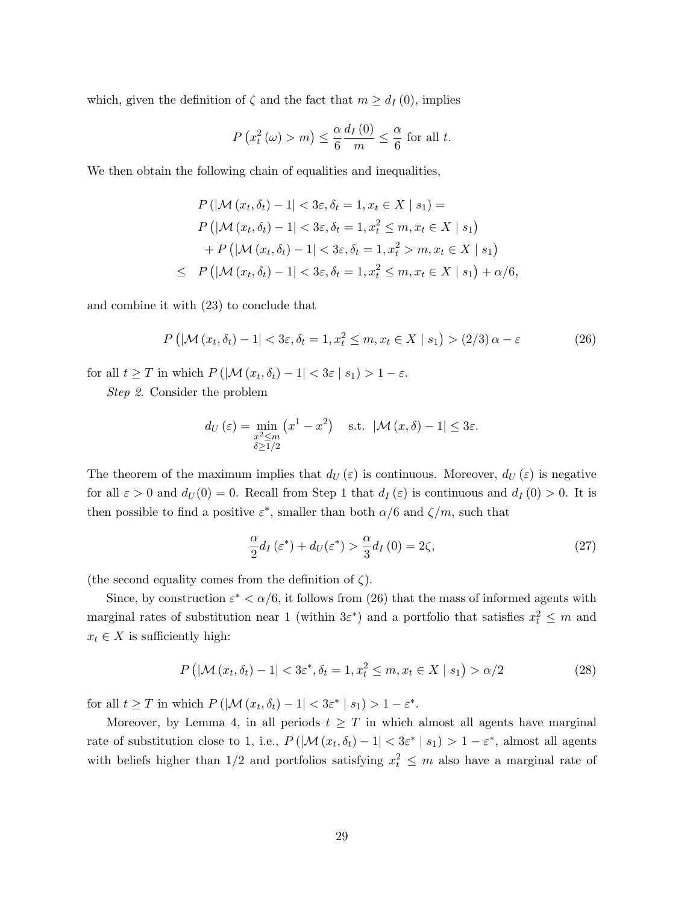which, given the definition of  $\zeta$  and the fact that  $m \geq d_I(0)$ , implies

$$
P\left(x_t^2\left(\omega\right) > m\right) \le \frac{\alpha}{6} \frac{d_I\left(0\right)}{m} \le \frac{\alpha}{6} \text{ for all } t.
$$

We then obtain the following chain of equalities and inequalities,

$$
P(|\mathcal{M}(x_t, \delta_t) - 1| < 3\varepsilon, \delta_t = 1, x_t \in X \mid s_1) =
$$
\n
$$
P(|\mathcal{M}(x_t, \delta_t) - 1| < 3\varepsilon, \delta_t = 1, x_t^2 \le m, x_t \in X \mid s_1) + P(|\mathcal{M}(x_t, \delta_t) - 1| < 3\varepsilon, \delta_t = 1, x_t^2 > m, x_t \in X \mid s_1) \le P(|\mathcal{M}(x_t, \delta_t) - 1| < 3\varepsilon, \delta_t = 1, x_t^2 \le m, x_t \in X \mid s_1) + \alpha/6,
$$

and combine it with (23) to conclude that

$$
P\left(|\mathcal{M}\left(x_t,\delta_t\right)-1|<3\varepsilon,\delta_t=1,x_t^2\leq m,x_t\in X\mid s_1\right) > (2/3)\,\alpha-\varepsilon\tag{26}
$$

for all  $t \geq T$  in which  $P(|\mathcal{M}(x_t, \delta_t) - 1| < 3\varepsilon \mid s_1) > 1 - \varepsilon$ .

Step 2. Consider the problem

$$
d_{U}(\varepsilon) = \min_{\substack{x^2 \le m \\ \delta \ge 1/2}} (x^1 - x^2) \quad \text{s.t.} \quad |\mathcal{M}(x, \delta) - 1| \le 3\varepsilon.
$$

The theorem of the maximum implies that  $d_U(\varepsilon)$  is continuous. Moreover,  $d_U(\varepsilon)$  is negative for all  $\varepsilon > 0$  and  $d_U(0) = 0$ . Recall from Step 1 that  $d_I(\varepsilon)$  is continuous and  $d_I(0) > 0$ . It is then possible to find a positive  $\varepsilon^*$ , smaller than both  $\alpha/6$  and  $\zeta/m$ , such that

$$
\frac{\alpha}{2}d_I(\varepsilon^*) + d_U(\varepsilon^*) > \frac{\alpha}{3}d_I(0) = 2\zeta,\tag{27}
$$

(the second equality comes from the definition of  $\zeta$ ).

Since, by construction  $\varepsilon^* < \alpha/6$ , it follows from (26) that the mass of informed agents with marginal rates of substitution near 1 (within  $3\varepsilon^*$ ) and a portfolio that satisfies  $x_t^2 \leq m$  and  $x_t \in X$  is sufficiently high:

$$
P\left(|\mathcal{M}\left(x_t,\delta_t\right)-1|<3\varepsilon^*,\delta_t=1,x_t^2\leq m,x_t\in X\mid s_1\right)>\alpha/2\tag{28}
$$

for all  $t \geq T$  in which  $P(|\mathcal{M}(x_t, \delta_t) - 1| < 3\varepsilon^* | s_1) > 1 - \varepsilon^*$ .

Moreover, by Lemma 4, in all periods  $t \geq T$  in which almost all agents have marginal rate of substitution close to 1, i.e.,  $P(|\mathcal{M}(x_t, \delta_t) - 1| < 3\varepsilon^* | s_1) > 1 - \varepsilon^*$ , almost all agents with beliefs higher than  $1/2$  and portfolios satisfying  $x_t^2 \leq m$  also have a marginal rate of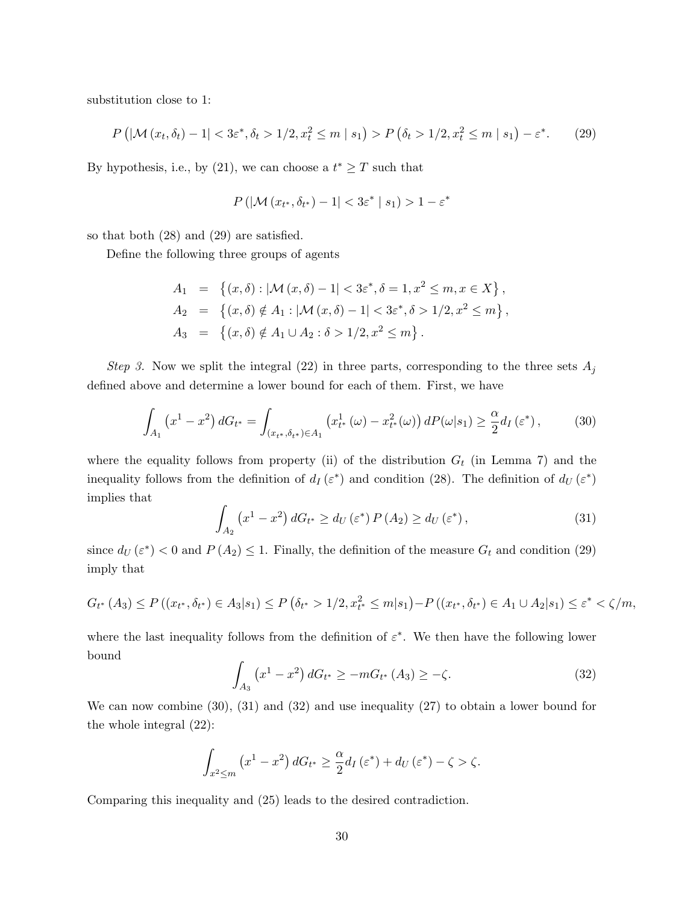substitution close to 1:

$$
P(|\mathcal{M}(x_t, \delta_t) - 1| < 3\varepsilon^*, \delta_t > 1/2, x_t^2 \le m \mid s_1) > P(\delta_t > 1/2, x_t^2 \le m \mid s_1) - \varepsilon^*.\tag{29}
$$

By hypothesis, i.e., by (21), we can choose a  $t^* \geq T$  such that

$$
P\left(|\mathcal{M}\left(x_{t^*}, \delta_{t^*}\right) - 1| < 3\varepsilon^* \mid s_1\right) > 1 - \varepsilon^*
$$

so that both (28) and (29) are satisfied.

Define the following three groups of agents

$$
A_1 = \left\{ (x, \delta) : |\mathcal{M}(x, \delta) - 1| < 3\varepsilon^*, \delta = 1, x^2 \le m, x \in X \right\},
$$
\n
$$
A_2 = \left\{ (x, \delta) \notin A_1 : |\mathcal{M}(x, \delta) - 1| < 3\varepsilon^*, \delta > 1/2, x^2 \le m \right\},
$$
\n
$$
A_3 = \left\{ (x, \delta) \notin A_1 \cup A_2 : \delta > 1/2, x^2 \le m \right\}.
$$

Step 3. Now we split the integral (22) in three parts, corresponding to the three sets  $A_j$ defined above and determine a lower bound for each of them. First, we have

$$
\int_{A_1} (x^1 - x^2) dG_{t^*} = \int_{(x_{t^*}, \delta_{t^*}) \in A_1} (x_{t^*}^1(\omega) - x_{t^*}^2(\omega)) dP(\omega|s_1) \ge \frac{\alpha}{2} d_I(\varepsilon^*), \tag{30}
$$

where the equality follows from property (ii) of the distribution  $G_t$  (in Lemma 7) and the inequality follows from the definition of  $d_I(\varepsilon^*)$  and condition (28). The definition of  $d_U(\varepsilon^*)$ implies that

$$
\int_{A_2} (x^1 - x^2) dG_{t^*} \ge d_U(\varepsilon^*) P(A_2) \ge d_U(\varepsilon^*) ,
$$
\n(31)

since  $d_U(\varepsilon^*) < 0$  and  $P(A_2) \leq 1$ . Finally, the definition of the measure  $G_t$  and condition (29) imply that

$$
G_{t^*}(A_3) \le P((x_{t^*}, \delta_{t^*}) \in A_3|s_1) \le P(\delta_{t^*} > 1/2, x_{t^*}^2 \le m|s_1) - P((x_{t^*}, \delta_{t^*}) \in A_1 \cup A_2|s_1) \le \varepsilon^* < \zeta/m,
$$

where the last inequality follows from the definition of  $\varepsilon^*$ . We then have the following lower bound

$$
\int_{A_3} \left( x^1 - x^2 \right) dG_{t^*} \ge -mG_{t^*} \left( A_3 \right) \ge -\zeta. \tag{32}
$$

We can now combine (30), (31) and (32) and use inequality (27) to obtain a lower bound for the whole integral (22):

$$
\int_{x^2 \le m} \left( x^1 - x^2 \right) dG_{t^*} \ge \frac{\alpha}{2} d_I \left( \varepsilon^* \right) + d_U \left( \varepsilon^* \right) - \zeta > \zeta.
$$

Comparing this inequality and (25) leads to the desired contradiction.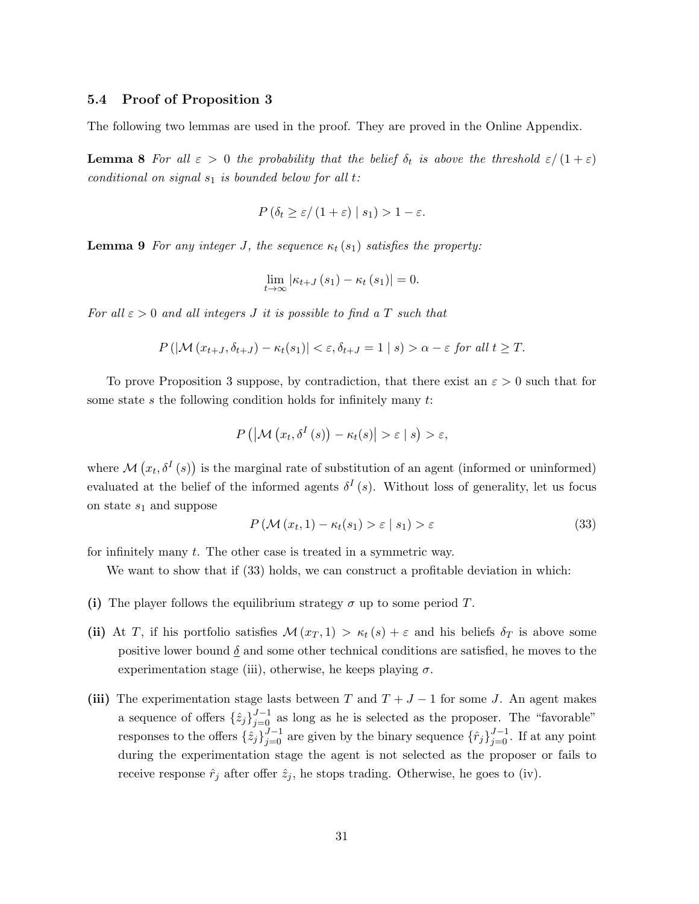#### 5.4 Proof of Proposition 3

The following two lemmas are used in the proof. They are proved in the Online Appendix.

**Lemma 8** For all  $\varepsilon > 0$  the probability that the belief  $\delta_t$  is above the threshold  $\varepsilon/(1+\varepsilon)$ conditional on signal  $s_1$  is bounded below for all  $t$ :

$$
P\left(\delta_t \geq \varepsilon / \left(1 + \varepsilon\right) \mid s_1\right) > 1 - \varepsilon.
$$

**Lemma 9** For any integer J, the sequence  $\kappa_t(s_1)$  satisfies the property:

$$
\lim_{t \to \infty} |\kappa_{t+J}(s_1) - \kappa_t(s_1)| = 0.
$$

For all  $\varepsilon > 0$  and all integers J it is possible to find a T such that

$$
P(|\mathcal{M}(x_{t+J}, \delta_{t+J}) - \kappa_t(s_1)| < \varepsilon, \delta_{t+J} = 1 \mid s) > \alpha - \varepsilon \text{ for all } t \ge T.
$$

To prove Proposition 3 suppose, by contradiction, that there exist an  $\varepsilon > 0$  such that for some state s the following condition holds for infinitely many t:

$$
P(|\mathcal{M}(x_t, \delta^I(s)) - \kappa_t(s)| > \varepsilon | s) > \varepsilon,
$$

where  $\mathcal{M}(x_t, \delta^I(s))$  is the marginal rate of substitution of an agent (informed or uninformed) evaluated at the belief of the informed agents  $\delta^I(s)$ . Without loss of generality, let us focus on state  $s_1$  and suppose

$$
P\left(\mathcal{M}\left(x_t, 1\right) - \kappa_t(s_1) > \varepsilon \mid s_1\right) > \varepsilon \tag{33}
$$

for infinitely many t. The other case is treated in a symmetric way.

We want to show that if  $(33)$  holds, we can construct a profitable deviation in which:

- (i) The player follows the equilibrium strategy  $\sigma$  up to some period T.
- (ii) At T, if his portfolio satisfies  $\mathcal{M}(x_T, 1) > \kappa_t(s) + \varepsilon$  and his beliefs  $\delta_T$  is above some positive lower bound  $\delta$  and some other technical conditions are satisfied, he moves to the experimentation stage (iii), otherwise, he keeps playing  $\sigma$ .
- (iii) The experimentation stage lasts between T and  $T + J 1$  for some J. An agent makes a sequence of offers  $\{\hat{z}_j\}_{j=0}^{J-1}$  as long as he is selected as the proposer. The "favorable" responses to the offers  $\{\hat{z}_j\}_{j=0}^{J-1}$  are given by the binary sequence  $\{\hat{r}_j\}_{j=0}^{J-1}$ . If at any point during the experimentation stage the agent is not selected as the proposer or fails to receive response  $\hat{r}_j$  after offer  $\hat{z}_j$ , he stops trading. Otherwise, he goes to (iv).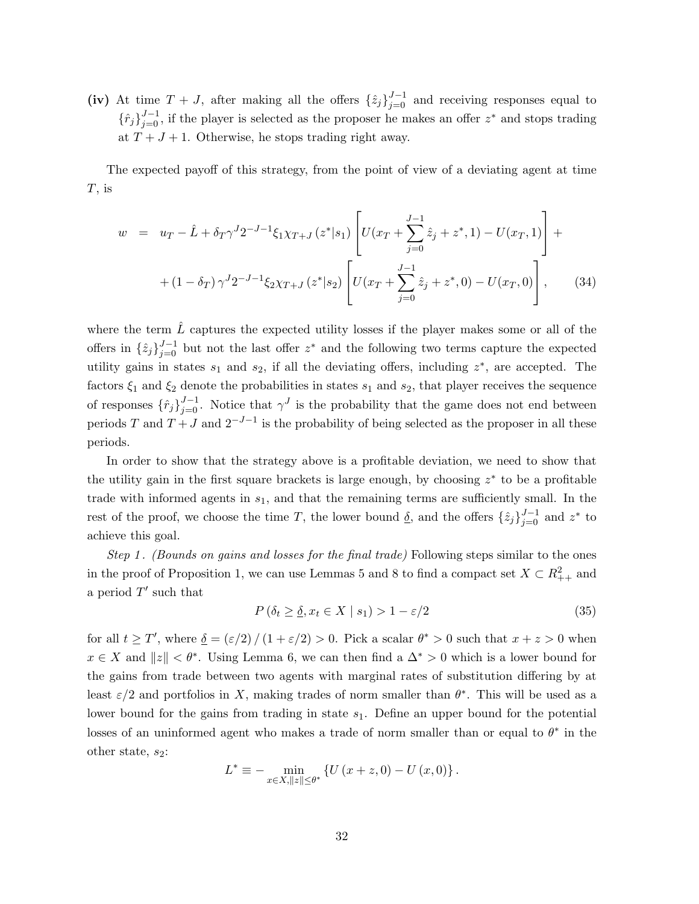(iv) At time  $T + J$ , after making all the offers  $\{\hat{z}_j\}_{j=0}^{J-1}$  and receiving responses equal to  $\{\hat{r}_j\}_{j=0}^{J-1}$ , if the player is selected as the proposer he makes an offer  $z^*$  and stops trading at  $T+J+1$ . Otherwise, he stops trading right away.

The expected payoff of this strategy, from the point of view of a deviating agent at time  $T$ , is

$$
w = u_T - \hat{L} + \delta_T \gamma^J 2^{-J-1} \xi_1 \chi_{T+J} (z^* | s_1) \left[ U(x_T + \sum_{j=0}^{J-1} \hat{z}_j + z^*, 1) - U(x_T, 1) \right] +
$$
  
+ 
$$
(1 - \delta_T) \gamma^J 2^{-J-1} \xi_2 \chi_{T+J} (z^* | s_2) \left[ U(x_T + \sum_{j=0}^{J-1} \hat{z}_j + z^*, 0) - U(x_T, 0) \right], \quad (34)
$$

where the term  $L$  captures the expected utility losses if the player makes some or all of the offers in  $\{\hat{z}_j\}_{j=0}^{J-1}$  but not the last offer  $z^*$  and the following two terms capture the expected utility gains in states  $s_1$  and  $s_2$ , if all the deviating offers, including  $z^*$ , are accepted. The factors  $\xi_1$  and  $\xi_2$  denote the probabilities in states  $s_1$  and  $s_2$ , that player receives the sequence of responses  $\{\hat{r}_j\}_{j=0}^{J-1}$ . Notice that  $\gamma^J$  is the probability that the game does not end between periods T and  $T + J$  and  $2^{-J-1}$  is the probability of being selected as the proposer in all these periods.

In order to show that the strategy above is a profitable deviation, we need to show that the utility gain in the first square brackets is large enough, by choosing  $z^*$  to be a profitable trade with informed agents in  $s_1$ , and that the remaining terms are sufficiently small. In the rest of the proof, we choose the time T, the lower bound  $\underline{\delta}$ , and the offers  $\{\hat{z}_j\}_{j=0}^{J-1}$  and  $z^*$  to achieve this goal.

Step 1. (Bounds on gains and losses for the final trade) Following steps similar to the ones in the proof of Proposition 1, we can use Lemmas 5 and 8 to find a compact set  $X \subset R_{++}^2$  and a period  $T'$  such that

$$
P\left(\delta_t \ge \underline{\delta}, x_t \in X \mid s_1\right) > 1 - \varepsilon/2\tag{35}
$$

for all  $t \geq T'$ , where  $\delta = (\varepsilon/2) / (1 + \varepsilon/2) > 0$ . Pick a scalar  $\theta^* > 0$  such that  $x + z > 0$  when  $x \in X$  and  $||z|| < \theta^*$ . Using Lemma 6, we can then find a  $\Delta^* > 0$  which is a lower bound for the gains from trade between two agents with marginal rates of substitution differing by at least  $\varepsilon/2$  and portfolios in X, making trades of norm smaller than  $\theta^*$ . This will be used as a lower bound for the gains from trading in state  $s_1$ . Define an upper bound for the potential losses of an uninformed agent who makes a trade of norm smaller than or equal to  $\theta^*$  in the other state,  $s_2$ :

$$
L^* \equiv - \min_{x \in X, ||z|| \le \theta^*} \left\{ U\left(x+z,0\right) - U\left(x,0\right) \right\}.
$$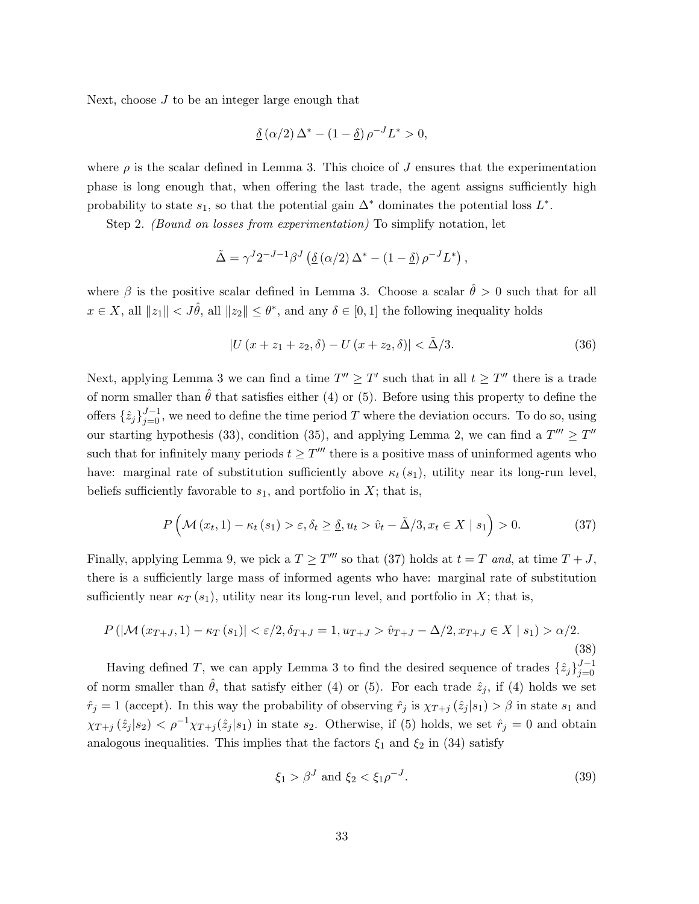Next, choose  $J$  to be an integer large enough that

$$
\underline{\delta}\left(\alpha/2\right)\Delta^* - \left(1 - \underline{\delta}\right)\rho^{-J}L^* > 0,
$$

where  $\rho$  is the scalar defined in Lemma 3. This choice of J ensures that the experimentation phase is long enough that, when offering the last trade, the agent assigns sufficiently high probability to state  $s_1$ , so that the potential gain  $\Delta^*$  dominates the potential loss  $L^*$ .

Step 2. (Bound on losses from experimentation) To simplify notation, let

$$
\tilde{\Delta} = \gamma^{J} 2^{-J-1} \beta^{J} \left( \underline{\delta} (\alpha/2) \Delta^* - (1 - \underline{\delta}) \rho^{-J} L^* \right),
$$

where  $\beta$  is the positive scalar defined in Lemma 3. Choose a scalar  $\hat{\theta} > 0$  such that for all  $x \in X$ , all  $||z_1|| < J\hat{\theta}$ , all  $||z_2|| \leq \theta^*$ , and any  $\delta \in [0,1]$  the following inequality holds

$$
|U(x+z_1+z_2,\delta) - U(x+z_2,\delta)| < \tilde{\Delta}/3. \tag{36}
$$

Next, applying Lemma 3 we can find a time  $T'' \geq T'$  such that in all  $t \geq T''$  there is a trade of norm smaller than  $\hat{\theta}$  that satisfies either (4) or (5). Before using this property to define the offers  $\{\hat{z}_j\}_{j=0}^{J-1}$ , we need to define the time period T where the deviation occurs. To do so, using our starting hypothesis (33), condition (35), and applying Lemma 2, we can find a  $T''' \geq T''$ such that for infinitely many periods  $t \geq T'''$  there is a positive mass of uninformed agents who have: marginal rate of substitution sufficiently above  $\kappa_t(s_1)$ , utility near its long-run level, beliefs sufficiently favorable to  $s_1$ , and portfolio in  $X$ ; that is,

$$
P\left(\mathcal{M}\left(x_{t},1\right)-\kappa_{t}\left(s_{1}\right)>\varepsilon,\delta_{t}\geq\underline{\delta},u_{t}>\hat{v}_{t}-\tilde{\Delta}/3,x_{t}\in X\mid s_{1}\right)>0.\tag{37}
$$

Finally, applying Lemma 9, we pick a  $T \geq T'''$  so that (37) holds at  $t = T$  and, at time  $T + J$ , there is a sufficiently large mass of informed agents who have: marginal rate of substitution sufficiently near  $\kappa_T(s_1)$ , utility near its long-run level, and portfolio in X; that is,

$$
P(|\mathcal{M}(x_{T+J}, 1) - \kappa_T(s_1)| < \varepsilon/2, \delta_{T+J} = 1, u_{T+J} > \hat{v}_{T+J} - \Delta/2, x_{T+J} \in X \mid s_1) > \alpha/2.
$$
\n(38)

Having defined T, we can apply Lemma 3 to find the desired sequence of trades  $\{\hat{z}_j\}_{i=0}^{J-1}$  $j=0$ of norm smaller than  $\hat{\theta}$ , that satisfy either (4) or (5). For each trade  $\hat{z}_j$ , if (4) holds we set  $\hat{r}_j = 1$  (accept). In this way the probability of observing  $\hat{r}_j$  is  $\chi_{T+j}(\hat{z}_j|s_1) > \beta$  in state  $s_1$  and  $\chi_{T+j}(\hat{z}_j | s_2) < \rho^{-1}\chi_{T+j}(\hat{z}_j | s_1)$  in state  $s_2$ . Otherwise, if (5) holds, we set  $\hat{r}_j = 0$  and obtain analogous inequalities. This implies that the factors  $\xi_1$  and  $\xi_2$  in (34) satisfy

$$
\xi_1 > \beta^J \text{ and } \xi_2 < \xi_1 \rho^{-J}.\tag{39}
$$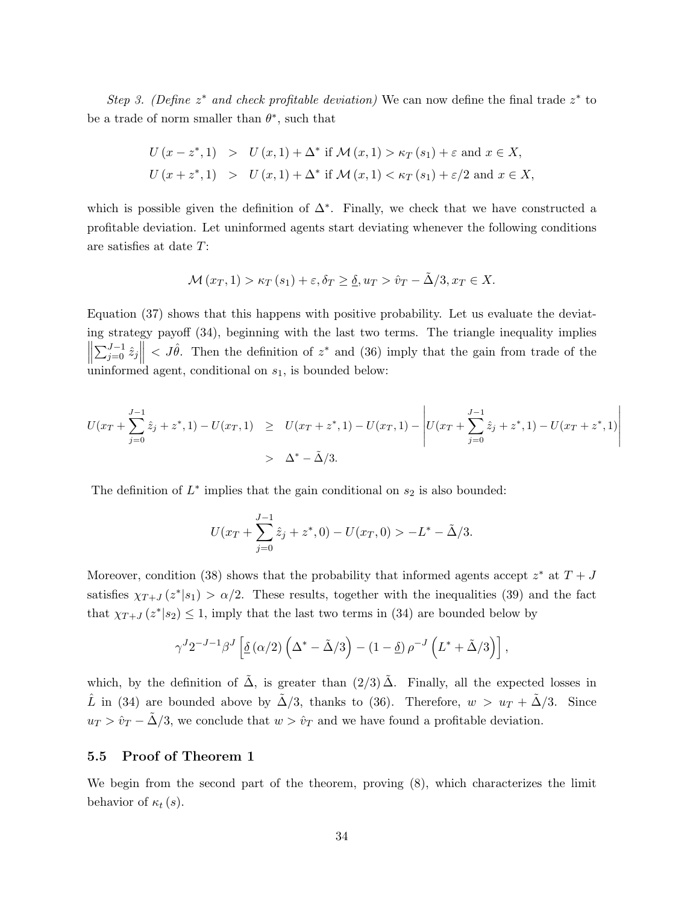Step 3. (Define  $z^*$  and check profitable deviation) We can now define the final trade  $z^*$  to be a trade of norm smaller than  $\theta^*$ , such that

$$
U(x - z^*, 1) > U(x, 1) + \Delta^* \text{ if } \mathcal{M}(x, 1) > \kappa_T(s_1) + \varepsilon \text{ and } x \in X,
$$
  

$$
U(x + z^*, 1) > U(x, 1) + \Delta^* \text{ if } \mathcal{M}(x, 1) < \kappa_T(s_1) + \varepsilon/2 \text{ and } x \in X,
$$

which is possible given the definition of  $\Delta^*$ . Finally, we check that we have constructed a profitable deviation. Let uninformed agents start deviating whenever the following conditions are satisfies at date T:

$$
\mathcal{M}(x_T, 1) > \kappa_T(s_1) + \varepsilon, \delta_T \ge \underline{\delta}, u_T > \hat{v}_T - \tilde{\Delta}/3, x_T \in X.
$$

Equation (37) shows that this happens with positive probability. Let us evaluate the deviating strategy payoff (34), beginning with the last two terms. The triangle inequality implies  $\begin{array}{c} \hline \end{array}$  $\sum_{j=0}^{J-1} \hat{z}_j \Big\| < J\hat{\theta}$ . Then the definition of  $z^*$  and (36) imply that the gain from trade of the uninformed agent, conditional on  $s_1$ , is bounded below:

$$
U(x_T + \sum_{j=0}^{J-1} \hat{z}_j + z^*, 1) - U(x_T, 1) \geq U(x_T + z^*, 1) - U(x_T, 1) - \left| U(x_T + \sum_{j=0}^{J-1} \hat{z}_j + z^*, 1) - U(x_T + z^*, 1) \right|
$$
  
>  $\Delta^* - \tilde{\Delta}/3$ .

The definition of  $L^*$  implies that the gain conditional on  $s_2$  is also bounded:

$$
U(x_T + \sum_{j=0}^{J-1} \hat{z}_j + z^*, 0) - U(x_T, 0) > -L^* - \tilde{\Delta}/3.
$$

Moreover, condition (38) shows that the probability that informed agents accept  $z^*$  at  $T+J$ satisfies  $\chi_{T+J}(z^*|s_1) > \alpha/2$ . These results, together with the inequalities (39) and the fact that  $\chi_{T+J}(z^*|s_2) \leq 1$ , imply that the last two terms in (34) are bounded below by

$$
\gamma^{J} 2^{-J-1} \beta^{J} \left[ \underline{\delta} \left( \alpha/2 \right) \left( \Delta^{*} - \tilde{\Delta}/3 \right) - \left( 1 - \underline{\delta} \right) \rho^{-J} \left( L^{*} + \tilde{\Delta}/3 \right) \right],
$$

which, by the definition of  $\tilde{\Delta}$ , is greater than  $(2/3)\tilde{\Delta}$ . Finally, all the expected losses in  $\hat{L}$  in (34) are bounded above by  $\tilde{\Delta}/3$ , thanks to (36). Therefore,  $w > u_T + \tilde{\Delta}/3$ . Since  $u_T > \hat{v}_T - \tilde{\Delta}/3$ , we conclude that  $w > \hat{v}_T$  and we have found a profitable deviation.

#### 5.5 Proof of Theorem 1

We begin from the second part of the theorem, proving (8), which characterizes the limit behavior of  $\kappa_t(s)$ .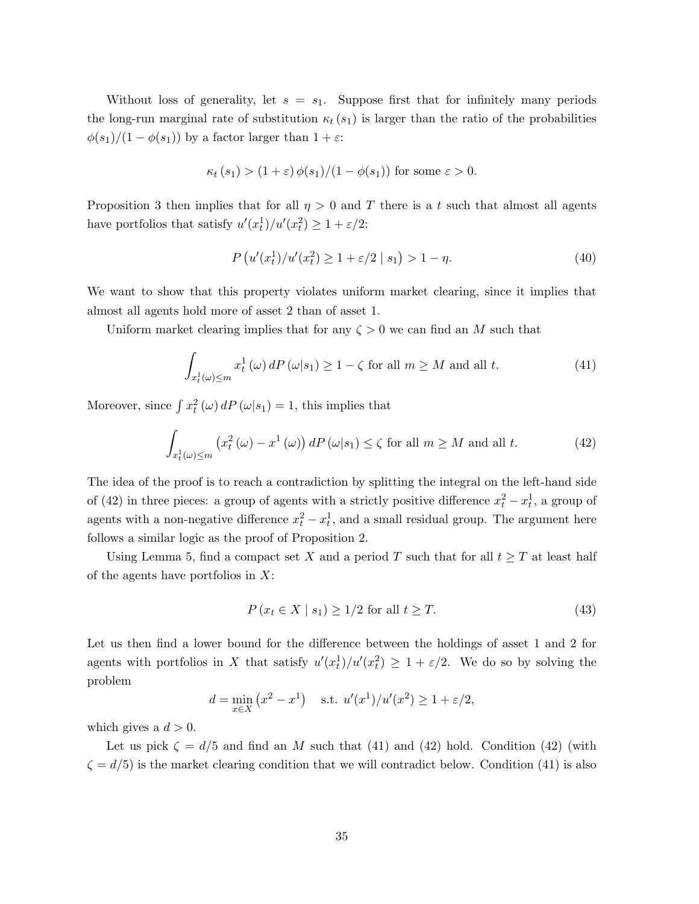Without loss of generality, let  $s = s_1$ . Suppose first that for infinitely many periods the long-run marginal rate of substitution  $\kappa_t(s_1)$  is larger than the ratio of the probabilities  $\phi(s_1)/(1-\phi(s_1))$  by a factor larger than  $1+\varepsilon$ :

$$
\kappa_t(s_1) > (1+\varepsilon)\phi(s_1)/(1-\phi(s_1))
$$
 for some  $\varepsilon > 0$ .

Proposition 3 then implies that for all  $\eta > 0$  and T there is a t such that almost all agents have portfolios that satisfy  $u'(x_t^1)/u'(x_t^2) \geq 1 + \varepsilon/2$ :

$$
P(u'(x_t^1)/u'(x_t^2) \ge 1 + \varepsilon/2 \mid s_1) > 1 - \eta.
$$
\n(40)

We want to show that this property violates uniform market clearing, since it implies that almost all agents hold more of asset 2 than of asset 1.

Uniform market clearing implies that for any  $\zeta > 0$  we can find an M such that

$$
\int_{x_t^1(\omega)\leq m} x_t^1(\omega) dP(\omega|s_1) \geq 1-\zeta \text{ for all } m \geq M \text{ and all } t. \tag{41}
$$

Moreover, since  $\int x_t^2(\omega) dP(\omega|s_1) = 1$ , this implies that

$$
\int_{x_t^1(\omega)\leq m} \left(x_t^2(\omega) - x^1(\omega)\right) dP(\omega|s_1) \leq \zeta \text{ for all } m \geq M \text{ and all } t. \tag{42}
$$

The idea of the proof is to reach a contradiction by splitting the integral on the left-hand side of (42) in three pieces: a group of agents with a strictly positive difference  $x_t^2 - x_t^1$ , a group of agents with a non-negative difference  $x_t^2 - x_t^1$ , and a small residual group. The argument here follows a similar logic as the proof of Proposition 2.

Using Lemma 5, find a compact set X and a period T such that for all  $t \geq T$  at least half of the agents have portfolios in  $X$ :

$$
P(x_t \in X \mid s_1) \ge 1/2 \text{ for all } t \ge T. \tag{43}
$$

Let us then find a lower bound for the difference between the holdings of asset 1 and 2 for agents with portfolios in X that satisfy  $u'(x_t^1)/u'(x_t^2) \geq 1 + \varepsilon/2$ . We do so by solving the problem

$$
d = \min_{x \in X} (x^2 - x^1)
$$
 s.t.  $u'(x^1)/u'(x^2) \ge 1 + \varepsilon/2$ ,

which gives a  $d > 0$ .

Let us pick  $\zeta = d/5$  and find an M such that (41) and (42) hold. Condition (42) (with  $\zeta = d/5$ ) is the market clearing condition that we will contradict below. Condition (41) is also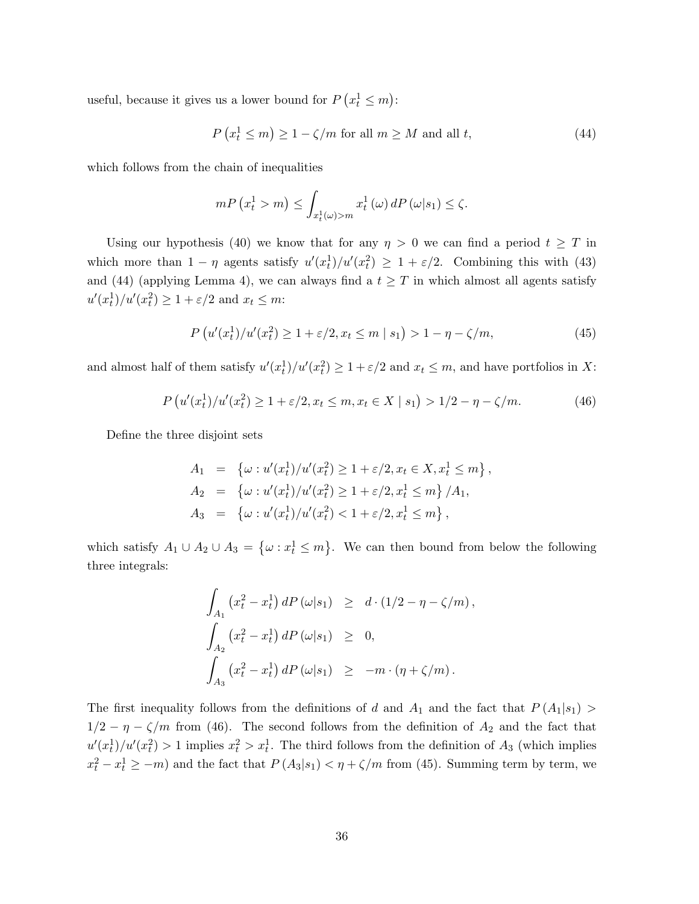useful, because it gives us a lower bound for  $P(x_t^1 \le m)$ :

$$
P(x_t^1 \le m) \ge 1 - \zeta/m \text{ for all } m \ge M \text{ and all } t,
$$
\n(44)

which follows from the chain of inequalities

$$
mP\left(x_t^1 > m\right) \le \int_{x_t^1(\omega) > m} x_t^1\left(\omega\right) dP\left(\omega|s_1\right) \le \zeta.
$$

Using our hypothesis (40) we know that for any  $\eta > 0$  we can find a period  $t \geq T$  in which more than  $1 - \eta$  agents satisfy  $u'(x_t) / u'(x_t) \geq 1 + \varepsilon/2$ . Combining this with (43) and (44) (applying Lemma 4), we can always find a  $t \geq T$  in which almost all agents satisfy  $u'(x_t^1)/u'(x_t^2) \geq 1 + \varepsilon/2$  and  $x_t \leq m$ :

$$
P(u'(x_t^1)/u'(x_t^2) \ge 1 + \varepsilon/2, x_t \le m \mid s_1) > 1 - \eta - \zeta/m,
$$
\n(45)

and almost half of them satisfy  $u'(x_t^1)/u'(x_t^2) \geq 1 + \varepsilon/2$  and  $x_t \leq m$ , and have portfolios in X:

$$
P(u'(x_t^1)/u'(x_t^2) \ge 1 + \varepsilon/2, x_t \le m, x_t \in X \mid s_1) > 1/2 - \eta - \zeta/m.
$$
 (46)

Define the three disjoint sets

$$
A_1 = \{ \omega : u'(x_t^1)/u'(x_t^2) \ge 1 + \varepsilon/2, x_t \in X, x_t^1 \le m \},
$$
  
\n
$$
A_2 = \{ \omega : u'(x_t^1)/u'(x_t^2) \ge 1 + \varepsilon/2, x_t^1 \le m \} / A_1,
$$
  
\n
$$
A_3 = \{ \omega : u'(x_t^1)/u'(x_t^2) < 1 + \varepsilon/2, x_t^1 \le m \},
$$

which satisfy  $A_1 \cup A_2 \cup A_3 = \{\omega : x_t^1 \leq m\}$ . We can then bound from below the following three integrals:

$$
\int_{A_1} (x_t^2 - x_t^1) dP(\omega|s_1) \ge d \cdot (1/2 - \eta - \zeta/m),
$$
  

$$
\int_{A_2} (x_t^2 - x_t^1) dP(\omega|s_1) \ge 0,
$$
  

$$
\int_{A_3} (x_t^2 - x_t^1) dP(\omega|s_1) \ge -m \cdot (\eta + \zeta/m).
$$

The first inequality follows from the definitions of d and  $A_1$  and the fact that  $P(A_1|s_1)$  $1/2 - \eta - \zeta/m$  from (46). The second follows from the definition of  $A_2$  and the fact that  $u'(x_t^1)/u'(x_t^2) > 1$  implies  $x_t^2 > x_t^1$ . The third follows from the definition of  $A_3$  (which implies  $x_t^2 - x_t^1 \ge -m$ ) and the fact that  $P(A_3|s_1) < \eta + \zeta/m$  from (45). Summing term by term, we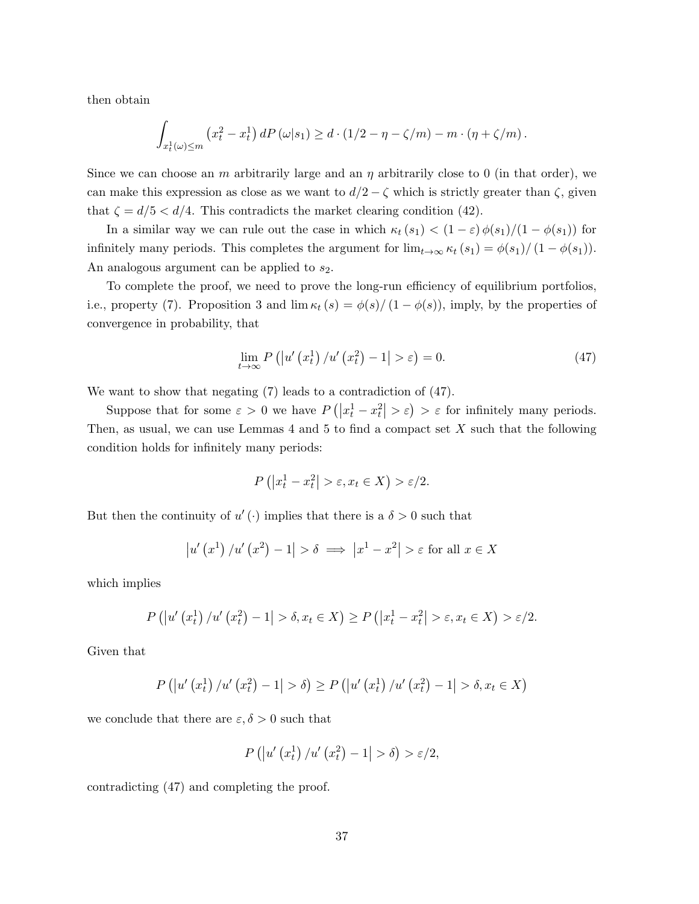then obtain

$$
\int_{x_t^1(\omega)\leq m} \left(x_t^2 - x_t^1\right) dP\left(\omega|s_1\right) \geq d \cdot \left(1/2 - \eta - \zeta/m\right) - m \cdot \left(\eta + \zeta/m\right).
$$

Since we can choose an m arbitrarily large and an  $\eta$  arbitrarily close to 0 (in that order), we can make this expression as close as we want to  $d/2 - \zeta$  which is strictly greater than  $\zeta$ , given that  $\zeta = d/5 < d/4$ . This contradicts the market clearing condition (42).

In a similar way we can rule out the case in which  $\kappa_t(s_1) < (1-\varepsilon)\phi(s_1)/(1-\phi(s_1))$  for infinitely many periods. This completes the argument for  $\lim_{t\to\infty} \kappa_t(s_1) = \phi(s_1)/(1-\phi(s_1)).$ An analogous argument can be applied to  $s_2$ .

To complete the proof, we need to prove the long-run efficiency of equilibrium portfolios, i.e., property (7). Proposition 3 and  $\lim_{k \to \infty} \kappa_t(s) = \phi(s)/(1 - \phi(s))$ , imply, by the properties of convergence in probability, that

$$
\lim_{t \to \infty} P\left( \left| u'\left(x_t^1\right) / u'\left(x_t^2\right) - 1 \right| > \varepsilon \right) = 0. \tag{47}
$$

We want to show that negating (7) leads to a contradiction of (47).

Suppose that for some  $\varepsilon > 0$  we have  $P(|x_t^1 - x_t^2| > \varepsilon) > \varepsilon$  for infinitely many periods. Then, as usual, we can use Lemmas  $4$  and  $5$  to find a compact set  $X$  such that the following condition holds for infinitely many periods:

$$
P(|x_t^1 - x_t^2| > \varepsilon, x_t \in X) > \varepsilon/2.
$$

But then the continuity of  $u'$  ( $\cdot$ ) implies that there is a  $\delta > 0$  such that

$$
\left|u'\left(x^{1}\right)/u'\left(x^{2}\right)-1\right|>\delta \implies \left|x^{1}-x^{2}\right|>\varepsilon \text{ for all } x \in X
$$

which implies

$$
P\left(\left|u'\left(x_t^1\right)/u'\left(x_t^2\right)-1\right|>\delta,x_t\in X\right)\geq P\left(\left|x_t^1-x_t^2\right|>\varepsilon,x_t\in X\right)>\varepsilon/2.
$$

Given that

$$
P(|u'(x_t^1)/u'(x_t^2) - 1| > \delta) \ge P(|u'(x_t^1)/u'(x_t^2) - 1| > \delta, x_t \in X)
$$

we conclude that there are  $\varepsilon, \delta > 0$  such that

$$
P\left(\left|u'\left(x_t^1\right)/u'\left(x_t^2\right)-1\right|>\delta\right)>\varepsilon/2,
$$

contradicting (47) and completing the proof.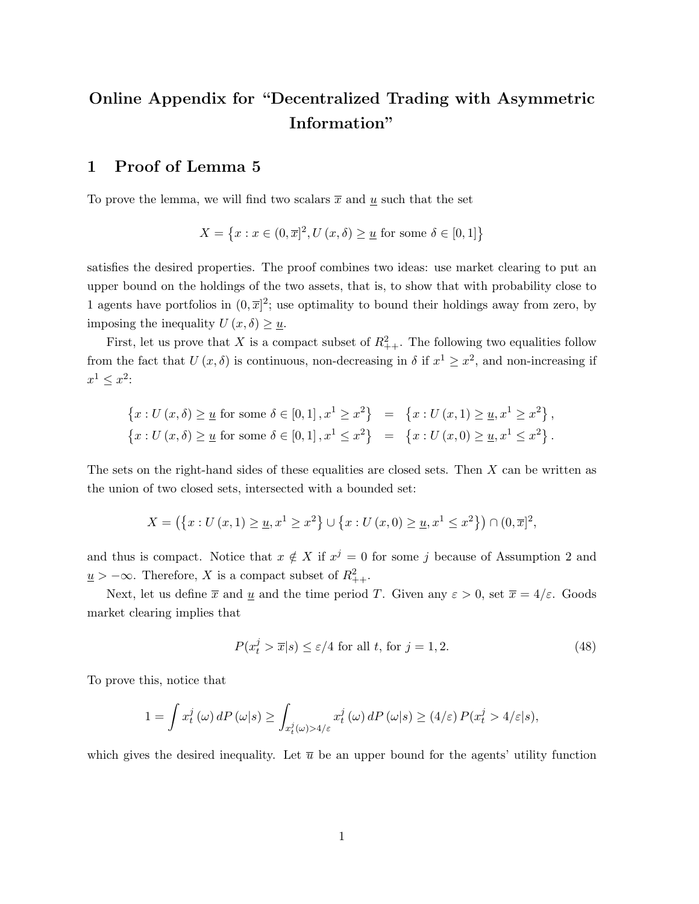# Online Appendix for "Decentralized Trading with Asymmetric Information"

### 1 Proof of Lemma 5

To prove the lemma, we will find two scalars  $\bar{x}$  and  $\underline{u}$  such that the set

$$
X = \left\{ x : x \in (0, \overline{x}]^2, U(x, \delta) \ge \underline{u} \text{ for some } \delta \in [0, 1] \right\}
$$

satisfies the desired properties. The proof combines two ideas: use market clearing to put an upper bound on the holdings of the two assets, that is, to show that with probability close to 1 agents have portfolios in  $(0, \overline{x}]^2$ ; use optimality to bound their holdings away from zero, by imposing the inequality  $U(x, \delta) \geq \underline{u}$ .

First, let us prove that X is a compact subset of  $R_{++}^2$ . The following two equalities follow from the fact that  $U(x, \delta)$  is continuous, non-decreasing in  $\delta$  if  $x^1 \geq x^2$ , and non-increasing if  $x^1 \leq x^2$ 

$$
\begin{aligned}\n\left\{x: U\left(x,\delta\right) \geq \underline{u} \text{ for some } \delta \in [0,1], x^1 \geq x^2\right\} &= \left\{x: U\left(x,1\right) \geq \underline{u}, x^1 \geq x^2\right\}, \\
\left\{x: U\left(x,\delta\right) \geq \underline{u} \text{ for some } \delta \in [0,1], x^1 \leq x^2\right\} &= \left\{x: U\left(x,0\right) \geq \underline{u}, x^1 \leq x^2\right\}.\n\end{aligned}
$$

The sets on the right-hand sides of these equalities are closed sets. Then X can be written as the union of two closed sets, intersected with a bounded set:

$$
X = \left( \left\{ x : U(x,1) \ge \underline{u}, x^1 \ge x^2 \right\} \cup \left\{ x : U(x,0) \ge \underline{u}, x^1 \le x^2 \right\} \right) \cap (0,\overline{x}]^2,
$$

and thus is compact. Notice that  $x \notin X$  if  $x^j = 0$  for some j because of Assumption 2 and  $\underline{u}$  > -∞. Therefore, X is a compact subset of  $R_{++}^2$ .

Next, let us define  $\bar{x}$  and  $\underline{u}$  and the time period T. Given any  $\varepsilon > 0$ , set  $\bar{x} = 4/\varepsilon$ . Goods market clearing implies that

$$
P(x_t^j > \overline{x}|s) \le \varepsilon/4 \text{ for all } t, \text{ for } j = 1, 2. \tag{48}
$$

To prove this, notice that

$$
1 = \int x_t^j(\omega) dP(\omega|s) \ge \int_{x_t^j(\omega) > 4/\varepsilon} x_t^j(\omega) dP(\omega|s) \ge (4/\varepsilon) P(x_t^j > 4/\varepsilon|s),
$$

which gives the desired inequality. Let  $\bar{u}$  be an upper bound for the agents' utility function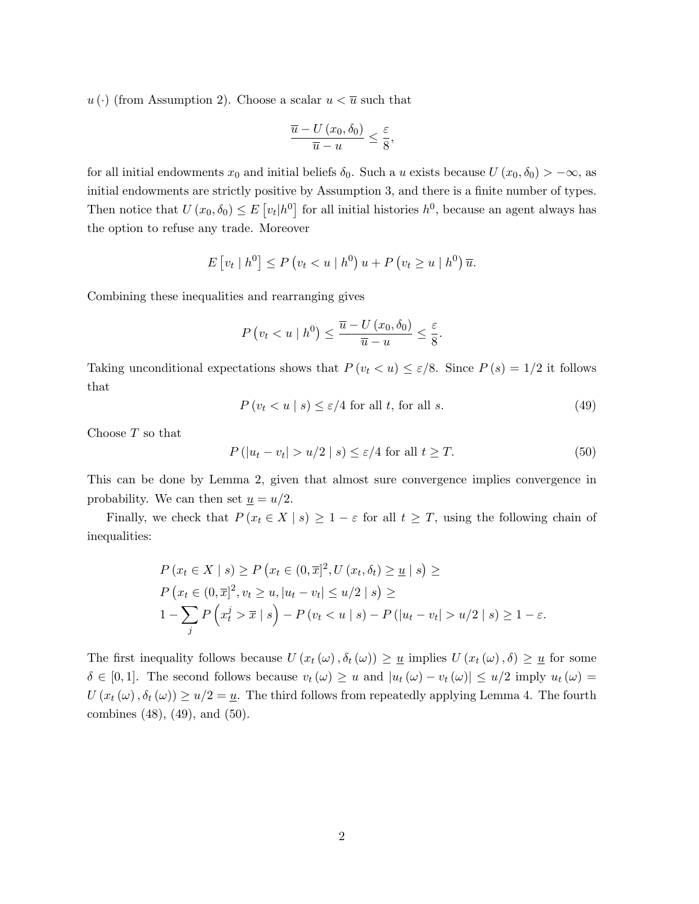$u(\cdot)$  (from Assumption 2). Choose a scalar  $u < \overline{u}$  such that

$$
\frac{\overline{u}-U(x_0,\delta_0)}{\overline{u}-u}\leq \frac{\varepsilon}{8},
$$

for all initial endowments  $x_0$  and initial beliefs  $\delta_0$ . Such a u exists because  $U(x_0, \delta_0) > -\infty$ , as initial endowments are strictly positive by Assumption 3, and there is a finite number of types. Then notice that  $U(x_0, \delta_0) \le E[v_t|h^0]$  for all initial histories  $h^0$ , because an agent always has the option to refuse any trade. Moreover

$$
E[v_t | h^0] \le P(v_t < u | h^0) u + P(v_t \ge u | h^0) \overline{u}.
$$

Combining these inequalities and rearranging gives

$$
P(v_t < u \mid h^0) \leq \frac{\overline{u} - U(x_0, \delta_0)}{\overline{u} - u} \leq \frac{\varepsilon}{8}.
$$

Taking unconditional expectations shows that  $P(v_t < u) \leq \varepsilon/8$ . Since  $P(s) = 1/2$  it follows that

$$
P(v_t < u \mid s) \le \varepsilon/4 \text{ for all } t, \text{ for all } s. \tag{49}
$$

Choose  $T$  so that

$$
P(|u_t - v_t| > u/2 | s) \le \varepsilon/4 \text{ for all } t \ge T. \tag{50}
$$

This can be done by Lemma 2, given that almost sure convergence implies convergence in probability. We can then set  $u = u/2$ .

Finally, we check that  $P(x_t \in X | s) \geq 1 - \varepsilon$  for all  $t \geq T$ , using the following chain of inequalities:

$$
P(x_t \in X \mid s) \ge P(x_t \in (0, \overline{x}]^2, U(x_t, \delta_t) \ge \underline{u} \mid s) \ge
$$
  
\n
$$
P(x_t \in (0, \overline{x}]^2, v_t \ge u, |u_t - v_t| \le u/2 \mid s) \ge
$$
  
\n
$$
1 - \sum_j P(x_t^j > \overline{x} \mid s) - P(v_t < u \mid s) - P(|u_t - v_t| > u/2 \mid s) \ge 1 - \varepsilon.
$$

The first inequality follows because  $U(x_t(\omega), \delta_t(\omega)) \geq \underline{u}$  implies  $U(x_t(\omega), \delta) \geq \underline{u}$  for some  $\delta \in [0,1].$  The second follows because  $v_t(\omega) \geq u$  and  $|u_t(\omega) - v_t(\omega)| \leq u/2$  imply  $u_t(\omega) =$  $U(x_t(\omega), \delta_t(\omega)) \ge u/2 = \underline{u}$ . The third follows from repeatedly applying Lemma 4. The fourth combines (48), (49), and (50).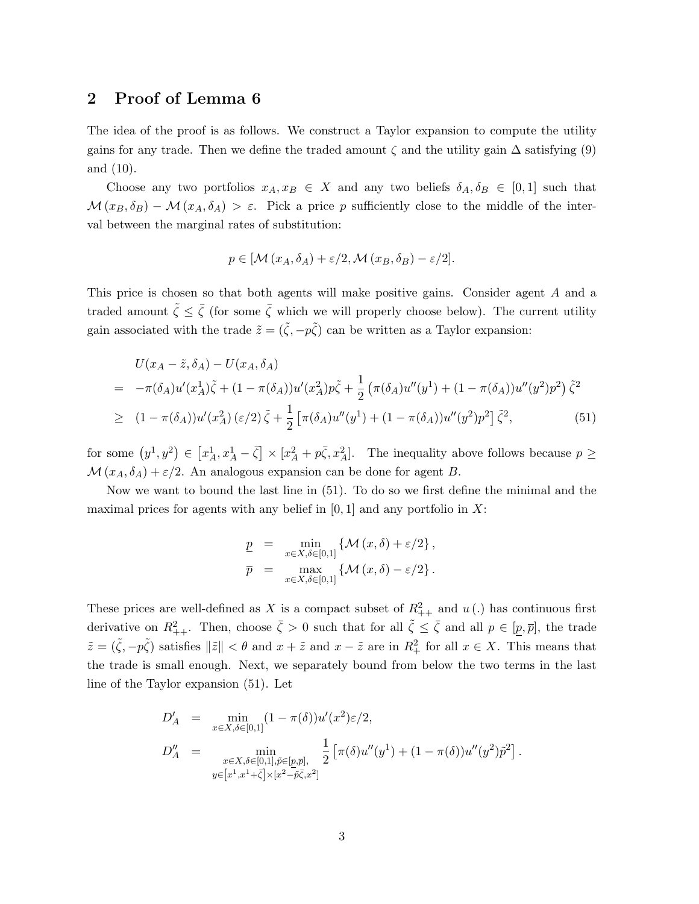### 2 Proof of Lemma 6

The idea of the proof is as follows. We construct a Taylor expansion to compute the utility gains for any trade. Then we define the traded amount  $\zeta$  and the utility gain  $\Delta$  satisfying (9) and (10).

Choose any two portfolios  $x_A, x_B \in X$  and any two beliefs  $\delta_A, \delta_B \in [0,1]$  such that  $\mathcal{M}(x_B, \delta_B) - \mathcal{M}(x_A, \delta_A) > \varepsilon$ . Pick a price p sufficiently close to the middle of the interval between the marginal rates of substitution:

$$
p \in [\mathcal{M}(x_A, \delta_A) + \varepsilon/2, \mathcal{M}(x_B, \delta_B) - \varepsilon/2].
$$

This price is chosen so that both agents will make positive gains. Consider agent A and a traded amount  $\zeta \leq \bar{\zeta}$  (for some  $\bar{\zeta}$  which we will properly choose below). The current utility gain associated with the trade  $\tilde{z} = (\tilde{\zeta}, -p\tilde{\zeta})$  can be written as a Taylor expansion:

$$
U(x_A - \tilde{z}, \delta_A) - U(x_A, \delta_A)
$$
  
=  $-\pi(\delta_A)u'(x_A^1)\tilde{\zeta} + (1 - \pi(\delta_A))u'(x_A^2)p\tilde{\zeta} + \frac{1}{2} (\pi(\delta_A)u''(y^1) + (1 - \pi(\delta_A))u''(y^2)p^2)\tilde{\zeta}^2$   

$$
\geq (1 - \pi(\delta_A))u'(x_A^2)(\varepsilon/2)\tilde{\zeta} + \frac{1}{2} [\pi(\delta_A)u''(y^1) + (1 - \pi(\delta_A))u''(y^2)p^2]\tilde{\zeta}^2,
$$
(51)

for some  $(y^1, y^2) \in [x_A^1, x_A^1 - \bar{\zeta}] \times [x_A^2 + p\bar{\zeta}, x_A^2]$ . The inequality above follows because  $p \geq$  $\mathcal{M}(x_A, \delta_A) + \varepsilon/2$ . An analogous expansion can be done for agent B.

Now we want to bound the last line in (51). To do so we first define the minimal and the maximal prices for agents with any belief in  $[0, 1]$  and any portfolio in X:

$$
\underline{p} = \min_{x \in X, \delta \in [0,1]} \{ \mathcal{M}(x,\delta) + \varepsilon/2 \},
$$
  

$$
\overline{p} = \max_{x \in X, \delta \in [0,1]} \{ \mathcal{M}(x,\delta) - \varepsilon/2 \}.
$$

These prices are well-defined as X is a compact subset of  $R_{++}^2$  and  $u(.)$  has continuous first derivative on  $R_{++}^2$ . Then, choose  $\bar{\zeta} > 0$  such that for all  $\tilde{\zeta} \leq \bar{\zeta}$  and all  $p \in [\underline{p}, \overline{p}]$ , the trade  $\tilde{z} = (\tilde{\zeta}, -p\tilde{\zeta})$  satisfies  $\|\tilde{z}\| < \theta$  and  $x + \tilde{z}$  and  $x - \tilde{z}$  are in  $R_+^2$  for all  $x \in X$ . This means that the trade is small enough. Next, we separately bound from below the two terms in the last line of the Taylor expansion (51). Let

$$
D'_A = \min_{x \in X, \delta \in [0,1]} (1 - \pi(\delta)) u'(x^2) \varepsilon / 2,
$$
  
\n
$$
D''_A = \min_{\substack{x \in X, \delta \in [0,1], \tilde{p} \in [p,\bar{p}], \\ y \in [x^1, x^1 + \bar{\zeta}] \times [x^2 - \tilde{p}\bar{\zeta}, x^2]}} \frac{1}{2} \left[ \pi(\delta) u''(y^1) + (1 - \pi(\delta)) u''(y^2) \tilde{p}^2 \right].
$$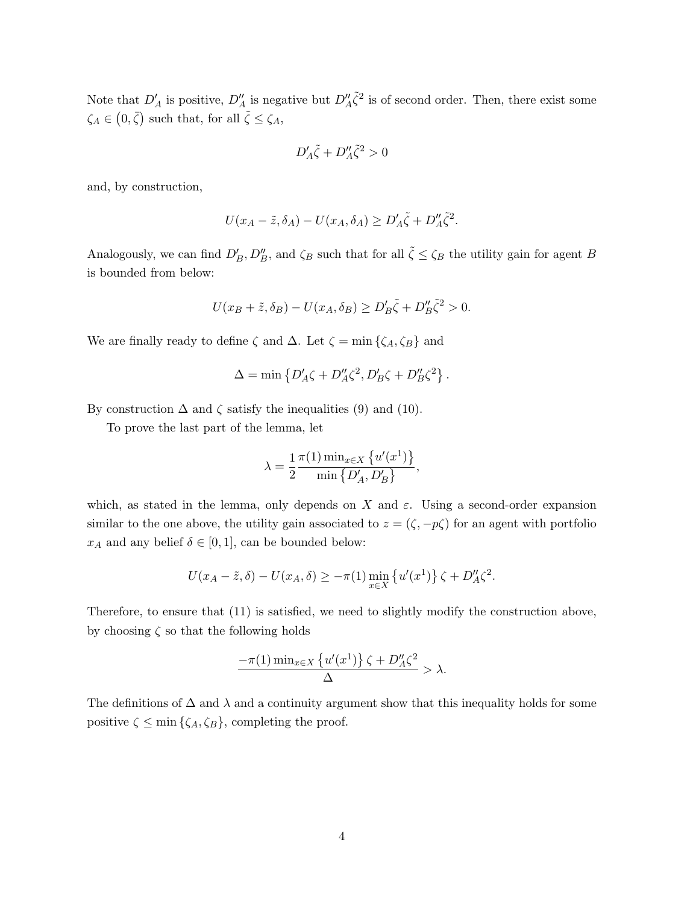Note that  $D'_A$  is positive,  $D''_A$  is negative but  $D''_A \tilde{\zeta}^2$  is of second order. Then, there exist some  $\zeta_A \in (0, \overline{\zeta})$  such that, for all  $\tilde{\zeta} \leq \zeta_A$ ,

$$
D'_A\tilde{\zeta}+D''_A\tilde{\zeta}^2>0
$$

and, by construction,

$$
U(x_A - \tilde{z}, \delta_A) - U(x_A, \delta_A) \ge D'_A \tilde{\zeta} + D''_A \tilde{\zeta}^2.
$$

Analogously, we can find  $D'_B, D''_B$ , and  $\zeta_B$  such that for all  $\tilde{\zeta} \leq \zeta_B$  the utility gain for agent B is bounded from below:

$$
U(x_B + \tilde{z}, \delta_B) - U(x_A, \delta_B) \ge D'_B \tilde{\zeta} + D''_B \tilde{\zeta}^2 > 0.
$$

We are finally ready to define  $\zeta$  and  $\Delta$ . Let  $\zeta = \min \{\zeta_A, \zeta_B\}$  and

$$
\Delta = \min \left\{ D'_A \zeta + D''_A \zeta^2, D'_B \zeta + D''_B \zeta^2 \right\}.
$$

By construction  $\Delta$  and  $\zeta$  satisfy the inequalities (9) and (10).

To prove the last part of the lemma, let

$$
\lambda = \frac{1}{2} \frac{\pi(1) \min_{x \in X} \{u'(x^1)\}}{\min \{D'_A, D'_B\}},
$$

which, as stated in the lemma, only depends on X and  $\varepsilon$ . Using a second-order expansion similar to the one above, the utility gain associated to  $z = (\zeta, -p\zeta)$  for an agent with portfolio  $x_A$  and any belief  $\delta \in [0,1]$ , can be bounded below:

$$
U(x_A - \tilde{z}, \delta) - U(x_A, \delta) \ge -\pi(1) \min_{x \in X} \{u'(x^1)\} \zeta + D''_A \zeta^2.
$$

Therefore, to ensure that (11) is satisfied, we need to slightly modify the construction above, by choosing  $\zeta$  so that the following holds

$$
\frac{-\pi(1)\min_{x\in X}\left\{u'(x^1)\right\}\zeta + D''_A\zeta^2}{\Delta} > \lambda.
$$

The definitions of  $\Delta$  and  $\lambda$  and a continuity argument show that this inequality holds for some positive  $\zeta \le \min{\{\zeta_A, \zeta_B\}}$ , completing the proof.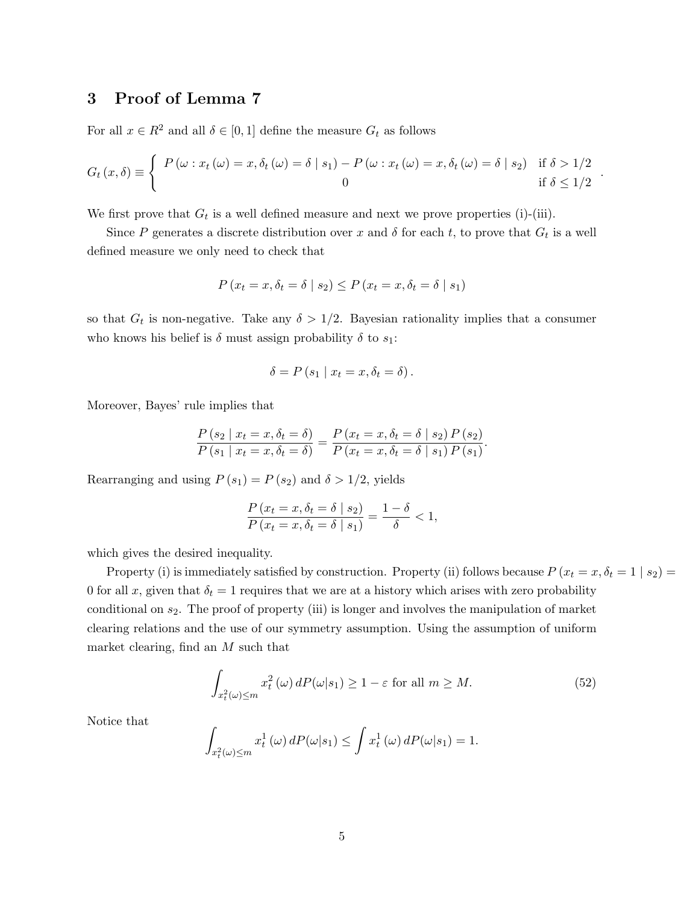# 3 Proof of Lemma 7

For all  $x \in R^2$  and all  $\delta \in [0,1]$  define the measure  $G_t$  as follows

$$
G_t(x,\delta) \equiv \begin{cases} P(\omega : x_t(\omega) = x, \delta_t(\omega) = \delta | s_1) - P(\omega : x_t(\omega) = x, \delta_t(\omega) = \delta | s_2) & \text{if } \delta > 1/2 \\ 0 & \text{if } \delta \le 1/2 \end{cases}
$$

.

We first prove that  $G_t$  is a well defined measure and next we prove properties (i)-(iii).

Since P generates a discrete distribution over x and  $\delta$  for each t, to prove that  $G_t$  is a well defined measure we only need to check that

$$
P(x_t = x, \delta_t = \delta \mid s_2) \le P(x_t = x, \delta_t = \delta \mid s_1)
$$

so that  $G_t$  is non-negative. Take any  $\delta > 1/2$ . Bayesian rationality implies that a consumer who knows his belief is  $\delta$  must assign probability  $\delta$  to  $s_1$ :

$$
\delta = P(s_1 \mid x_t = x, \delta_t = \delta).
$$

Moreover, Bayes' rule implies that

$$
\frac{P(s_2 \mid x_t = x, \delta_t = \delta)}{P(s_1 \mid x_t = x, \delta_t = \delta)} = \frac{P(x_t = x, \delta_t = \delta \mid s_2) P(s_2)}{P(x_t = x, \delta_t = \delta \mid s_1) P(s_1)}.
$$

Rearranging and using  $P(s_1) = P(s_2)$  and  $\delta > 1/2$ , yields

$$
\frac{P(x_t = x, \delta_t = \delta \mid s_2)}{P(x_t = x, \delta_t = \delta \mid s_1)} = \frac{1 - \delta}{\delta} < 1,
$$

which gives the desired inequality.

Property (i) is immediately satisfied by construction. Property (ii) follows because  $P(x_t = x, \delta_t = 1 | s_2)$ 0 for all x, given that  $\delta_t = 1$  requires that we are at a history which arises with zero probability conditional on  $s_2$ . The proof of property (iii) is longer and involves the manipulation of market clearing relations and the use of our symmetry assumption. Using the assumption of uniform market clearing, find an M such that

$$
\int_{x_{t}^{2}(\omega)\leq m} x_{t}^{2}(\omega) dP(\omega|s_{1}) \geq 1 - \varepsilon \text{ for all } m \geq M.
$$
\n(52)

Notice that

$$
\int_{x_t^2(\omega)\leq m} x_t^1(\omega) dP(\omega|s_1) \leq \int x_t^1(\omega) dP(\omega|s_1) = 1.
$$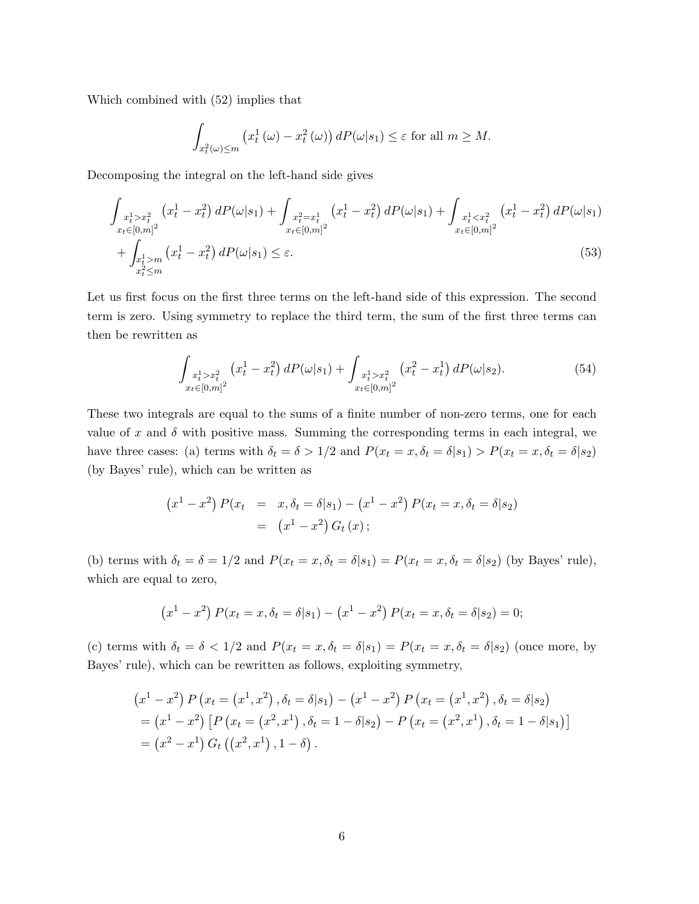Which combined with (52) implies that

$$
\int_{x_t^2(\omega)\leq m} \left( x_t^1(\omega) - x_t^2(\omega) \right) dP(\omega|s_1) \leq \varepsilon \text{ for all } m \geq M.
$$

Decomposing the integral on the left-hand side gives

$$
\int_{\substack{x_t^1 > x_t^2 \\ x_t \in [0,m]^2}} \left( x_t^1 - x_t^2 \right) dP(\omega|s_1) + \int_{\substack{x_t^2 = x_t^1 \\ x_t \in [0,m]^2}} \left( x_t^1 - x_t^2 \right) dP(\omega|s_1) + \int_{\substack{x_t^1 < x_t^2 \\ x_t \in [0,m]^2}} \left( x_t^1 - x_t^2 \right) dP(\omega|s_1) \le \varepsilon.
$$
\n
$$
+ \int_{\substack{x_t^1 > m \\ x_t^2 \le m}} \left( x_t^1 - x_t^2 \right) dP(\omega|s_1) \le \varepsilon.
$$
\n
$$
(53)
$$

Let us first focus on the first three terms on the left-hand side of this expression. The second term is zero. Using symmetry to replace the third term, the sum of the first three terms can then be rewritten as

$$
\int_{\substack{x_t^1 > x_t^2 \\ x_t \in [0,m]^2}} \left( x_t^1 - x_t^2 \right) dP(\omega|s_1) + \int_{\substack{x_t^1 > x_t^2 \\ x_t \in [0,m]^2}} \left( x_t^2 - x_t^1 \right) dP(\omega|s_2). \tag{54}
$$

These two integrals are equal to the sums of a finite number of non-zero terms, one for each value of x and  $\delta$  with positive mass. Summing the corresponding terms in each integral, we have three cases: (a) terms with  $\delta_t = \delta > 1/2$  and  $P(x_t = x, \delta_t = \delta | s_1) > P(x_t = x, \delta_t = \delta | s_2)$ (by Bayes' rule), which can be written as

$$
(x1 - x2) P(xt = x, \deltat = \delta | s1) - (x1 - x2) P(xt = x, \deltat = \delta | s2)
$$
  
= (x<sup>1</sup> - x<sup>2</sup>) G<sub>t</sub>(x);

(b) terms with  $\delta_t = \delta = 1/2$  and  $P(x_t = x, \delta_t = \delta | s_1) = P(x_t = x, \delta_t = \delta | s_2)$  (by Bayes' rule), which are equal to zero,

$$
(x1 - x2) P(xt = x, \deltat = \delta | s1) - (x1 - x2) P(xt = x, \deltat = \delta | s2) = 0;
$$

(c) terms with  $\delta_t = \delta < 1/2$  and  $P(x_t = x, \delta_t = \delta | s_1) = P(x_t = x, \delta_t = \delta | s_2)$  (once more, by Bayes' rule), which can be rewritten as follows, exploiting symmetry,

$$
(x^{1} - x^{2}) P (x_{t} = (x^{1}, x^{2}), \delta_{t} = \delta | s_{1}) - (x^{1} - x^{2}) P (x_{t} = (x^{1}, x^{2}), \delta_{t} = \delta | s_{2})
$$
  
=  $(x^{1} - x^{2}) [P (x_{t} = (x^{2}, x^{1}), \delta_{t} = 1 - \delta | s_{2}) - P (x_{t} = (x^{2}, x^{1}), \delta_{t} = 1 - \delta | s_{1})]$   
=  $(x^{2} - x^{1}) G_{t} ((x^{2}, x^{1}), 1 - \delta).$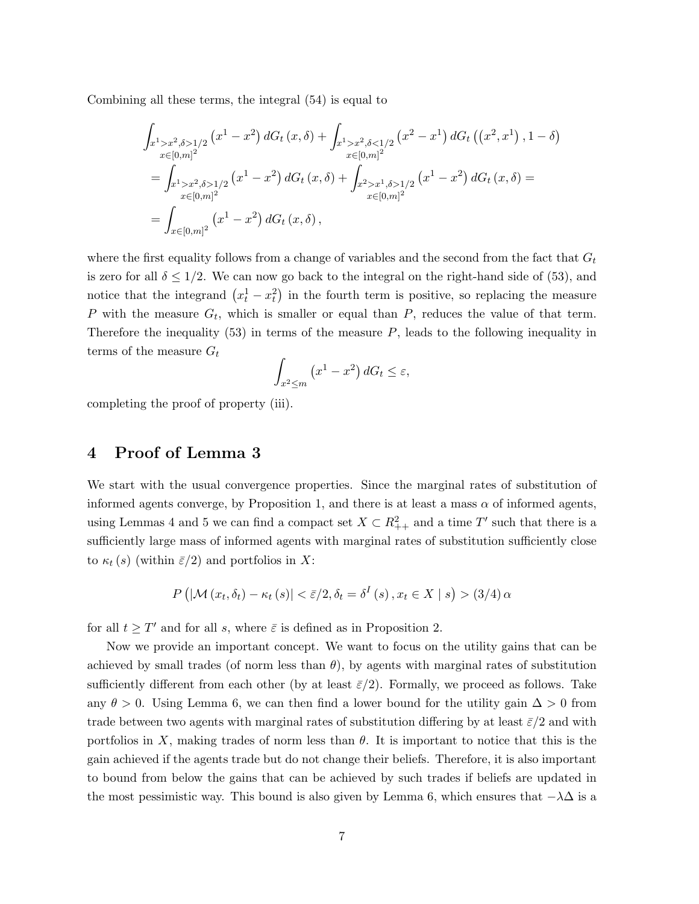Combining all these terms, the integral (54) is equal to

$$
\int_{x^1 > x^2, \delta > 1/2} \left( x^1 - x^2 \right) dG_t \left( x, \delta \right) + \int_{x^1 > x^2, \delta < 1/2} \left( x^2 - x^1 \right) dG_t \left( \left( x^2, x^1 \right), 1 - \delta \right)
$$
\n
$$
= \int_{x^1 > x^2, \delta > 1/2} \left( x^1 - x^2 \right) dG_t \left( x, \delta \right) + \int_{x^2 > x^1, \delta > 1/2} \left( x^1 - x^2 \right) dG_t \left( x, \delta \right) =
$$
\n
$$
= \int_{x \in [0, m]^2} \left( x^1 - x^2 \right) dG_t \left( x, \delta \right),
$$
\n
$$
= \int_{x \in [0, m]^2} \left( x^1 - x^2 \right) dG_t \left( x, \delta \right),
$$

where the first equality follows from a change of variables and the second from the fact that  $G_t$ is zero for all  $\delta \leq 1/2$ . We can now go back to the integral on the right-hand side of (53), and notice that the integrand  $(x_t^1 - x_t^2)$  in the fourth term is positive, so replacing the measure P with the measure  $G_t$ , which is smaller or equal than P, reduces the value of that term. Therefore the inequality  $(53)$  in terms of the measure  $P$ , leads to the following inequality in terms of the measure  $G_t$ 

$$
\int_{x^2 \le m} \left( x^1 - x^2 \right) dG_t \le \varepsilon,
$$

completing the proof of property (iii).

# 4 Proof of Lemma 3

We start with the usual convergence properties. Since the marginal rates of substitution of informed agents converge, by Proposition 1, and there is at least a mass  $\alpha$  of informed agents, using Lemmas 4 and 5 we can find a compact set  $X \subset R_{++}^2$  and a time T' such that there is a sufficiently large mass of informed agents with marginal rates of substitution sufficiently close to  $\kappa_t(s)$  (within  $\bar{\varepsilon}/2$ ) and portfolios in X:

$$
P\left(|\mathcal{M}\left(x_t,\delta_t\right)-\kappa_t\left(s\right)|<\bar{\varepsilon}/2,\delta_t=\delta^I\left(s\right),x_t\in X\mid s\right)>(3/4)\,\alpha
$$

for all  $t \geq T'$  and for all s, where  $\bar{\varepsilon}$  is defined as in Proposition 2.

Now we provide an important concept. We want to focus on the utility gains that can be achieved by small trades (of norm less than  $\theta$ ), by agents with marginal rates of substitution sufficiently different from each other (by at least  $\bar{\varepsilon}/2$ ). Formally, we proceed as follows. Take any  $\theta > 0$ . Using Lemma 6, we can then find a lower bound for the utility gain  $\Delta > 0$  from trade between two agents with marginal rates of substitution differing by at least  $\bar{\varepsilon}/2$  and with portfolios in X, making trades of norm less than  $\theta$ . It is important to notice that this is the gain achieved if the agents trade but do not change their beliefs. Therefore, it is also important to bound from below the gains that can be achieved by such trades if beliefs are updated in the most pessimistic way. This bound is also given by Lemma 6, which ensures that  $-\lambda\Delta$  is a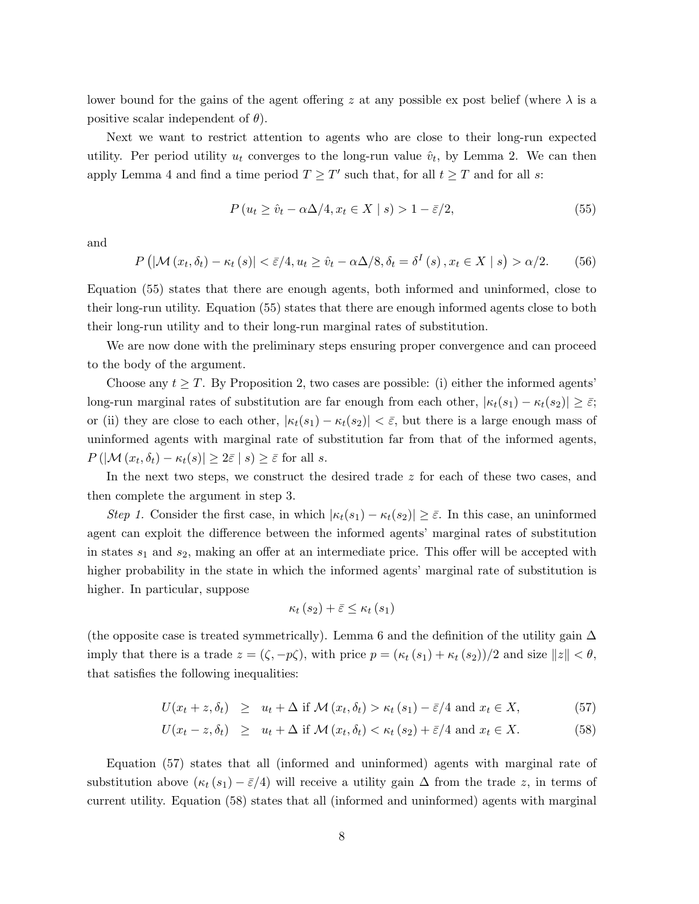lower bound for the gains of the agent offering z at any possible ex post belief (where  $\lambda$  is a positive scalar independent of  $\theta$ ).

Next we want to restrict attention to agents who are close to their long-run expected utility. Per period utility  $u_t$  converges to the long-run value  $\hat{v}_t$ , by Lemma 2. We can then apply Lemma 4 and find a time period  $T \geq T'$  such that, for all  $t \geq T$  and for all s:

$$
P(u_t \ge \hat{v}_t - \alpha \Delta/4, x_t \in X \mid s) > 1 - \bar{\varepsilon}/2,
$$
\n
$$
(55)
$$

and

$$
P\left(|\mathcal{M}\left(x_t,\delta_t\right)-\kappa_t\left(s\right)|<\bar{\varepsilon}/4,u_t\geq \hat{v}_t-\alpha\Delta/8,\delta_t=\delta^I\left(s\right),x_t\in X\mid s\right) > \alpha/2. \tag{56}
$$

Equation (55) states that there are enough agents, both informed and uninformed, close to their long-run utility. Equation (55) states that there are enough informed agents close to both their long-run utility and to their long-run marginal rates of substitution.

We are now done with the preliminary steps ensuring proper convergence and can proceed to the body of the argument.

Choose any  $t \geq T$ . By Proposition 2, two cases are possible: (i) either the informed agents' long-run marginal rates of substitution are far enough from each other,  $|\kappa_t(s_1) - \kappa_t(s_2)| \geq \bar{\varepsilon};$ or (ii) they are close to each other,  $|\kappa_t(s_1) - \kappa_t(s_2)| < \bar{\varepsilon}$ , but there is a large enough mass of uninformed agents with marginal rate of substitution far from that of the informed agents,  $P(|\mathcal{M}(x_t, \delta_t) - \kappa_t(s)| \geq 2\bar{\varepsilon} \mid s) \geq \bar{\varepsilon}$  for all s.

In the next two steps, we construct the desired trade z for each of these two cases, and then complete the argument in step 3.

Step 1. Consider the first case, in which  $|\kappa_t(s_1) - \kappa_t(s_2)| \geq \bar{\varepsilon}$ . In this case, an uninformed agent can exploit the difference between the informed agents' marginal rates of substitution in states  $s_1$  and  $s_2$ , making an offer at an intermediate price. This offer will be accepted with higher probability in the state in which the informed agents' marginal rate of substitution is higher. In particular, suppose

$$
\kappa_t(s_2) + \bar{\varepsilon} \leq \kappa_t(s_1)
$$

(the opposite case is treated symmetrically). Lemma 6 and the definition of the utility gain  $\Delta$ imply that there is a trade  $z = (\zeta, -p\zeta)$ , with price  $p = (\kappa_t (s_1) + \kappa_t (s_2))/2$  and size  $||z|| < \theta$ , that satisfies the following inequalities:

$$
U(x_t + z, \delta_t) \geq u_t + \Delta \text{ if } \mathcal{M}(x_t, \delta_t) > \kappa_t(s_1) - \bar{\varepsilon}/4 \text{ and } x_t \in X,
$$
 (57)

$$
U(x_t - z, \delta_t) \geq u_t + \Delta \text{ if } \mathcal{M}(x_t, \delta_t) < \kappa_t(s_2) + \bar{\varepsilon}/4 \text{ and } x_t \in X. \tag{58}
$$

Equation (57) states that all (informed and uninformed) agents with marginal rate of substitution above  $(\kappa_t(s_1) - \bar{\varepsilon}/4)$  will receive a utility gain  $\Delta$  from the trade z, in terms of current utility. Equation (58) states that all (informed and uninformed) agents with marginal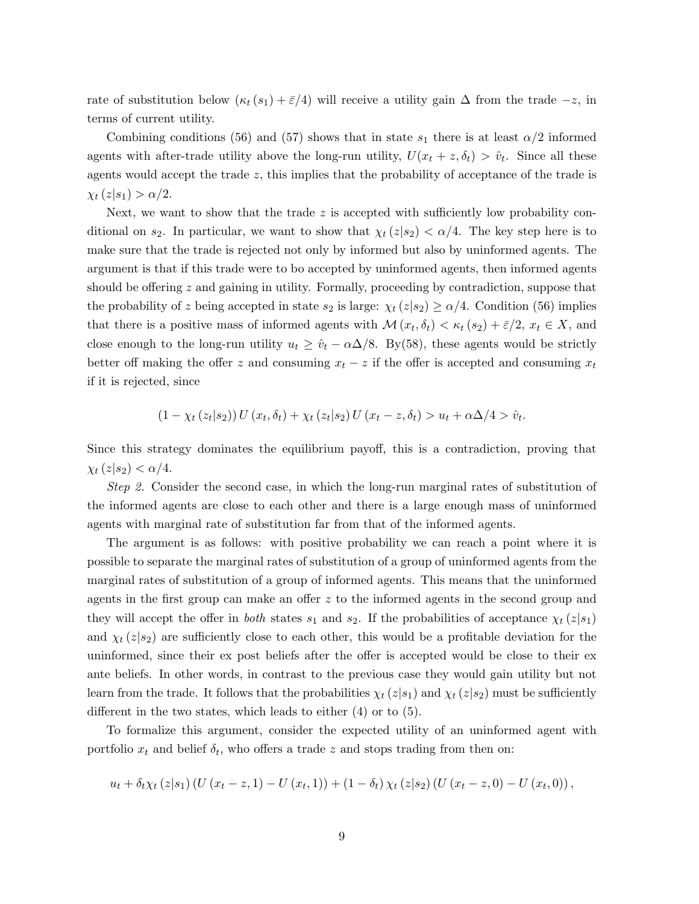rate of substitution below  $(\kappa_t (s_1) + \bar{\varepsilon}/4)$  will receive a utility gain  $\Delta$  from the trade  $-z$ , in terms of current utility.

Combining conditions (56) and (57) shows that in state  $s_1$  there is at least  $\alpha/2$  informed agents with after-trade utility above the long-run utility,  $U(x_t + z, \delta_t) > \hat{v}_t$ . Since all these agents would accept the trade z, this implies that the probability of acceptance of the trade is  $\chi_t(z|s_1) > \alpha/2.$ 

Next, we want to show that the trade  $z$  is accepted with sufficiently low probability conditional on  $s_2$ . In particular, we want to show that  $\chi_t(z|s_2) < \alpha/4$ . The key step here is to make sure that the trade is rejected not only by informed but also by uninformed agents. The argument is that if this trade were to bo accepted by uninformed agents, then informed agents should be offering z and gaining in utility. Formally, proceeding by contradiction, suppose that the probability of z being accepted in state  $s_2$  is large:  $\chi_t(z|s_2) \geq \alpha/4$ . Condition (56) implies that there is a positive mass of informed agents with  $\mathcal{M}(x_t, \delta_t) < \kappa_t(s_2) + \bar{\varepsilon}/2$ ,  $x_t \in X$ , and close enough to the long-run utility  $u_t \geq \hat{v}_t - \alpha \Delta/8$ . By(58), these agents would be strictly better off making the offer z and consuming  $x_t - z$  if the offer is accepted and consuming  $x_t$ if it is rejected, since

$$
(1 - \chi_t(z_t|s_2)) U(x_t, \delta_t) + \chi_t(z_t|s_2) U(x_t - z, \delta_t) > u_t + \alpha \Delta/4 > \hat{v}_t.
$$

Since this strategy dominates the equilibrium payoff, this is a contradiction, proving that  $\chi_t(z|s_2) < \alpha/4.$ 

Step 2. Consider the second case, in which the long-run marginal rates of substitution of the informed agents are close to each other and there is a large enough mass of uninformed agents with marginal rate of substitution far from that of the informed agents.

The argument is as follows: with positive probability we can reach a point where it is possible to separate the marginal rates of substitution of a group of uninformed agents from the marginal rates of substitution of a group of informed agents. This means that the uninformed agents in the first group can make an offer z to the informed agents in the second group and they will accept the offer in *both* states  $s_1$  and  $s_2$ . If the probabilities of acceptance  $\chi_t(z|s_1)$ and  $\chi_t(z|s_2)$  are sufficiently close to each other, this would be a profitable deviation for the uninformed, since their ex post beliefs after the offer is accepted would be close to their ex ante beliefs. In other words, in contrast to the previous case they would gain utility but not learn from the trade. It follows that the probabilities  $\chi_t(z|s_1)$  and  $\chi_t(z|s_2)$  must be sufficiently different in the two states, which leads to either (4) or to (5).

To formalize this argument, consider the expected utility of an uninformed agent with portfolio  $x_t$  and belief  $\delta_t$ , who offers a trade z and stops trading from then on:

$$
u_{t} + \delta_{t} \chi_{t} (z|s_{1}) (U (x_{t} - z, 1) - U (x_{t}, 1)) + (1 - \delta_{t}) \chi_{t} (z|s_{2}) (U (x_{t} - z, 0) - U (x_{t}, 0)),
$$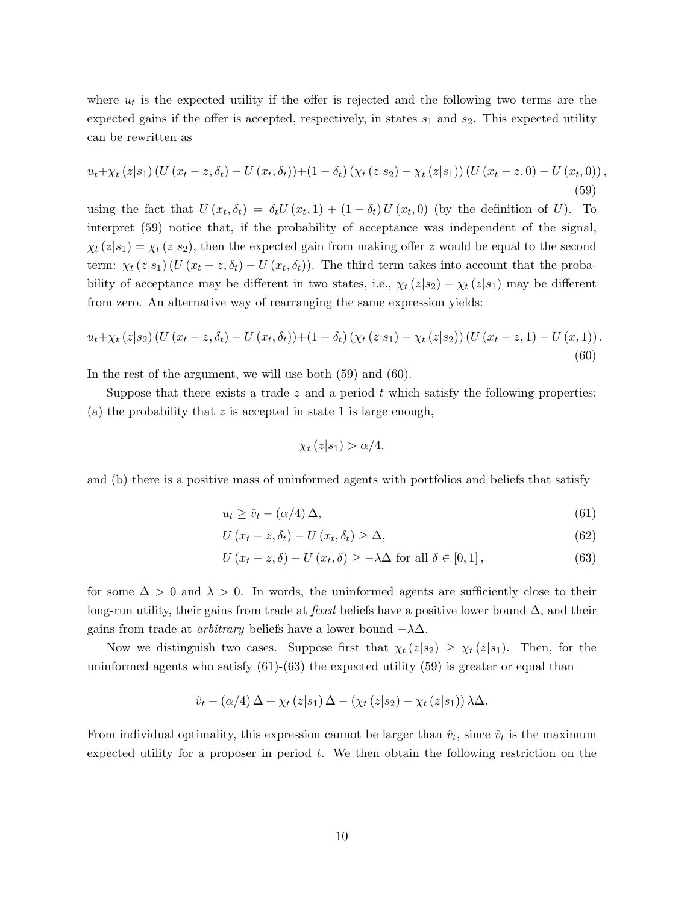where  $u_t$  is the expected utility if the offer is rejected and the following two terms are the expected gains if the offer is accepted, respectively, in states  $s_1$  and  $s_2$ . This expected utility can be rewritten as

$$
u_{t} + \chi_{t}(z|s_{1}) \left( U(x_{t} - z, \delta_{t}) - U(x_{t}, \delta_{t}) \right) + (1 - \delta_{t}) \left( \chi_{t}(z|s_{2}) - \chi_{t}(z|s_{1}) \right) \left( U(x_{t} - z, 0) - U(x_{t}, 0) \right),\tag{59}
$$

using the fact that  $U(x_t, \delta_t) = \delta_t U(x_t, 1) + (1 - \delta_t) U(x_t, 0)$  (by the definition of U). To interpret (59) notice that, if the probability of acceptance was independent of the signal,  $\chi_t(z|s_1) = \chi_t(z|s_2)$ , then the expected gain from making offer z would be equal to the second term:  $\chi_t(z|s_1)$   $(U(x_t-z,\delta_t)-U(x_t,\delta_t))$ . The third term takes into account that the probability of acceptance may be different in two states, i.e.,  $\chi_t(z|s_2) - \chi_t(z|s_1)$  may be different from zero. An alternative way of rearranging the same expression yields:

$$
u_{t} + \chi_{t}(z|s_{2}) \left( U(x_{t} - z, \delta_{t}) - U(x_{t}, \delta_{t}) \right) + (1 - \delta_{t}) \left( \chi_{t}(z|s_{1}) - \chi_{t}(z|s_{2}) \right) \left( U(x_{t} - z, 1) - U(x, 1) \right). \tag{60}
$$

In the rest of the argument, we will use both (59) and (60).

Suppose that there exists a trade  $z$  and a period  $t$  which satisfy the following properties: (a) the probability that  $z$  is accepted in state 1 is large enough,

$$
\chi_t(z|s_1) > \alpha/4,
$$

and (b) there is a positive mass of uninformed agents with portfolios and beliefs that satisfy

$$
u_t \ge \hat{v}_t - (\alpha/4) \,\Delta,\tag{61}
$$

$$
U(x_t - z, \delta_t) - U(x_t, \delta_t) \ge \Delta,\tag{62}
$$

$$
U(x_t - z, \delta) - U(x_t, \delta) \ge -\lambda \Delta \text{ for all } \delta \in [0, 1],
$$
\n(63)

for some  $\Delta > 0$  and  $\lambda > 0$ . In words, the uninformed agents are sufficiently close to their long-run utility, their gains from trade at *fixed* beliefs have a positive lower bound  $\Delta$ , and their gains from trade at *arbitrary* beliefs have a lower bound  $-\lambda\Delta$ .

Now we distinguish two cases. Suppose first that  $\chi_t(z|s_2) \geq \chi_t(z|s_1)$ . Then, for the uninformed agents who satisfy  $(61)$ - $(63)$  the expected utility  $(59)$  is greater or equal than

$$
\hat{v}_t - (\alpha/4) \Delta + \chi_t(z|s_1) \Delta - (\chi_t(z|s_2) - \chi_t(z|s_1)) \lambda \Delta.
$$

From individual optimality, this expression cannot be larger than  $\hat{v}_t$ , since  $\hat{v}_t$  is the maximum expected utility for a proposer in period  $t$ . We then obtain the following restriction on the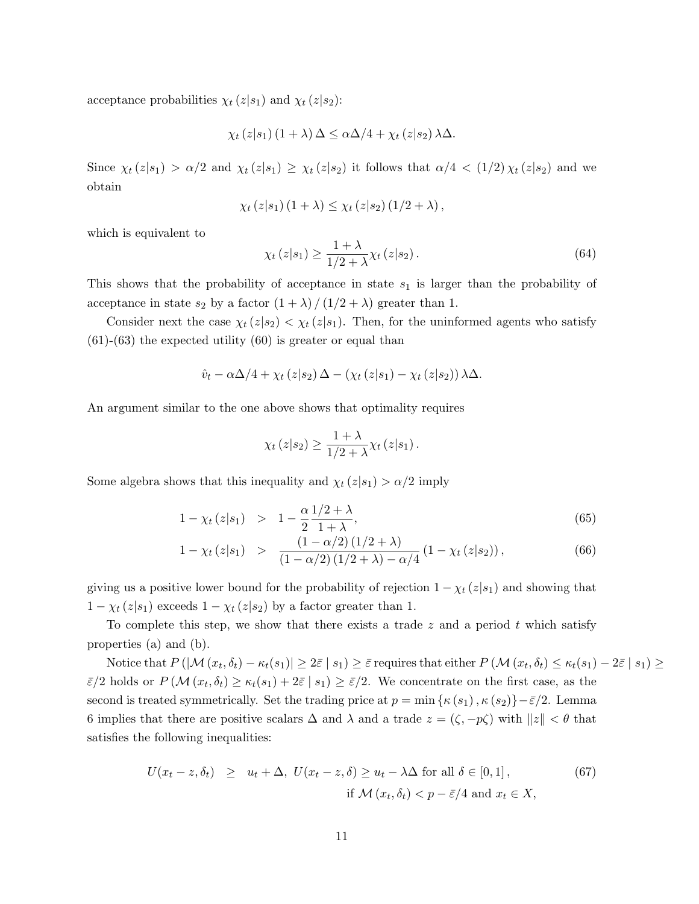acceptance probabilities  $\chi_t(z|s_1)$  and  $\chi_t(z|s_2)$ :

$$
\chi_t(z|s_1) (1+\lambda) \Delta \leq \alpha \Delta/4 + \chi_t(z|s_2) \lambda \Delta.
$$

Since  $\chi_t(z|s_1) > \alpha/2$  and  $\chi_t(z|s_1) \geq \chi_t(z|s_2)$  it follows that  $\alpha/4 < (1/2)\chi_t(z|s_2)$  and we obtain

$$
\chi_t(z|s_1)(1+\lambda) \leq \chi_t(z|s_2)(1/2+\lambda),
$$

which is equivalent to

$$
\chi_t(z|s_1) \ge \frac{1+\lambda}{1/2+\lambda} \chi_t(z|s_2). \tag{64}
$$

This shows that the probability of acceptance in state  $s_1$  is larger than the probability of acceptance in state  $s_2$  by a factor  $(1 + \lambda) / (1/2 + \lambda)$  greater than 1.

Consider next the case  $\chi_t(z|s_2) < \chi_t(z|s_1)$ . Then, for the uninformed agents who satisfy  $(61)$ - $(63)$  the expected utility  $(60)$  is greater or equal than

$$
\hat{v}_t - \alpha \Delta/4 + \chi_t(z|s_2) \Delta - (\chi_t(z|s_1) - \chi_t(z|s_2)) \lambda \Delta.
$$

An argument similar to the one above shows that optimality requires

$$
\chi_t(z|s_2) \geq \frac{1+\lambda}{1/2+\lambda} \chi_t(z|s_1).
$$

Some algebra shows that this inequality and  $\chi_t(z|s_1) > \alpha/2$  imply

$$
1 - \chi_t(z|s_1) > 1 - \frac{\alpha}{2} \frac{1/2 + \lambda}{1 + \lambda},
$$
\n(65)

$$
1 - \chi_t(z|s_1) > \frac{(1 - \alpha/2) (1/2 + \lambda)}{(1 - \alpha/2) (1/2 + \lambda) - \alpha/4} (1 - \chi_t(z|s_2)),
$$
\n(66)

giving us a positive lower bound for the probability of rejection  $1 - \chi_t(z|s_1)$  and showing that  $1 - \chi_t(z|s_1)$  exceeds  $1 - \chi_t(z|s_2)$  by a factor greater than 1.

To complete this step, we show that there exists a trade  $z$  and a period  $t$  which satisfy properties (a) and (b).

Notice that  $P(|\mathcal{M}(x_t, \delta_t) - \kappa_t(s_1)| \geq 2\bar{\varepsilon} \mid s_1) \geq \bar{\varepsilon}$  requires that either  $P(\mathcal{M}(x_t, \delta_t) \leq \kappa_t(s_1) - 2\bar{\varepsilon} \mid s_1) \geq$  $\bar{\varepsilon}/2$  holds or  $P(\mathcal{M}(x_t, \delta_t) \ge \kappa_t(s_1) + 2\bar{\varepsilon} \mid s_1) \ge \bar{\varepsilon}/2$ . We concentrate on the first case, as the second is treated symmetrically. Set the trading price at  $p = \min \{\kappa(s_1), \kappa(s_2)\} - \bar{\varepsilon}/2$ . Lemma 6 implies that there are positive scalars  $\Delta$  and  $\lambda$  and a trade  $z = (\zeta, -p\zeta)$  with  $||z|| < \theta$  that satisfies the following inequalities:

$$
U(x_t - z, \delta_t) \ge u_t + \Delta, \ U(x_t - z, \delta) \ge u_t - \lambda \Delta \text{ for all } \delta \in [0, 1],
$$
  
if  $\mathcal{M}(x_t, \delta_t) < p - \bar{\varepsilon}/4$  and  $x_t \in X$ , (67)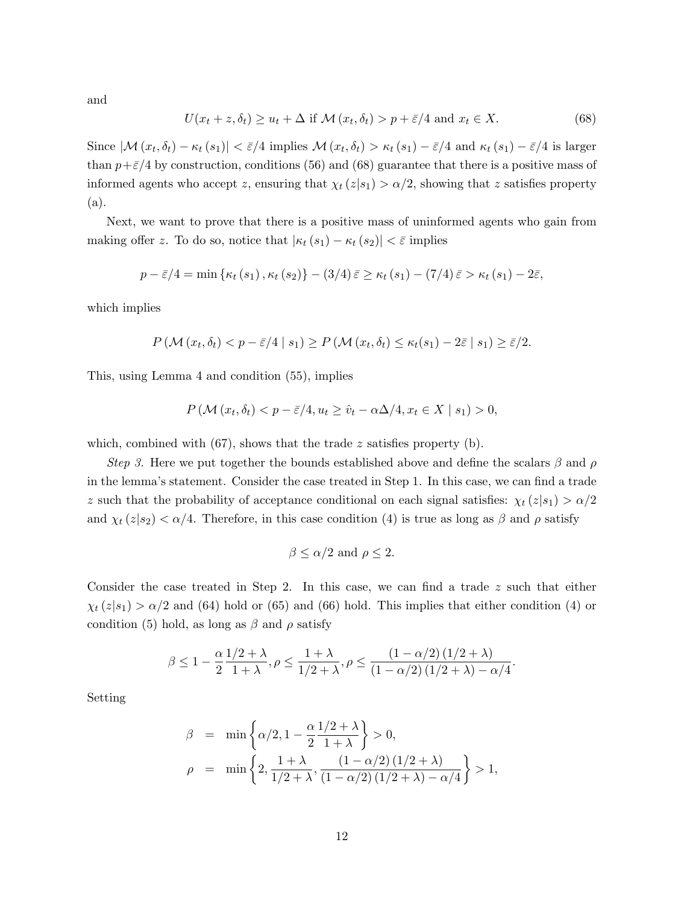and

$$
U(x_t + z, \delta_t) \ge u_t + \Delta \text{ if } \mathcal{M}(x_t, \delta_t) > p + \bar{\varepsilon}/4 \text{ and } x_t \in X. \tag{68}
$$

Since  $|\mathcal{M}(x_t, \delta_t) - \kappa_t(s_1)| < \bar{\varepsilon}/4$  implies  $\mathcal{M}(x_t, \delta_t) > \kappa_t(s_1) - \bar{\varepsilon}/4$  and  $\kappa_t(s_1) - \bar{\varepsilon}/4$  is larger than  $p + \bar{\varepsilon}/4$  by construction, conditions (56) and (68) guarantee that there is a positive mass of informed agents who accept z, ensuring that  $\chi_t(z|s_1) > \alpha/2$ , showing that z satisfies property (a).

Next, we want to prove that there is a positive mass of uninformed agents who gain from making offer z. To do so, notice that  $|\kappa_t(s_1) - \kappa_t(s_2)| < \bar{\varepsilon}$  implies

$$
p - \bar{\varepsilon}/4 = \min\left\{\kappa_t\left(s_1\right), \kappa_t\left(s_2\right)\right\} - \left(3/4\right)\bar{\varepsilon} \ge \kappa_t\left(s_1\right) - \left(7/4\right)\bar{\varepsilon} > \kappa_t\left(s_1\right) - 2\bar{\varepsilon},
$$

which implies

$$
P(\mathcal{M}(x_t, \delta_t) < p - \bar{\varepsilon}/4 \mid s_1) \ge P(\mathcal{M}(x_t, \delta_t) \le \kappa_t(s_1) - 2\bar{\varepsilon} \mid s_1) \ge \bar{\varepsilon}/2.
$$

This, using Lemma 4 and condition (55), implies

$$
P\left(\mathcal{M}\left(x_t,\delta_t\right) < p - \bar{\varepsilon}/4, u_t \geq \hat{v}_t - \alpha \Delta/4, x_t \in X \mid s_1\right) > 0,
$$

which, combined with  $(67)$ , shows that the trade z satisfies property  $(b)$ .

Step 3. Here we put together the bounds established above and define the scalars  $\beta$  and  $\rho$ in the lemma's statement. Consider the case treated in Step 1. In this case, we can find a trade z such that the probability of acceptance conditional on each signal satisfies:  $\chi_t(z|s_1) > \alpha/2$ and  $\chi_t(z|s_2) < \alpha/4$ . Therefore, in this case condition (4) is true as long as  $\beta$  and  $\rho$  satisfy

$$
\beta \le \alpha/2
$$
 and  $\rho \le 2$ .

Consider the case treated in Step 2. In this case, we can find a trade z such that either  $\chi_t(z|s_1) > \alpha/2$  and (64) hold or (65) and (66) hold. This implies that either condition (4) or condition (5) hold, as long as  $\beta$  and  $\rho$  satisfy

$$
\beta\leq 1-\frac{\alpha}{2}\frac{1/2+\lambda}{1+\lambda}, \rho\leq \frac{1+\lambda}{1/2+\lambda}, \rho\leq \frac{\left(1-\alpha/2\right)\left(1/2+\lambda\right)}{\left(1-\alpha/2\right)\left(1/2+\lambda\right)-\alpha/4}.
$$

Setting

$$
\beta = \min \left\{ \alpha/2, 1 - \frac{\alpha}{2} \frac{1/2 + \lambda}{1 + \lambda} \right\} > 0,
$$
  
\n
$$
\rho = \min \left\{ 2, \frac{1 + \lambda}{1/2 + \lambda}, \frac{(1 - \alpha/2)(1/2 + \lambda)}{(1 - \alpha/2)(1/2 + \lambda) - \alpha/4} \right\} > 1,
$$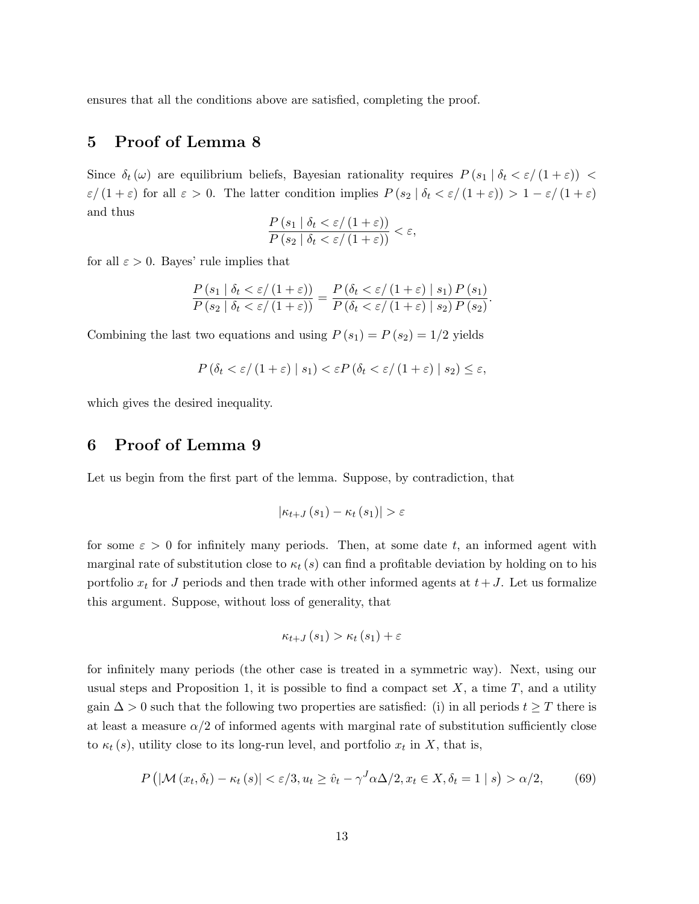ensures that all the conditions above are satisfied, completing the proof.

# 5 Proof of Lemma 8

Since  $\delta_t(\omega)$  are equilibrium beliefs, Bayesian rationality requires  $P(s_1 | \delta_t < \varepsilon/(1+\varepsilon))$  $\varepsilon/(1+\varepsilon)$  for all  $\varepsilon > 0$ . The latter condition implies  $P(s_2 | \delta_t < \varepsilon/(1+\varepsilon)) > 1 - \varepsilon/(1+\varepsilon)$ and thus

$$
\frac{P\left(s_1 \mid \delta_t < \varepsilon/\left(1+\varepsilon\right)\right)}{P\left(s_2 \mid \delta_t < \varepsilon/\left(1+\varepsilon\right)\right)} < \varepsilon,
$$

for all  $\varepsilon > 0$ . Bayes' rule implies that

$$
\frac{P\left(s_1 \mid \delta_t < \varepsilon/\left(1+\varepsilon\right)\right)}{P\left(s_2 \mid \delta_t < \varepsilon/\left(1+\varepsilon\right)\right)} = \frac{P\left(\delta_t < \varepsilon/\left(1+\varepsilon\right) \mid s_1\right) P\left(s_1\right)}{P\left(\delta_t < \varepsilon/\left(1+\varepsilon\right) \mid s_2\right) P\left(s_2\right)}.
$$

Combining the last two equations and using  $P(s_1) = P(s_2) = 1/2$  yields

$$
P\left(\delta_t < \varepsilon/\left(1+\varepsilon\right) \mid s_1\right) < \varepsilon P\left(\delta_t < \varepsilon/\left(1+\varepsilon\right) \mid s_2\right) \leq \varepsilon,
$$

which gives the desired inequality.

## 6 Proof of Lemma 9

Let us begin from the first part of the lemma. Suppose, by contradiction, that

$$
\left|\kappa_{t+J}\left(s_{1}\right)-\kappa_{t}\left(s_{1}\right)\right|>\varepsilon
$$

for some  $\varepsilon > 0$  for infinitely many periods. Then, at some date t, an informed agent with marginal rate of substitution close to  $\kappa_t(s)$  can find a profitable deviation by holding on to his portfolio  $x_t$  for J periods and then trade with other informed agents at  $t + J$ . Let us formalize this argument. Suppose, without loss of generality, that

$$
\kappa_{t+J}\left(s_{1}\right) > \kappa_{t}\left(s_{1}\right) + \varepsilon
$$

for infinitely many periods (the other case is treated in a symmetric way). Next, using our usual steps and Proposition 1, it is possible to find a compact set  $X$ , a time  $T$ , and a utility gain  $\Delta > 0$  such that the following two properties are satisfied: (i) in all periods  $t \geq T$  there is at least a measure  $\alpha/2$  of informed agents with marginal rate of substitution sufficiently close to  $\kappa_t(s)$ , utility close to its long-run level, and portfolio  $x_t$  in X, that is,

$$
P(|\mathcal{M}(x_t, \delta_t) - \kappa_t(s)| < \varepsilon/3, u_t \ge \hat{v}_t - \gamma^J \alpha \Delta/2, x_t \in X, \delta_t = 1 \mid s) > \alpha/2,
$$
 (69)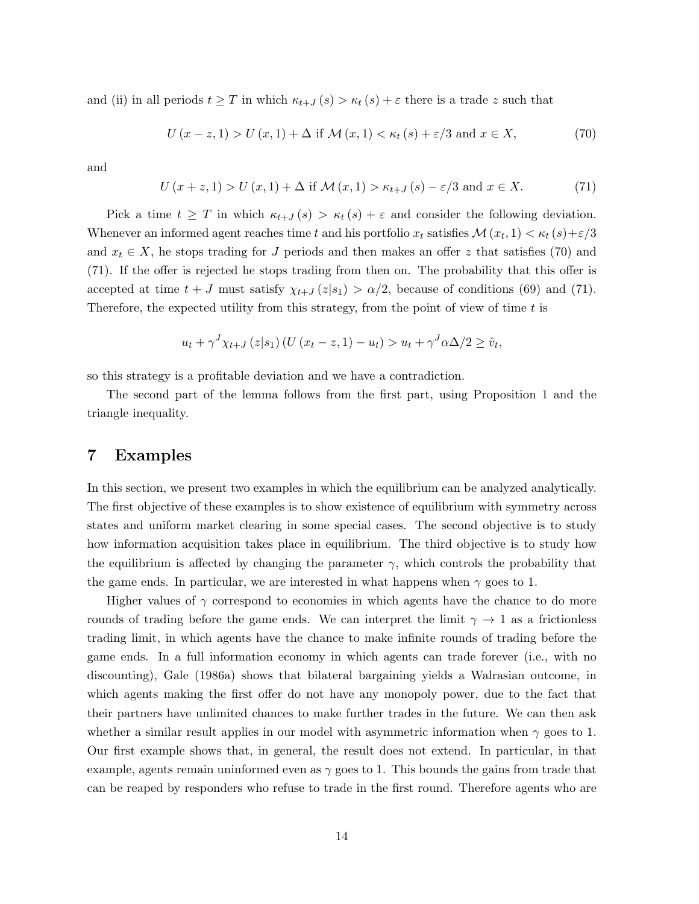and (ii) in all periods  $t \geq T$  in which  $\kappa_{t+J}(s) > \kappa_t(s) + \varepsilon$  there is a trade z such that

$$
U(x-z,1) > U(x,1) + \Delta \text{ if } \mathcal{M}(x,1) < \kappa_t(s) + \varepsilon/3 \text{ and } x \in X,
$$
 (70)

and

$$
U(x+z,1) > U(x,1) + \Delta \text{ if } \mathcal{M}(x,1) > \kappa_{t+J}(s) - \varepsilon/3 \text{ and } x \in X. \tag{71}
$$

Pick a time  $t \geq T$  in which  $\kappa_{t+J}(s) > \kappa_t(s) + \varepsilon$  and consider the following deviation. Whenever an informed agent reaches time t and his portfolio  $x_t$  satisfies  $\mathcal{M}(x_t, 1) < \kappa_t(s) + \varepsilon/3$ and  $x_t \in X$ , he stops trading for J periods and then makes an offer z that satisfies (70) and (71). If the offer is rejected he stops trading from then on. The probability that this offer is accepted at time  $t + J$  must satisfy  $\chi_{t+J}(z|s_1) > \alpha/2$ , because of conditions (69) and (71). Therefore, the expected utility from this strategy, from the point of view of time  $t$  is

$$
u_t + \gamma^J \chi_{t+J} (z|s_1) (U (x_t - z, 1) - u_t) > u_t + \gamma^J \alpha \Delta/2 \geq \hat{v}_t,
$$

so this strategy is a profitable deviation and we have a contradiction.

The second part of the lemma follows from the first part, using Proposition 1 and the triangle inequality.

## 7 Examples

In this section, we present two examples in which the equilibrium can be analyzed analytically. The first objective of these examples is to show existence of equilibrium with symmetry across states and uniform market clearing in some special cases. The second objective is to study how information acquisition takes place in equilibrium. The third objective is to study how the equilibrium is affected by changing the parameter  $\gamma$ , which controls the probability that the game ends. In particular, we are interested in what happens when  $\gamma$  goes to 1.

Higher values of  $\gamma$  correspond to economies in which agents have the chance to do more rounds of trading before the game ends. We can interpret the limit  $\gamma \to 1$  as a frictionless trading limit, in which agents have the chance to make infinite rounds of trading before the game ends. In a full information economy in which agents can trade forever (i.e., with no discounting), Gale (1986a) shows that bilateral bargaining yields a Walrasian outcome, in which agents making the first offer do not have any monopoly power, due to the fact that their partners have unlimited chances to make further trades in the future. We can then ask whether a similar result applies in our model with asymmetric information when  $\gamma$  goes to 1. Our first example shows that, in general, the result does not extend. In particular, in that example, agents remain uninformed even as  $\gamma$  goes to 1. This bounds the gains from trade that can be reaped by responders who refuse to trade in the first round. Therefore agents who are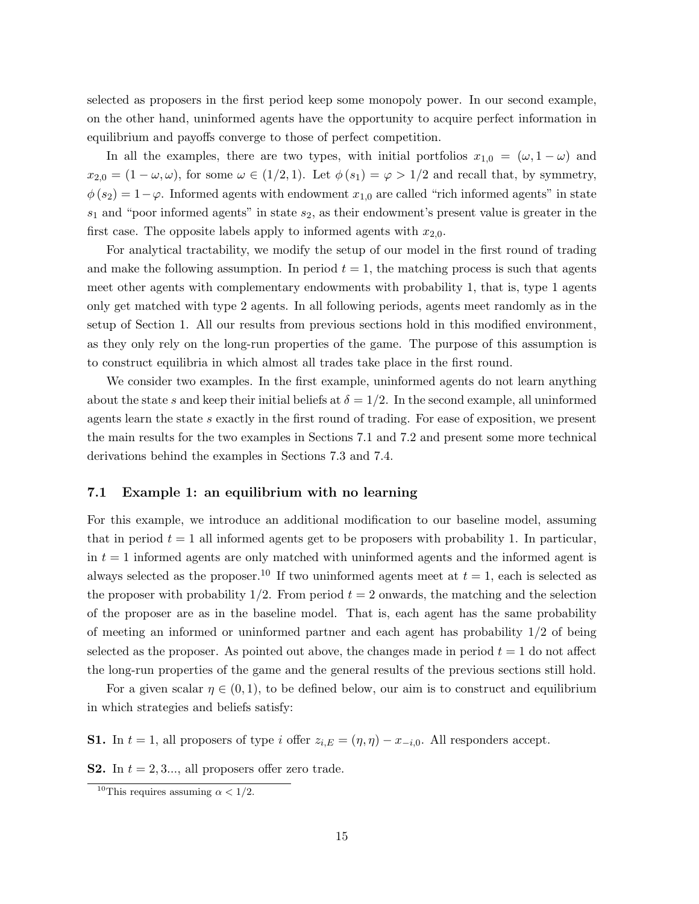selected as proposers in the first period keep some monopoly power. In our second example, on the other hand, uninformed agents have the opportunity to acquire perfect information in equilibrium and payoffs converge to those of perfect competition.

In all the examples, there are two types, with initial portfolios  $x_{1,0} = (\omega, 1 - \omega)$  and  $x_{2,0} = (1 - \omega, \omega)$ , for some  $\omega \in (1/2, 1)$ . Let  $\phi(s_1) = \varphi > 1/2$  and recall that, by symmetry,  $\phi(s_2) = 1-\varphi$ . Informed agents with endowment  $x_{1,0}$  are called "rich informed agents" in state  $s_1$  and "poor informed agents" in state  $s_2$ , as their endowment's present value is greater in the first case. The opposite labels apply to informed agents with  $x_{2,0}$ .

For analytical tractability, we modify the setup of our model in the first round of trading and make the following assumption. In period  $t = 1$ , the matching process is such that agents meet other agents with complementary endowments with probability 1, that is, type 1 agents only get matched with type 2 agents. In all following periods, agents meet randomly as in the setup of Section 1. All our results from previous sections hold in this modified environment, as they only rely on the long-run properties of the game. The purpose of this assumption is to construct equilibria in which almost all trades take place in the first round.

We consider two examples. In the first example, uninformed agents do not learn anything about the state s and keep their initial beliefs at  $\delta = 1/2$ . In the second example, all uninformed agents learn the state s exactly in the first round of trading. For ease of exposition, we present the main results for the two examples in Sections 7.1 and 7.2 and present some more technical derivations behind the examples in Sections 7.3 and 7.4.

#### 7.1 Example 1: an equilibrium with no learning

For this example, we introduce an additional modification to our baseline model, assuming that in period  $t = 1$  all informed agents get to be proposers with probability 1. In particular, in  $t = 1$  informed agents are only matched with uninformed agents and the informed agent is always selected as the proposer.<sup>10</sup> If two uninformed agents meet at  $t = 1$ , each is selected as the proposer with probability  $1/2$ . From period  $t = 2$  onwards, the matching and the selection of the proposer are as in the baseline model. That is, each agent has the same probability of meeting an informed or uninformed partner and each agent has probability  $1/2$  of being selected as the proposer. As pointed out above, the changes made in period  $t = 1$  do not affect the long-run properties of the game and the general results of the previous sections still hold.

For a given scalar  $\eta \in (0,1)$ , to be defined below, our aim is to construct and equilibrium in which strategies and beliefs satisfy:

**S1.** In  $t = 1$ , all proposers of type i offer  $z_{i,E} = (\eta, \eta) - x_{-i,0}$ . All responders accept.

**S2.** In  $t = 2, 3, \ldots$ , all proposers offer zero trade.

<sup>&</sup>lt;sup>10</sup>This requires assuming  $\alpha < 1/2$ .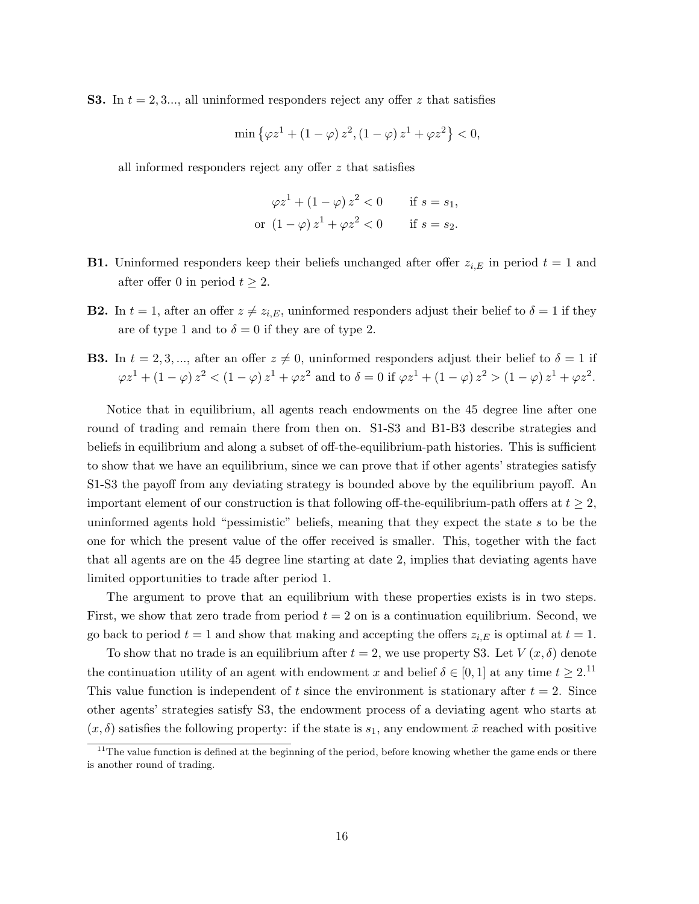**S3.** In  $t = 2, 3, \ldots$ , all uninformed responders reject any offer z that satisfies

$$
\min \{ \varphi z^1 + (1 - \varphi) z^2, (1 - \varphi) z^1 + \varphi z^2 \} < 0,
$$

all informed responders reject any offer z that satisfies

$$
\varphi z^1 + (1 - \varphi) z^2 < 0
$$
 if  $s = s_1$ ,  
or  $(1 - \varphi) z^1 + \varphi z^2 < 0$  if  $s = s_2$ .

- **B1.** Uninformed responders keep their beliefs unchanged after offer  $z_{i,E}$  in period  $t = 1$  and after offer 0 in period  $t \geq 2$ .
- **B2.** In  $t = 1$ , after an offer  $z \neq z_{i,E}$ , uninformed responders adjust their belief to  $\delta = 1$  if they are of type 1 and to  $\delta = 0$  if they are of type 2.
- **B3.** In  $t = 2, 3, \dots$ , after an offer  $z \neq 0$ , uninformed responders adjust their belief to  $\delta = 1$  if  $\varphi z^1 + (1 - \varphi) z^2 < (1 - \varphi) z^1 + \varphi z^2$  and to  $\delta = 0$  if  $\varphi z^1 + (1 - \varphi) z^2 > (1 - \varphi) z^1 + \varphi z^2$ .

Notice that in equilibrium, all agents reach endowments on the 45 degree line after one round of trading and remain there from then on. S1-S3 and B1-B3 describe strategies and beliefs in equilibrium and along a subset of off-the-equilibrium-path histories. This is sufficient to show that we have an equilibrium, since we can prove that if other agents' strategies satisfy S1-S3 the payoff from any deviating strategy is bounded above by the equilibrium payoff. An important element of our construction is that following off-the-equilibrium-path offers at  $t \geq 2$ , uninformed agents hold "pessimistic" beliefs, meaning that they expect the state s to be the one for which the present value of the offer received is smaller. This, together with the fact that all agents are on the 45 degree line starting at date 2, implies that deviating agents have limited opportunities to trade after period 1.

The argument to prove that an equilibrium with these properties exists is in two steps. First, we show that zero trade from period  $t = 2$  on is a continuation equilibrium. Second, we go back to period  $t = 1$  and show that making and accepting the offers  $z_{i,E}$  is optimal at  $t = 1$ .

To show that no trade is an equilibrium after  $t = 2$ , we use property S3. Let  $V(x, \delta)$  denote the continuation utility of an agent with endowment x and belief  $\delta \in [0,1]$  at any time  $t \geq 2$ .<sup>11</sup> This value function is independent of t since the environment is stationary after  $t = 2$ . Since other agents' strategies satisfy S3, the endowment process of a deviating agent who starts at  $(x, \delta)$  satisfies the following property: if the state is  $s_1$ , any endowment  $\tilde{x}$  reached with positive

 $11$ The value function is defined at the beginning of the period, before knowing whether the game ends or there is another round of trading.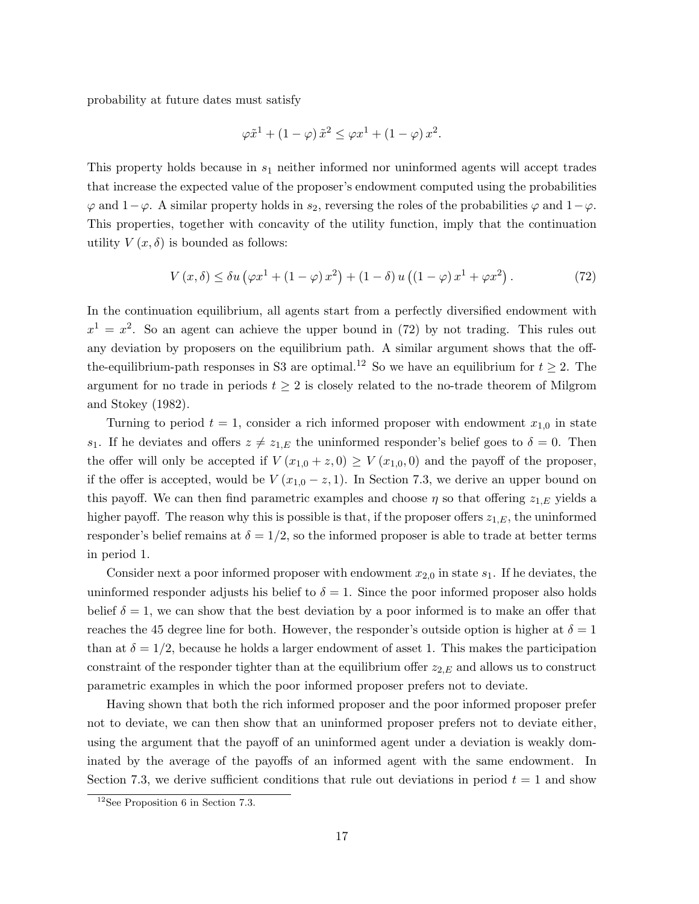probability at future dates must satisfy

$$
\varphi \tilde{x}^{1} + (1 - \varphi) \tilde{x}^{2} \leq \varphi x^{1} + (1 - \varphi) x^{2}.
$$

This property holds because in  $s_1$  neither informed nor uninformed agents will accept trades that increase the expected value of the proposer's endowment computed using the probabilities  $\varphi$  and  $1-\varphi$ . A similar property holds in  $s_2$ , reversing the roles of the probabilities  $\varphi$  and  $1-\varphi$ . This properties, together with concavity of the utility function, imply that the continuation utility  $V(x, \delta)$  is bounded as follows:

$$
V(x,\delta) \le \delta u \left(\varphi x^1 + (1-\varphi) x^2\right) + (1-\delta) u \left((1-\varphi) x^1 + \varphi x^2\right). \tag{72}
$$

In the continuation equilibrium, all agents start from a perfectly diversified endowment with  $x^1 = x^2$ . So an agent can achieve the upper bound in (72) by not trading. This rules out any deviation by proposers on the equilibrium path. A similar argument shows that the offthe-equilibrium-path responses in S3 are optimal.<sup>12</sup> So we have an equilibrium for  $t \geq 2$ . The argument for no trade in periods  $t \geq 2$  is closely related to the no-trade theorem of Milgrom and Stokey (1982).

Turning to period  $t = 1$ , consider a rich informed proposer with endowment  $x_{1,0}$  in state s<sub>1</sub>. If he deviates and offers  $z \neq z_{1,E}$  the uninformed responder's belief goes to  $\delta = 0$ . Then the offer will only be accepted if  $V(x_{1,0} + z, 0) \ge V(x_{1,0}, 0)$  and the payoff of the proposer, if the offer is accepted, would be  $V(x_{1,0} - z, 1)$ . In Section 7.3, we derive an upper bound on this payoff. We can then find parametric examples and choose  $\eta$  so that offering  $z_{1,E}$  yields a higher payoff. The reason why this is possible is that, if the proposer offers  $z_{1,E}$ , the uninformed responder's belief remains at  $\delta = 1/2$ , so the informed proposer is able to trade at better terms in period 1.

Consider next a poor informed proposer with endowment  $x_{2,0}$  in state  $s_1$ . If he deviates, the uninformed responder adjusts his belief to  $\delta = 1$ . Since the poor informed proposer also holds belief  $\delta = 1$ , we can show that the best deviation by a poor informed is to make an offer that reaches the 45 degree line for both. However, the responder's outside option is higher at  $\delta = 1$ than at  $\delta = 1/2$ , because he holds a larger endowment of asset 1. This makes the participation constraint of the responder tighter than at the equilibrium offer  $z_{2,E}$  and allows us to construct parametric examples in which the poor informed proposer prefers not to deviate.

Having shown that both the rich informed proposer and the poor informed proposer prefer not to deviate, we can then show that an uninformed proposer prefers not to deviate either, using the argument that the payoff of an uninformed agent under a deviation is weakly dominated by the average of the payoffs of an informed agent with the same endowment. In Section 7.3, we derive sufficient conditions that rule out deviations in period  $t = 1$  and show

<sup>12</sup>See Proposition 6 in Section 7.3.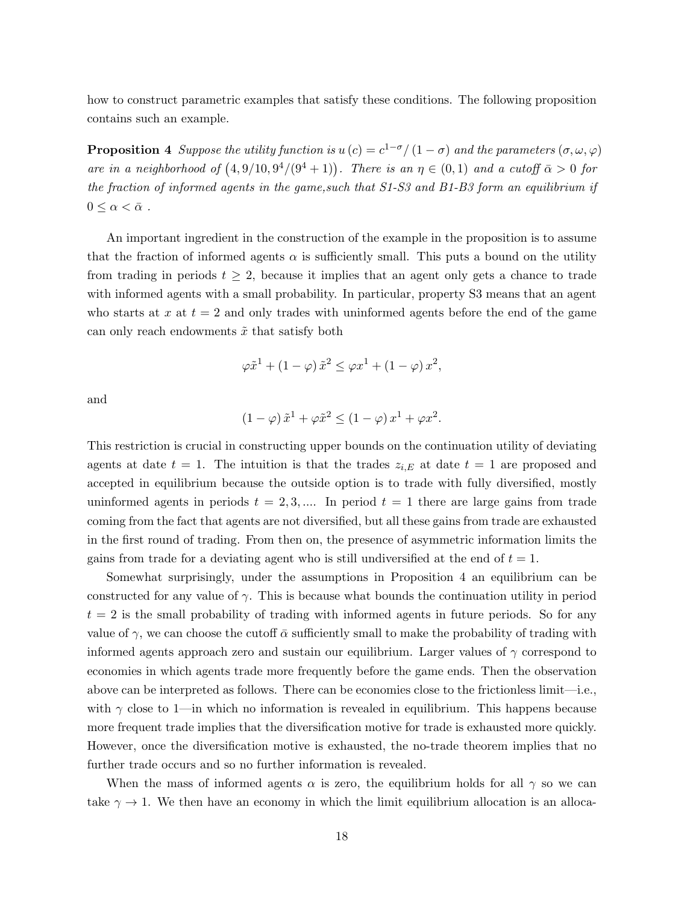how to construct parametric examples that satisfy these conditions. The following proposition contains such an example.

**Proposition 4** Suppose the utility function is  $u(c) = c^{1-\sigma}/(1-\sigma)$  and the parameters  $(\sigma, \omega, \varphi)$ are in a neighborhood of  $(4,9/10,9^4/(9^4+1))$ . There is an  $\eta \in (0,1)$  and a cutoff  $\bar{\alpha} > 0$  for the fraction of informed agents in the game,such that S1-S3 and B1-B3 form an equilibrium if  $0 \leq \alpha < \bar{\alpha}$ .

An important ingredient in the construction of the example in the proposition is to assume that the fraction of informed agents  $\alpha$  is sufficiently small. This puts a bound on the utility from trading in periods  $t \geq 2$ , because it implies that an agent only gets a chance to trade with informed agents with a small probability. In particular, property S3 means that an agent who starts at  $x$  at  $t = 2$  and only trades with uninformed agents before the end of the game can only reach endowments  $\tilde{x}$  that satisfy both

$$
\varphi \tilde{x}^{1} + (1 - \varphi) \tilde{x}^{2} \leq \varphi x^{1} + (1 - \varphi) x^{2},
$$

and

$$
(1 - \varphi) \tilde{x}^1 + \varphi \tilde{x}^2 \le (1 - \varphi) x^1 + \varphi x^2.
$$

This restriction is crucial in constructing upper bounds on the continuation utility of deviating agents at date  $t = 1$ . The intuition is that the trades  $z_{i,E}$  at date  $t = 1$  are proposed and accepted in equilibrium because the outside option is to trade with fully diversified, mostly uninformed agents in periods  $t = 2, 3, ...$  In period  $t = 1$  there are large gains from trade coming from the fact that agents are not diversified, but all these gains from trade are exhausted in the first round of trading. From then on, the presence of asymmetric information limits the gains from trade for a deviating agent who is still undiversified at the end of  $t = 1$ .

Somewhat surprisingly, under the assumptions in Proposition 4 an equilibrium can be constructed for any value of  $\gamma$ . This is because what bounds the continuation utility in period  $t = 2$  is the small probability of trading with informed agents in future periods. So for any value of  $\gamma$ , we can choose the cutoff  $\bar{\alpha}$  sufficiently small to make the probability of trading with informed agents approach zero and sustain our equilibrium. Larger values of  $\gamma$  correspond to economies in which agents trade more frequently before the game ends. Then the observation above can be interpreted as follows. There can be economies close to the frictionless limit—i.e., with  $\gamma$  close to 1—in which no information is revealed in equilibrium. This happens because more frequent trade implies that the diversification motive for trade is exhausted more quickly. However, once the diversification motive is exhausted, the no-trade theorem implies that no further trade occurs and so no further information is revealed.

When the mass of informed agents  $\alpha$  is zero, the equilibrium holds for all  $\gamma$  so we can take  $\gamma \rightarrow 1$ . We then have an economy in which the limit equilibrium allocation is an alloca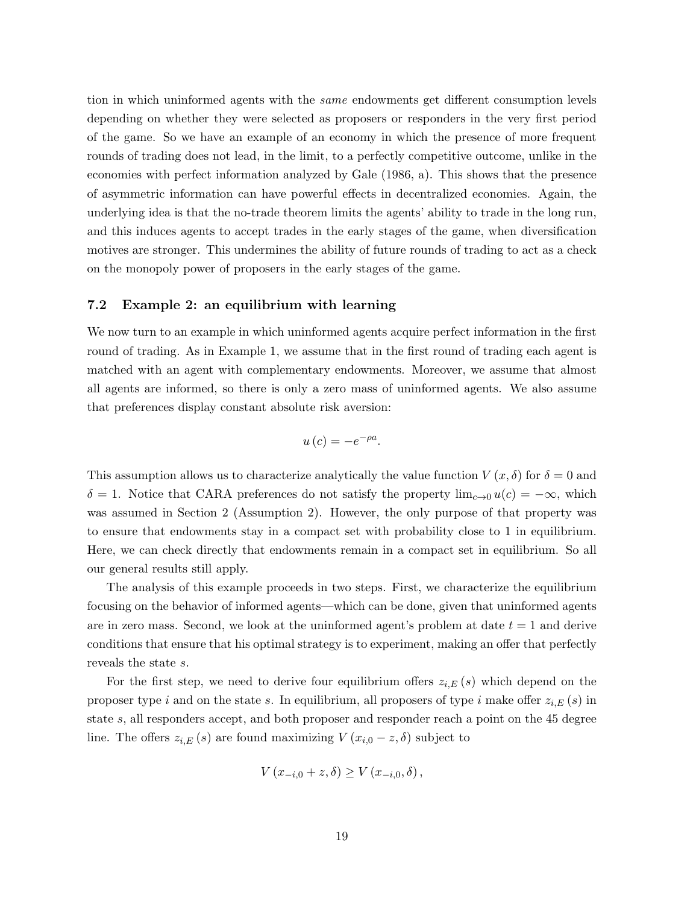tion in which uninformed agents with the same endowments get different consumption levels depending on whether they were selected as proposers or responders in the very first period of the game. So we have an example of an economy in which the presence of more frequent rounds of trading does not lead, in the limit, to a perfectly competitive outcome, unlike in the economies with perfect information analyzed by Gale (1986, a). This shows that the presence of asymmetric information can have powerful effects in decentralized economies. Again, the underlying idea is that the no-trade theorem limits the agents' ability to trade in the long run, and this induces agents to accept trades in the early stages of the game, when diversification motives are stronger. This undermines the ability of future rounds of trading to act as a check on the monopoly power of proposers in the early stages of the game.

#### 7.2 Example 2: an equilibrium with learning

We now turn to an example in which uninformed agents acquire perfect information in the first round of trading. As in Example 1, we assume that in the first round of trading each agent is matched with an agent with complementary endowments. Moreover, we assume that almost all agents are informed, so there is only a zero mass of uninformed agents. We also assume that preferences display constant absolute risk aversion:

$$
u\left( c\right) =-e^{-\rho a}.
$$

This assumption allows us to characterize analytically the value function  $V(x, \delta)$  for  $\delta = 0$  and  $\delta = 1$ . Notice that CARA preferences do not satisfy the property  $\lim_{c\to 0} u(c) = -\infty$ , which was assumed in Section 2 (Assumption 2). However, the only purpose of that property was to ensure that endowments stay in a compact set with probability close to 1 in equilibrium. Here, we can check directly that endowments remain in a compact set in equilibrium. So all our general results still apply.

The analysis of this example proceeds in two steps. First, we characterize the equilibrium focusing on the behavior of informed agents—which can be done, given that uninformed agents are in zero mass. Second, we look at the uninformed agent's problem at date  $t = 1$  and derive conditions that ensure that his optimal strategy is to experiment, making an offer that perfectly reveals the state s.

For the first step, we need to derive four equilibrium offers  $z_{i,E}(s)$  which depend on the proposer type i and on the state s. In equilibrium, all proposers of type i make offer  $z_{i,E}(s)$  in state s, all responders accept, and both proposer and responder reach a point on the 45 degree line. The offers  $z_{i,E}(s)$  are found maximizing  $V(x_{i,0} - z, \delta)$  subject to

$$
V(x_{-i,0}+z,\delta) \ge V(x_{-i,0},\delta),
$$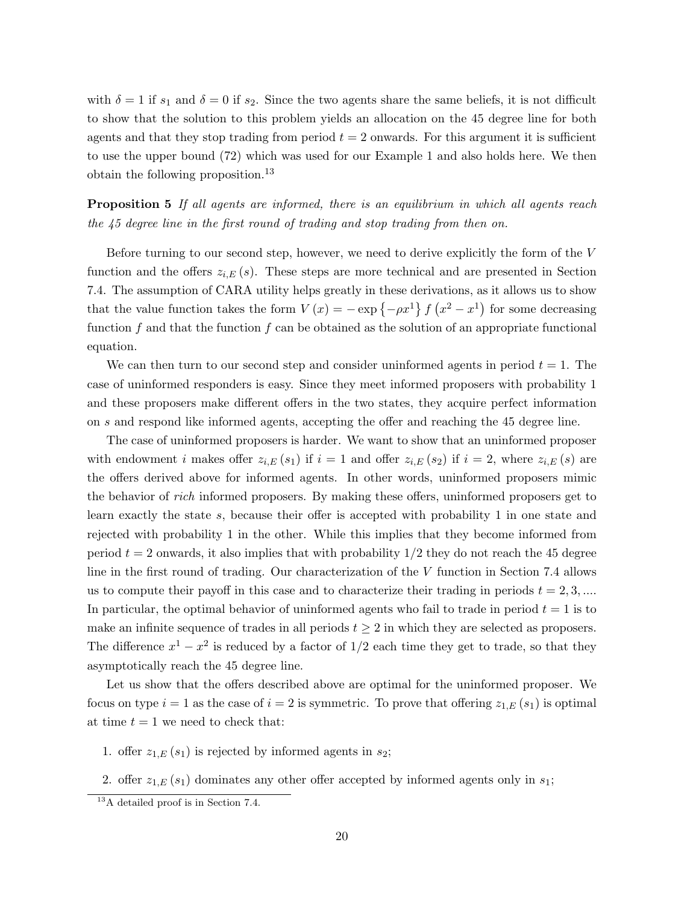with  $\delta = 1$  if  $s_1$  and  $\delta = 0$  if  $s_2$ . Since the two agents share the same beliefs, it is not difficult to show that the solution to this problem yields an allocation on the 45 degree line for both agents and that they stop trading from period  $t = 2$  onwards. For this argument it is sufficient to use the upper bound (72) which was used for our Example 1 and also holds here. We then obtain the following proposition.<sup>13</sup>

**Proposition 5** If all agents are informed, there is an equilibrium in which all agents reach the 45 degree line in the first round of trading and stop trading from then on.

Before turning to our second step, however, we need to derive explicitly the form of the V function and the offers  $z_{i,E}(s)$ . These steps are more technical and are presented in Section 7.4. The assumption of CARA utility helps greatly in these derivations, as it allows us to show that the value function takes the form  $V(x) = -\exp\{-\rho x^1\} f(x^2 - x^1)$  for some decreasing function f and that the function f can be obtained as the solution of an appropriate functional equation.

We can then turn to our second step and consider uninformed agents in period  $t = 1$ . The case of uninformed responders is easy. Since they meet informed proposers with probability 1 and these proposers make different offers in the two states, they acquire perfect information on s and respond like informed agents, accepting the offer and reaching the 45 degree line.

The case of uninformed proposers is harder. We want to show that an uninformed proposer with endowment i makes offer  $z_{i,E}(s_1)$  if  $i=1$  and offer  $z_{i,E}(s_2)$  if  $i=2$ , where  $z_{i,E}(s)$  are the offers derived above for informed agents. In other words, uninformed proposers mimic the behavior of rich informed proposers. By making these offers, uninformed proposers get to learn exactly the state s, because their offer is accepted with probability 1 in one state and rejected with probability 1 in the other. While this implies that they become informed from period  $t = 2$  onwards, it also implies that with probability  $1/2$  they do not reach the 45 degree line in the first round of trading. Our characterization of the V function in Section 7.4 allows us to compute their payoff in this case and to characterize their trading in periods  $t = 2, 3, \dots$ In particular, the optimal behavior of uninformed agents who fail to trade in period  $t = 1$  is to make an infinite sequence of trades in all periods  $t \geq 2$  in which they are selected as proposers. The difference  $x^1 - x^2$  is reduced by a factor of  $1/2$  each time they get to trade, so that they asymptotically reach the 45 degree line.

Let us show that the offers described above are optimal for the uninformed proposer. We focus on type  $i = 1$  as the case of  $i = 2$  is symmetric. To prove that offering  $z_{1,E}(s_1)$  is optimal at time  $t = 1$  we need to check that:

1. offer  $z_{1,E}(s_1)$  is rejected by informed agents in  $s_2$ ;

2. offer  $z_{1,E}(s_1)$  dominates any other offer accepted by informed agents only in  $s_1$ ;

<sup>13</sup>A detailed proof is in Section 7.4.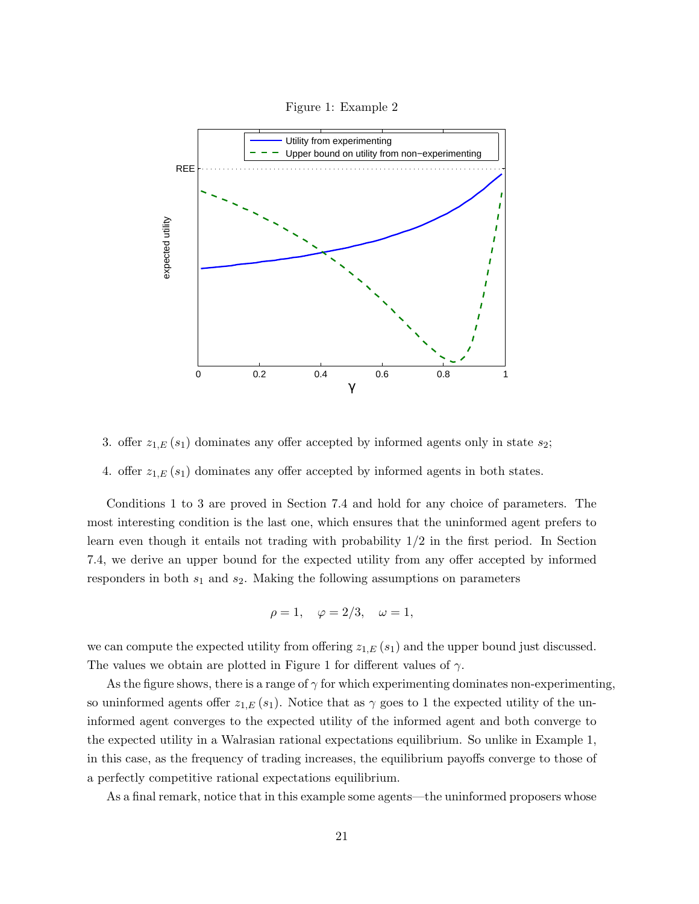



3. offer  $z_{1,E}(s_1)$  dominates any offer accepted by informed agents only in state  $s_2$ ;

4. offer  $z_{1,E}(s_1)$  dominates any offer accepted by informed agents in both states.

Conditions 1 to 3 are proved in Section 7.4 and hold for any choice of parameters. The most interesting condition is the last one, which ensures that the uninformed agent prefers to learn even though it entails not trading with probability 1/2 in the first period. In Section 7.4, we derive an upper bound for the expected utility from any offer accepted by informed responders in both  $s_1$  and  $s_2$ . Making the following assumptions on parameters

$$
\rho = 1, \quad \varphi = 2/3, \quad \omega = 1,
$$

we can compute the expected utility from offering  $z_{1,E}(s_1)$  and the upper bound just discussed. The values we obtain are plotted in Figure 1 for different values of  $\gamma$ .

As the figure shows, there is a range of  $\gamma$  for which experimenting dominates non-experimenting, so uninformed agents offer  $z_{1,E}(s_1)$ . Notice that as  $\gamma$  goes to 1 the expected utility of the uninformed agent converges to the expected utility of the informed agent and both converge to the expected utility in a Walrasian rational expectations equilibrium. So unlike in Example 1, in this case, as the frequency of trading increases, the equilibrium payoffs converge to those of a perfectly competitive rational expectations equilibrium.

As a final remark, notice that in this example some agents—the uninformed proposers whose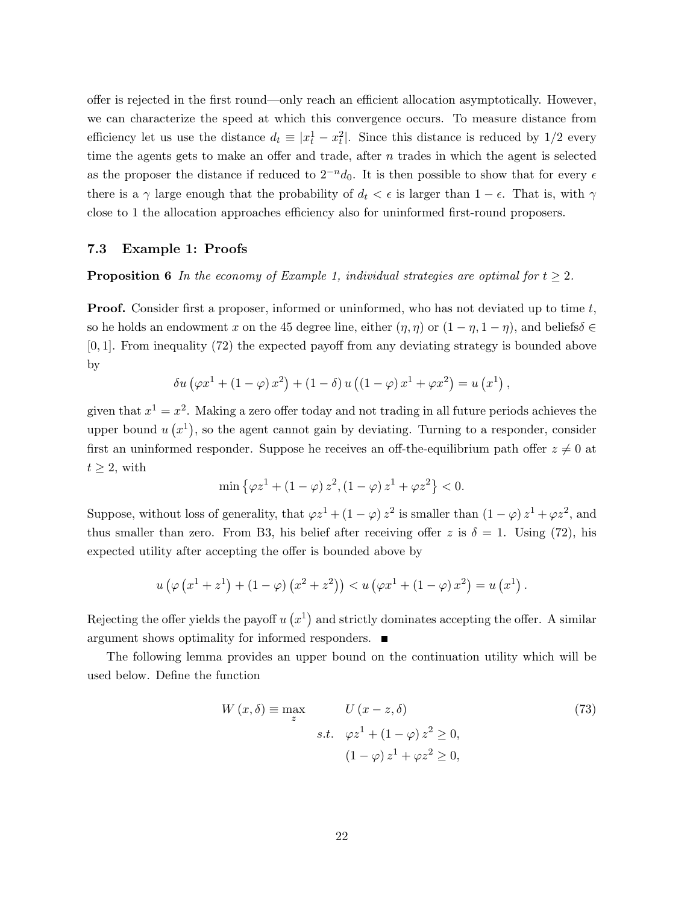offer is rejected in the first round—only reach an efficient allocation asymptotically. However, we can characterize the speed at which this convergence occurs. To measure distance from efficiency let us use the distance  $d_t \equiv |x_t^1 - x_t^2|$ . Since this distance is reduced by 1/2 every time the agents gets to make an offer and trade, after  $n$  trades in which the agent is selected as the proposer the distance if reduced to  $2^{-n}d_0$ . It is then possible to show that for every  $\epsilon$ there is a  $\gamma$  large enough that the probability of  $d_t < \epsilon$  is larger than  $1 - \epsilon$ . That is, with  $\gamma$ close to 1 the allocation approaches efficiency also for uninformed first-round proposers.

#### 7.3 Example 1: Proofs

#### **Proposition 6** In the economy of Example 1, individual strategies are optimal for  $t \geq 2$ .

**Proof.** Consider first a proposer, informed or uninformed, who has not deviated up to time  $t$ , so he holds an endowment x on the 45 degree line, either  $(\eta, \eta)$  or  $(1 - \eta, 1 - \eta)$ , and beliefs $\delta \in$ [0, 1]. From inequality (72) the expected payoff from any deviating strategy is bounded above by

$$
\delta u (\varphi x^1 + (1 - \varphi) x^2) + (1 - \delta) u ((1 - \varphi) x^1 + \varphi x^2) = u (x^1),
$$

given that  $x^1 = x^2$ . Making a zero offer today and not trading in all future periods achieves the upper bound  $u(x^1)$ , so the agent cannot gain by deviating. Turning to a responder, consider first an uninformed responder. Suppose he receives an off-the-equilibrium path offer  $z \neq 0$  at  $t \geq 2$ , with

$$
\min \{ \varphi z^1 + (1 - \varphi) z^2, (1 - \varphi) z^1 + \varphi z^2 \} < 0.
$$

Suppose, without loss of generality, that  $\varphi z^1 + (1 - \varphi) z^2$  is smaller than  $(1 - \varphi) z^1 + \varphi z^2$ , and thus smaller than zero. From B3, his belief after receiving offer z is  $\delta = 1$ . Using (72), his expected utility after accepting the offer is bounded above by

$$
u(\varphi(x^{1} + z^{1}) + (1 - \varphi)(x^{2} + z^{2})) < u(\varphi x^{1} + (1 - \varphi)x^{2}) = u(x^{1}).
$$

Rejecting the offer yields the payoff  $u(x^1)$  and strictly dominates accepting the offer. A similar argument shows optimality for informed responders.

The following lemma provides an upper bound on the continuation utility which will be used below. Define the function

$$
W(x,\delta) \equiv \max_{z} \qquad U(x-z,\delta)
$$
  
s.t.  $\varphi z^{1} + (1-\varphi) z^{2} \ge 0$ ,  

$$
(1-\varphi) z^{1} + \varphi z^{2} \ge 0
$$
, (73)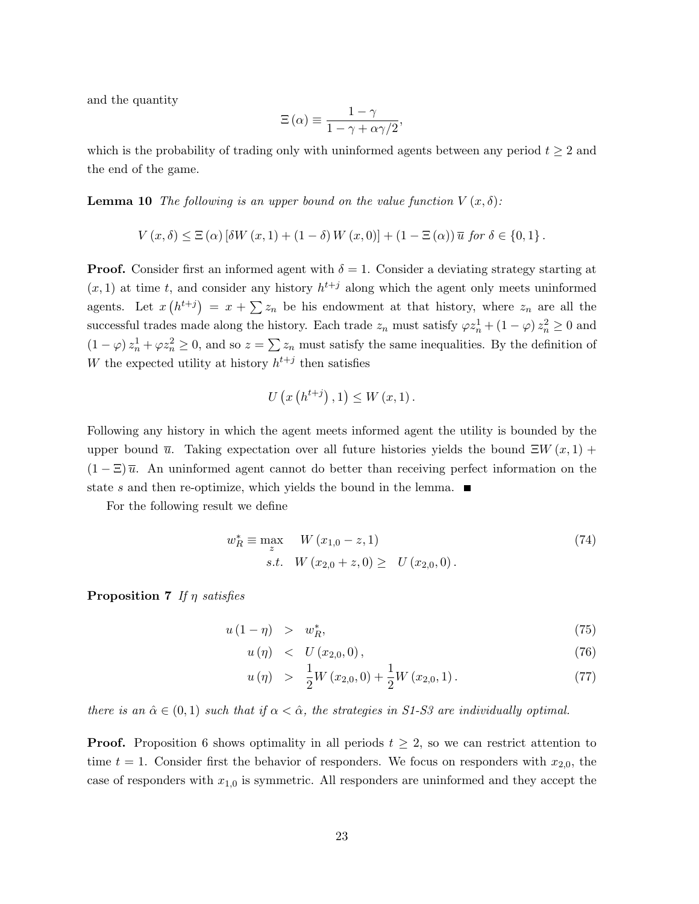and the quantity

$$
\Xi\left(\alpha\right) \equiv \frac{1-\gamma}{1-\gamma+\alpha\gamma/2},\,
$$

which is the probability of trading only with uninformed agents between any period  $t \geq 2$  and the end of the game.

**Lemma 10** The following is an upper bound on the value function  $V(x, \delta)$ :

$$
V(x, \delta) \leq \Xi(\alpha) \left[ \delta W(x, 1) + (1 - \delta) W(x, 0) \right] + (1 - \Xi(\alpha)) \overline{u} \text{ for } \delta \in \{0, 1\}.
$$

**Proof.** Consider first an informed agent with  $\delta = 1$ . Consider a deviating strategy starting at  $(x, 1)$  at time t, and consider any history  $h^{t+j}$  along which the agent only meets uninformed agents. Let  $x(h^{t+j}) = x + \sum z_n$  be his endowment at that history, where  $z_n$  are all the successful trades made along the history. Each trade  $z_n$  must satisfy  $\varphi z_n^1 + (1 - \varphi) z_n^2 \ge 0$  and  $(1 - \varphi) z_n^1 + \varphi z_n^2 \geq 0$ , and so  $z = \sum z_n$  must satisfy the same inequalities. By the definition of W the expected utility at history  $h^{t+j}$  then satisfies

$$
U\left(x\left(h^{t+j}\right),1\right)\leq W\left(x,1\right).
$$

Following any history in which the agent meets informed agent the utility is bounded by the upper bound  $\overline{u}$ . Taking expectation over all future histories yields the bound  $\Xi W(x,1)$  +  $(1 - \Xi) \overline{u}$ . An uninformed agent cannot do better than receiving perfect information on the state s and then re-optimize, which yields the bound in the lemma.  $\blacksquare$ 

For the following result we define

$$
w_R^* \equiv \max_{z} \quad W(x_{1,0} - z, 1)
$$
  
s.t.  $W(x_{2,0} + z, 0) \geq U(x_{2,0}, 0)$ . (74)

**Proposition 7** If  $\eta$  satisfies

$$
u(1-\eta) > w_R^*, \tag{75}
$$

 $u(\eta) \leq U(x_{2,0}, 0),$  (76)

$$
u(\eta) > \frac{1}{2}W(x_{2,0},0) + \frac{1}{2}W(x_{2,0},1).
$$
 (77)

there is an  $\hat{\alpha} \in (0, 1)$  such that if  $\alpha < \hat{\alpha}$ , the strategies in S1-S3 are individually optimal.

**Proof.** Proposition 6 shows optimality in all periods  $t \geq 2$ , so we can restrict attention to time  $t = 1$ . Consider first the behavior of responders. We focus on responders with  $x_{2,0}$ , the case of responders with  $x_{1,0}$  is symmetric. All responders are uninformed and they accept the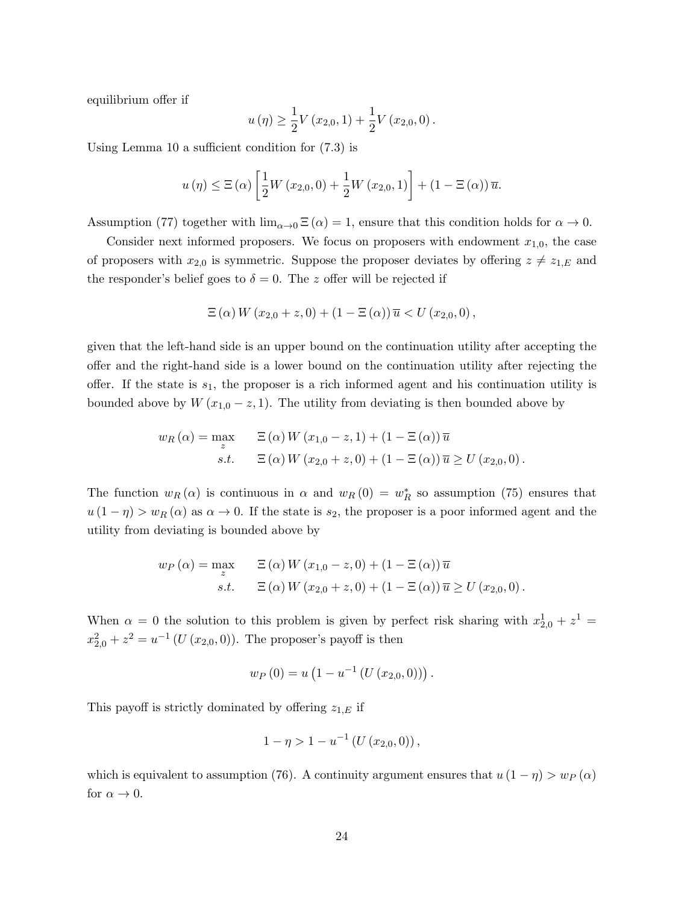equilibrium offer if

$$
u(\eta) \ge \frac{1}{2}V(x_{2,0}, 1) + \frac{1}{2}V(x_{2,0}, 0).
$$

Using Lemma 10 a sufficient condition for (7.3) is

$$
u(\eta) \leq \Xi(\alpha) \left[\frac{1}{2}W(x_{2,0},0) + \frac{1}{2}W(x_{2,0},1)\right] + (1 - \Xi(\alpha))\overline{u}.
$$

Assumption (77) together with  $\lim_{\alpha\to 0} \Xi(\alpha) = 1$ , ensure that this condition holds for  $\alpha \to 0$ .

Consider next informed proposers. We focus on proposers with endowment  $x_{1,0}$ , the case of proposers with  $x_{2,0}$  is symmetric. Suppose the proposer deviates by offering  $z \neq z_{1,E}$  and the responder's belief goes to  $\delta = 0$ . The z offer will be rejected if

$$
\Xi(\alpha) W(x_{2,0} + z, 0) + (1 - \Xi(\alpha)) \overline{u} < U(x_{2,0}, 0),
$$

given that the left-hand side is an upper bound on the continuation utility after accepting the offer and the right-hand side is a lower bound on the continuation utility after rejecting the offer. If the state is  $s_1$ , the proposer is a rich informed agent and his continuation utility is bounded above by  $W(x_{1,0} - z, 1)$ . The utility from deviating is then bounded above by

$$
w_R(\alpha) = \max_{z} \qquad \Xi(\alpha) W(x_{1,0} - z, 1) + (1 - \Xi(\alpha)) \overline{u}
$$
  
s.t. 
$$
\Xi(\alpha) W(x_{2,0} + z, 0) + (1 - \Xi(\alpha)) \overline{u} \ge U(x_{2,0}, 0).
$$

The function  $w_R(\alpha)$  is continuous in  $\alpha$  and  $w_R(0) = w_R^*$  so assumption (75) ensures that  $u(1 - \eta) > w_R(\alpha)$  as  $\alpha \to 0$ . If the state is  $s_2$ , the proposer is a poor informed agent and the utility from deviating is bounded above by

$$
w_P(\alpha) = \max_{z} \qquad \Xi(\alpha) W(x_{1,0} - z, 0) + (1 - \Xi(\alpha)) \overline{u}
$$
  
s.t. 
$$
\Xi(\alpha) W(x_{2,0} + z, 0) + (1 - \Xi(\alpha)) \overline{u} \ge U(x_{2,0}, 0).
$$

When  $\alpha = 0$  the solution to this problem is given by perfect risk sharing with  $x_{2,0}^1 + z^1 =$  $x_{2,0}^2 + z^2 = u^{-1} (U (x_{2,0}, 0)).$  The proposer's payoff is then

$$
w_P(0) = u(1 - u^{-1}(U(x_{2,0}, 0))).
$$

This payoff is strictly dominated by offering  $z_{1,E}$  if

$$
1 - \eta > 1 - u^{-1} (U (x_{2,0}, 0)),
$$

which is equivalent to assumption (76). A continuity argument ensures that  $u(1 - \eta) > w_P(\alpha)$ for  $\alpha \to 0$ .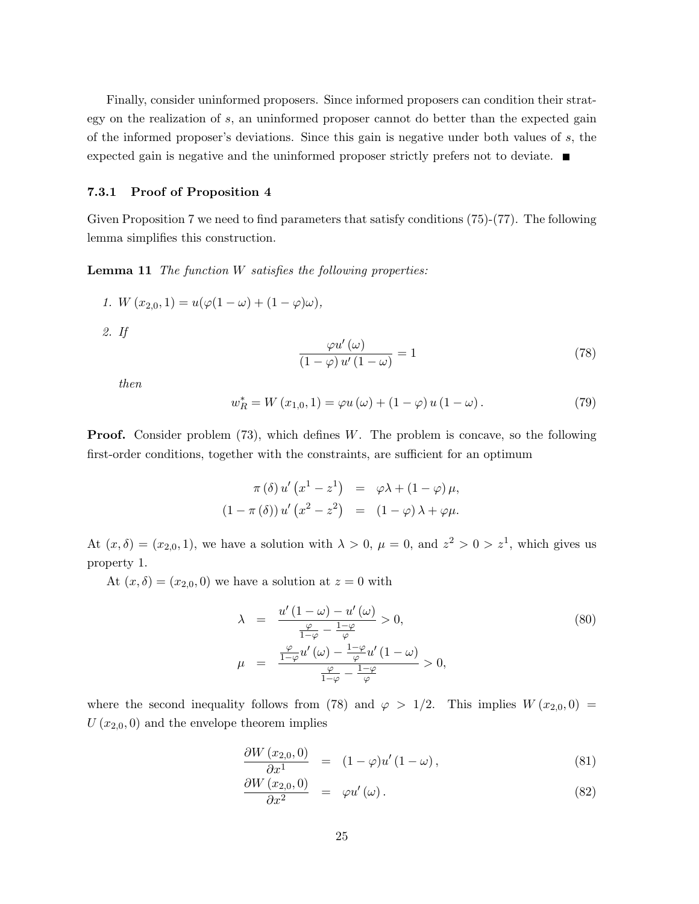Finally, consider uninformed proposers. Since informed proposers can condition their strategy on the realization of s, an uninformed proposer cannot do better than the expected gain of the informed proposer's deviations. Since this gain is negative under both values of s, the expected gain is negative and the uninformed proposer strictly prefers not to deviate.

#### 7.3.1 Proof of Proposition 4

Given Proposition 7 we need to find parameters that satisfy conditions (75)-(77). The following lemma simplifies this construction.

Lemma 11 The function W satisfies the following properties:

1.  $W(x_{2,0}, 1) = u(\varphi(1-\omega) + (1-\varphi)\omega),$ 2. If

$$
\frac{\varphi u'(\omega)}{(1-\varphi)u'(1-\omega)} = 1\tag{78}
$$

then

$$
w_R^* = W(x_{1,0}, 1) = \varphi u(\omega) + (1 - \varphi) u (1 - \omega).
$$
 (79)

**Proof.** Consider problem  $(73)$ , which defines W. The problem is concave, so the following first-order conditions, together with the constraints, are sufficient for an optimum

$$
\pi(\delta) u' (x^1 - z^1) = \varphi \lambda + (1 - \varphi) \mu,
$$
  

$$
(1 - \pi(\delta)) u' (x^2 - z^2) = (1 - \varphi) \lambda + \varphi \mu.
$$

At  $(x, \delta) = (x_{2,0}, 1)$ , we have a solution with  $\lambda > 0$ ,  $\mu = 0$ , and  $z^2 > 0 > z^1$ , which gives us property 1.

At  $(x, \delta) = (x_{2,0}, 0)$  we have a solution at  $z = 0$  with

$$
\lambda = \frac{u'(1-\omega) - u'(\omega)}{\frac{\varphi}{1-\varphi} - \frac{1-\varphi}{\varphi}} > 0,
$$
\n
$$
\mu = \frac{\frac{\varphi}{1-\varphi}u'(\omega) - \frac{1-\varphi}{\varphi}u'(1-\omega)}{\frac{\varphi}{1-\varphi} - \frac{1-\varphi}{\varphi}} > 0,
$$
\n(80)

where the second inequality follows from (78) and  $\varphi > 1/2$ . This implies  $W(x_{2,0}, 0) =$  $U(x_{2,0},0)$  and the envelope theorem implies

$$
\frac{\partial W\left(x_{2,0},0\right)}{\partial x^1} = (1-\varphi)u'\left(1-\omega\right),\tag{81}
$$

$$
\frac{\partial W(x_{2,0},0)}{\partial x^2} = \varphi u'(\omega). \tag{82}
$$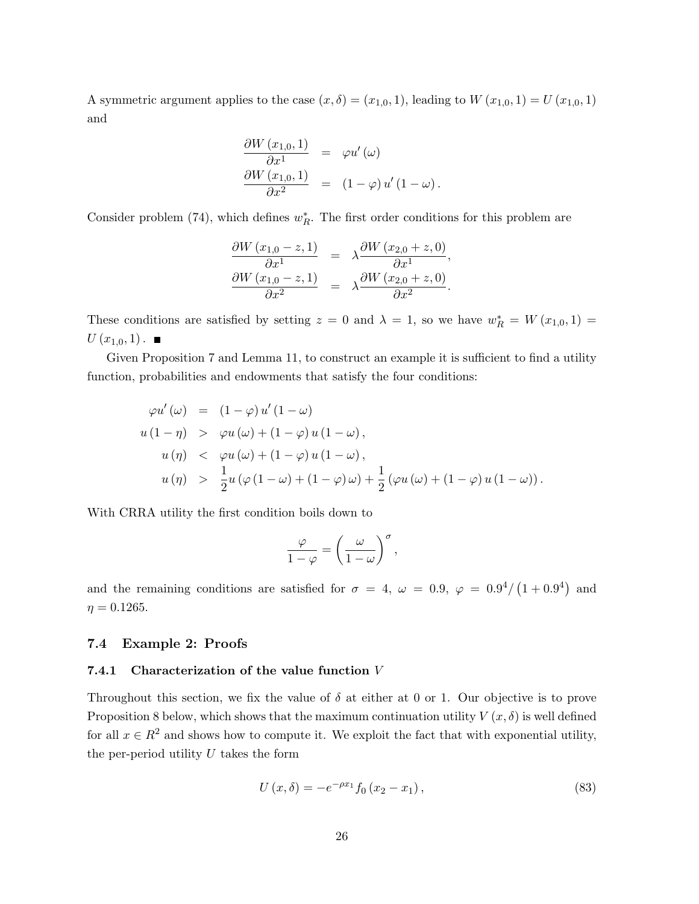A symmetric argument applies to the case  $(x, \delta) = (x_{1,0}, 1)$ , leading to  $W(x_{1,0}, 1) = U(x_{1,0}, 1)$ and

$$
\frac{\partial W(x_{1,0},1)}{\partial x^1} = \varphi u'(\omega)
$$

$$
\frac{\partial W(x_{1,0},1)}{\partial x^2} = (1-\varphi) u'(1-\omega).
$$

Consider problem (74), which defines  $w_R^*$ . The first order conditions for this problem are

$$
\frac{\partial W(x_{1,0}-z,1)}{\partial x^1} = \lambda \frac{\partial W(x_{2,0}+z,0)}{\partial x^1},
$$
  

$$
\frac{\partial W(x_{1,0}-z,1)}{\partial x^2} = \lambda \frac{\partial W(x_{2,0}+z,0)}{\partial x^2}.
$$

These conditions are satisfied by setting  $z = 0$  and  $\lambda = 1$ , so we have  $w_R^* = W(x_{1,0}, 1) =$  $U(x_{1,0}, 1)$ .

Given Proposition 7 and Lemma 11, to construct an example it is sufficient to find a utility function, probabilities and endowments that satisfy the four conditions:

$$
\varphi u'(\omega) = (1 - \varphi) u'(1 - \omega)
$$
  
\n
$$
u (1 - \eta) > \varphi u (\omega) + (1 - \varphi) u (1 - \omega),
$$
  
\n
$$
u (\eta) < \varphi u (\omega) + (1 - \varphi) u (1 - \omega),
$$
  
\n
$$
u (\eta) > \frac{1}{2} u (\varphi (1 - \omega) + (1 - \varphi) \omega) + \frac{1}{2} (\varphi u (\omega) + (1 - \varphi) u (1 - \omega)).
$$

With CRRA utility the first condition boils down to

$$
\frac{\varphi}{1-\varphi} = \left(\frac{\omega}{1-\omega}\right)^{\sigma},
$$

and the remaining conditions are satisfied for  $\sigma = 4$ ,  $\omega = 0.9$ ,  $\varphi = 0.9^{4} / (1 + 0.9^{4})$  and  $\eta = 0.1265$ .

#### 7.4 Example 2: Proofs

#### 7.4.1 Characterization of the value function V

Throughout this section, we fix the value of  $\delta$  at either at 0 or 1. Our objective is to prove Proposition 8 below, which shows that the maximum continuation utility  $V(x, \delta)$  is well defined for all  $x \in R^2$  and shows how to compute it. We exploit the fact that with exponential utility, the per-period utility  $U$  takes the form

$$
U(x,\delta) = -e^{-\rho x_1} f_0 (x_2 - x_1), \qquad (83)
$$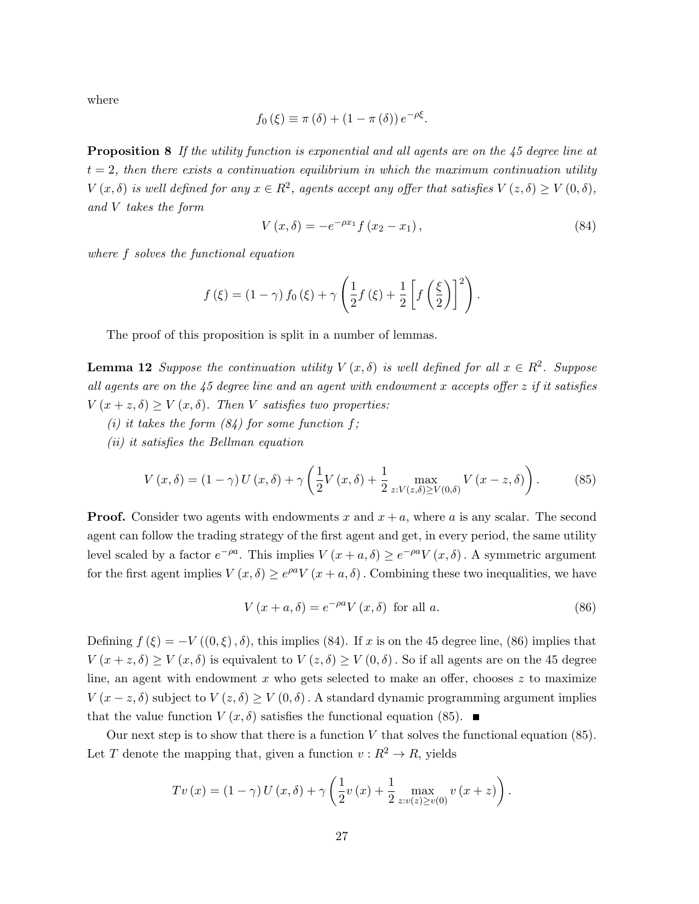where

$$
f_0(\xi) \equiv \pi(\delta) + (1 - \pi(\delta)) e^{-\rho \xi}.
$$

Proposition 8 If the utility function is exponential and all agents are on the 45 degree line at  $t = 2$ , then there exists a continuation equilibrium in which the maximum continuation utility  $V(x,\delta)$  is well defined for any  $x \in R^2$ , agents accept any offer that satisfies  $V(z,\delta) \geq V(0,\delta)$ , and V takes the form

$$
V(x,\delta) = -e^{-\rho x_1} f(x_2 - x_1), \tag{84}
$$

where f solves the functional equation

$$
f(\xi) = (1 - \gamma) f_0(\xi) + \gamma \left(\frac{1}{2} f(\xi) + \frac{1}{2} \left[ f\left(\frac{\xi}{2}\right) \right]^2 \right).
$$

The proof of this proposition is split in a number of lemmas.

**Lemma 12** Suppose the continuation utility  $V(x, \delta)$  is well defined for all  $x \in R^2$ . Suppose all agents are on the  $45$  degree line and an agent with endowment x accepts offer z if it satisfies  $V(x+z,\delta) \geq V(x,\delta)$ . Then V satisfies two properties:

- (i) it takes the form  $(84)$  for some function f;
- (ii) it satisfies the Bellman equation

$$
V(x,\delta) = (1-\gamma) U(x,\delta) + \gamma \left(\frac{1}{2}V(x,\delta) + \frac{1}{2} \max_{z:V(z,\delta) \ge V(0,\delta)} V(x-z,\delta)\right). \tag{85}
$$

**Proof.** Consider two agents with endowments x and  $x + a$ , where a is any scalar. The second agent can follow the trading strategy of the first agent and get, in every period, the same utility level scaled by a factor  $e^{-\rho a}$ . This implies  $V(x + a, \delta) \ge e^{-\rho a} V(x, \delta)$ . A symmetric argument for the first agent implies  $V(x, \delta) \geq e^{\rho a} V(x + a, \delta)$ . Combining these two inequalities, we have

$$
V(x + a, \delta) = e^{-\rho a} V(x, \delta) \text{ for all } a.
$$
 (86)

Defining  $f(\xi) = -V((0,\xi), \delta)$ , this implies (84). If x is on the 45 degree line, (86) implies that  $V(x+z,\delta) \ge V(x,\delta)$  is equivalent to  $V(z,\delta) \ge V(0,\delta)$ . So if all agents are on the 45 degree line, an agent with endowment  $x$  who gets selected to make an offer, chooses  $z$  to maximize  $V(x-z,\delta)$  subject to  $V(z,\delta) \geq V(0,\delta)$ . A standard dynamic programming argument implies that the value function  $V(x, \delta)$  satisfies the functional equation (85).

Our next step is to show that there is a function V that solves the functional equation  $(85)$ . Let T denote the mapping that, given a function  $v : R^2 \to R$ , yields

$$
Tv(x) = (1 - \gamma) U(x, \delta) + \gamma \left(\frac{1}{2}v(x) + \frac{1}{2} \max_{z: v(z) \geq v(0)} v(x + z)\right).
$$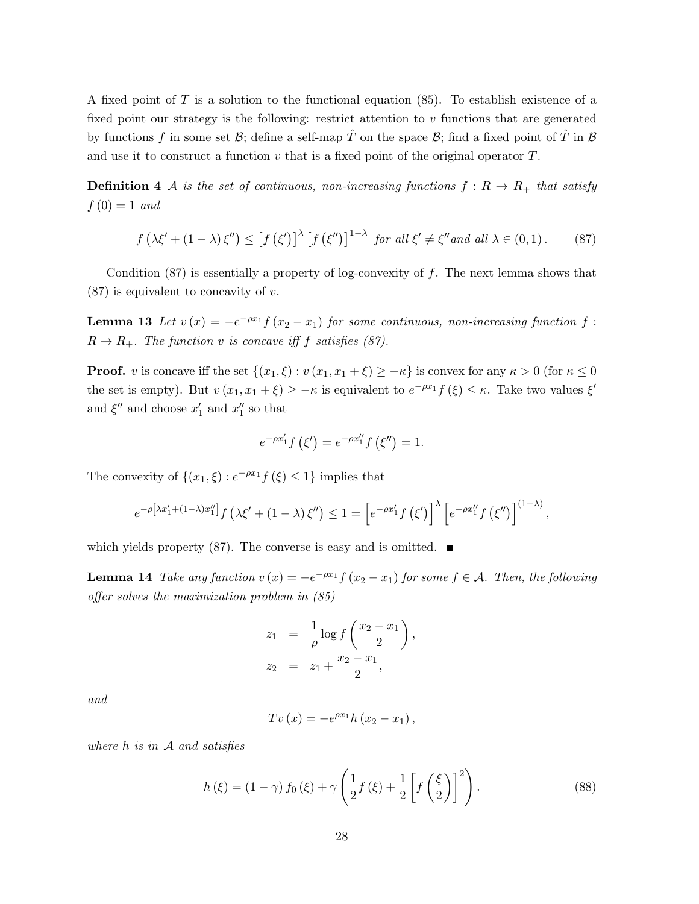A fixed point of  $T$  is a solution to the functional equation (85). To establish existence of a fixed point our strategy is the following: restrict attention to  $v$  functions that are generated by functions f in some set  $\mathcal{B}$ ; define a self-map T<sup>'</sup> on the space  $\mathcal{B}$ ; find a fixed point of T<sup>'</sup> in  $\mathcal{B}$ and use it to construct a function  $v$  that is a fixed point of the original operator  $T$ .

**Definition 4** A is the set of continuous, non-increasing functions  $f: R \to R_+$  that satisfy  $f(0) = 1$  and

$$
f\left(\lambda\xi' + (1-\lambda)\xi''\right) \le \left[f\left(\xi'\right)\right]^{\lambda} \left[f\left(\xi''\right)\right]^{1-\lambda} \text{ for all } \xi' \neq \xi'' \text{ and all } \lambda \in (0,1). \tag{87}
$$

Condition  $(87)$  is essentially a property of log-convexity of f. The next lemma shows that  $(87)$  is equivalent to concavity of v.

**Lemma 13** Let  $v(x) = -e^{-\rho x_1} f(x_2 - x_1)$  for some continuous, non-increasing function f:  $R \to R_+$ . The function v is concave iff f satisfies (87).

**Proof.** v is concave iff the set  $\{(x_1,\xi): v(x_1,x_1+\xi) \geq -\kappa\}$  is convex for any  $\kappa > 0$  (for  $\kappa \leq 0$ ) the set is empty). But  $v(x_1, x_1 + \xi) \geq -\kappa$  is equivalent to  $e^{-\rho x_1} f(\xi) \leq \kappa$ . Take two values  $\xi'$ and  $\xi''$  and choose  $x'_1$  and  $x''_1$  so that

$$
e^{-\rho x'_1} f(\xi') = e^{-\rho x''_1} f(\xi'') = 1.
$$

The convexity of  $\{(x_1,\xi):e^{-\rho x_1}f(\xi)\leq 1\}$  implies that

$$
e^{-\rho\left[\lambda x'_1 + (1-\lambda)x''_1\right]}f\left(\lambda \xi' + (1-\lambda)\xi''\right) \le 1 = \left[e^{-\rho x'_1}f\left(\xi'\right)\right]^{\lambda}\left[e^{-\rho x''_1}f\left(\xi''\right)\right]^{(1-\lambda)},
$$

which yields property (87). The converse is easy and is omitted.  $\blacksquare$ 

**Lemma 14** Take any function  $v(x) = -e^{-\rho x_1} f(x_2 - x_1)$  for some  $f \in \mathcal{A}$ . Then, the following offer solves the maximization problem in (85)

$$
z_1 = \frac{1}{\rho} \log f \left( \frac{x_2 - x_1}{2} \right),
$$
  

$$
z_2 = z_1 + \frac{x_2 - x_1}{2},
$$

and

$$
Tv(x) = -e^{\rho x_1}h(x_2 - x_1),
$$

where  $h$  is in  $A$  and satisfies

$$
h(\xi) = (1 - \gamma) f_0(\xi) + \gamma \left(\frac{1}{2} f(\xi) + \frac{1}{2} \left[ f\left(\frac{\xi}{2}\right) \right]^2 \right). \tag{88}
$$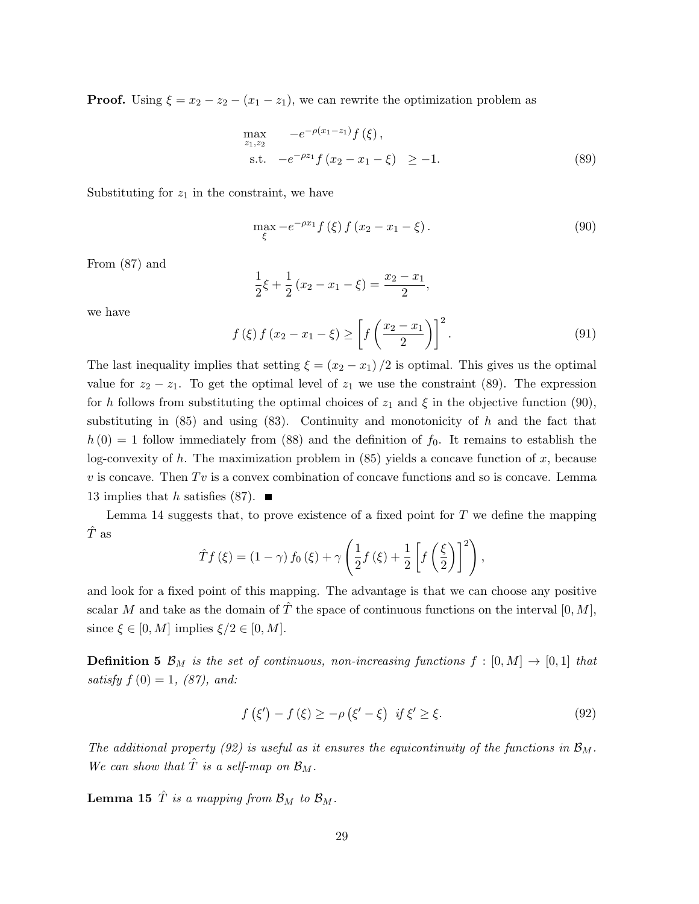**Proof.** Using  $\xi = x_2 - x_2 - (x_1 - x_1)$ , we can rewrite the optimization problem as

$$
\max_{z_1, z_2} -e^{-\rho(x_1-z_1)} f(\xi),
$$
  
s.t.  $-e^{-\rho z_1} f(x_2 - x_1 - \xi) \ge -1.$  (89)

Substituting for  $z_1$  in the constraint, we have

$$
\max_{\xi} -e^{-\rho x_1} f(\xi) f(x_2 - x_1 - \xi).
$$
 (90)

From (87) and

$$
\frac{1}{2}\xi + \frac{1}{2}(x_2 - x_1 - \xi) = \frac{x_2 - x_1}{2},
$$

we have

$$
f(\xi) f(x_2 - x_1 - \xi) \ge \left[ f\left(\frac{x_2 - x_1}{2}\right) \right]^2.
$$
\n(91)

The last inequality implies that setting  $\xi = (x_2 - x_1)/2$  is optimal. This gives us the optimal value for  $z_2 - z_1$ . To get the optimal level of  $z_1$  we use the constraint (89). The expression for h follows from substituting the optimal choices of  $z_1$  and  $\xi$  in the objective function (90), substituting in  $(85)$  and using  $(83)$ . Continuity and monotonicity of h and the fact that  $h(0) = 1$  follow immediately from (88) and the definition of  $f_0$ . It remains to establish the log-convexity of h. The maximization problem in  $(85)$  yields a concave function of x, because  $v$  is concave. Then  $Tv$  is a convex combination of concave functions and so is concave. Lemma 13 implies that h satisfies (87).  $\blacksquare$ 

Lemma 14 suggests that, to prove existence of a fixed point for  $T$  we define the mapping  $\hat{T}$  as

$$
\hat{T}f(\xi) = (1 - \gamma) f_0(\xi) + \gamma \left(\frac{1}{2}f(\xi) + \frac{1}{2}\left[f\left(\frac{\xi}{2}\right)\right]^2\right),
$$

and look for a fixed point of this mapping. The advantage is that we can choose any positive scalar M and take as the domain of  $\hat{T}$  the space of continuous functions on the interval [0, M], since  $\xi \in [0, M]$  implies  $\xi/2 \in [0, M]$ .

**Definition 5**  $\mathcal{B}_M$  is the set of continuous, non-increasing functions  $f : [0, M] \rightarrow [0, 1]$  that satisfy  $f(0) = 1, (87)$ , and:

$$
f(\xi') - f(\xi) \ge -\rho(\xi' - \xi) \quad \text{if } \xi' \ge \xi. \tag{92}
$$

The additional property (92) is useful as it ensures the equicontinuity of the functions in  $\mathcal{B}_M$ . We can show that  $\hat{T}$  is a self-map on  $\mathcal{B}_M$ .

**Lemma 15**  $\hat{T}$  is a mapping from  $\mathcal{B}_M$  to  $\mathcal{B}_M$ .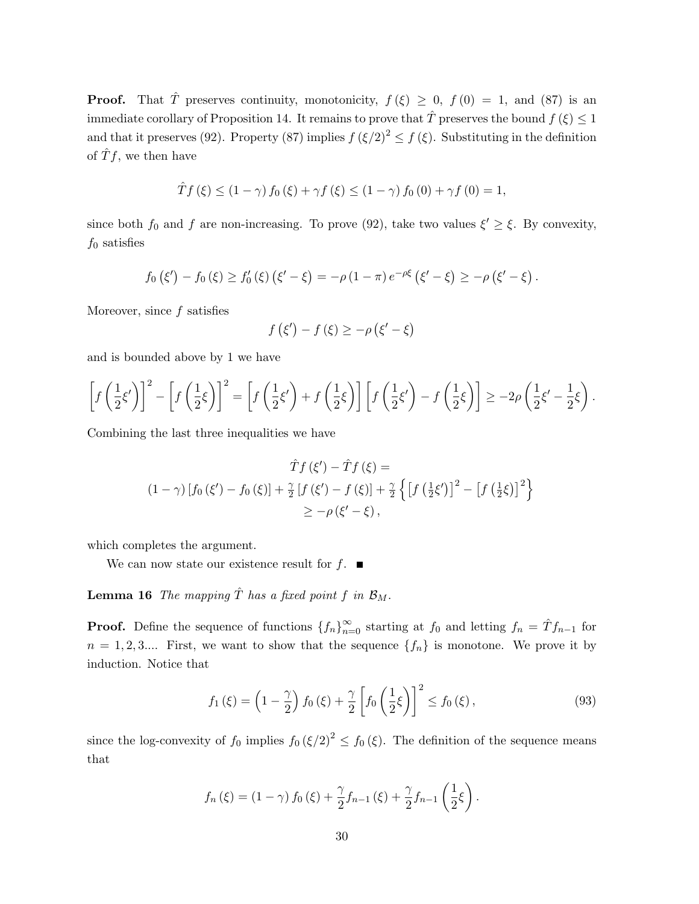**Proof.** That  $\hat{T}$  preserves continuity, monotonicity,  $f(\xi) \geq 0$ ,  $f(0) = 1$ , and (87) is an immediate corollary of Proposition 14. It remains to prove that  $\hat{T}$  preserves the bound  $f(\xi) \leq 1$ and that it preserves (92). Property (87) implies  $f(\xi/2)^2 \le f(\xi)$ . Substituting in the definition of  $\hat{T}f$ , we then have

$$
\hat{T}f(\xi) \le (1 - \gamma) f_0(\xi) + \gamma f(\xi) \le (1 - \gamma) f_0(0) + \gamma f(0) = 1,
$$

since both  $f_0$  and f are non-increasing. To prove (92), take two values  $\xi' \geq \xi$ . By convexity,  $f_0$  satisfies

$$
f_0(\xi') - f_0(\xi) \ge f'_0(\xi) (\xi' - \xi) = -\rho (1 - \pi) e^{-\rho \xi} (\xi' - \xi) \ge -\rho (\xi' - \xi).
$$

Moreover, since  $f$  satisfies

$$
f(\xi') - f(\xi) \ge -\rho(\xi' - \xi)
$$

and is bounded above by 1 we have

$$
\left[f\left(\frac{1}{2}\xi'\right)\right]^2 - \left[f\left(\frac{1}{2}\xi\right)\right]^2 = \left[f\left(\frac{1}{2}\xi'\right) + f\left(\frac{1}{2}\xi\right)\right] \left[f\left(\frac{1}{2}\xi'\right) - f\left(\frac{1}{2}\xi\right)\right] \ge -2\rho \left(\frac{1}{2}\xi' - \frac{1}{2}\xi\right).
$$

Combining the last three inequalities we have

$$
\hat{T}f(\xi') - \hat{T}f(\xi) =
$$
\n
$$
(1 - \gamma) [f_0(\xi') - f_0(\xi)] + \frac{\gamma}{2} [f(\xi') - f(\xi)] + \frac{\gamma}{2} \left\{ [f(\frac{1}{2}\xi')]^2 - [f(\frac{1}{2}\xi)]^2 \right\}
$$
\n
$$
\geq -\rho(\xi' - \xi),
$$

which completes the argument.

We can now state our existence result for  $f$ .

**Lemma 16** The mapping  $\hat{T}$  has a fixed point f in  $\mathcal{B}_M$ .

**Proof.** Define the sequence of functions  $\{f_n\}_{n=0}^{\infty}$  starting at  $f_0$  and letting  $f_n = \hat{T}f_{n-1}$  for  $n = 1, 2, 3...$  First, we want to show that the sequence  $\{f_n\}$  is monotone. We prove it by induction. Notice that

$$
f_1(\xi) = \left(1 - \frac{\gamma}{2}\right) f_0(\xi) + \frac{\gamma}{2} \left[ f_0\left(\frac{1}{2}\xi\right) \right]^2 \le f_0(\xi), \tag{93}
$$

since the log-convexity of  $f_0$  implies  $f_0 (\xi/2)^2 \le f_0 (\xi)$ . The definition of the sequence means that

$$
f_n(\xi) = (1 - \gamma) f_0(\xi) + \frac{\gamma}{2} f_{n-1}(\xi) + \frac{\gamma}{2} f_{n-1}(\frac{1}{2}\xi).
$$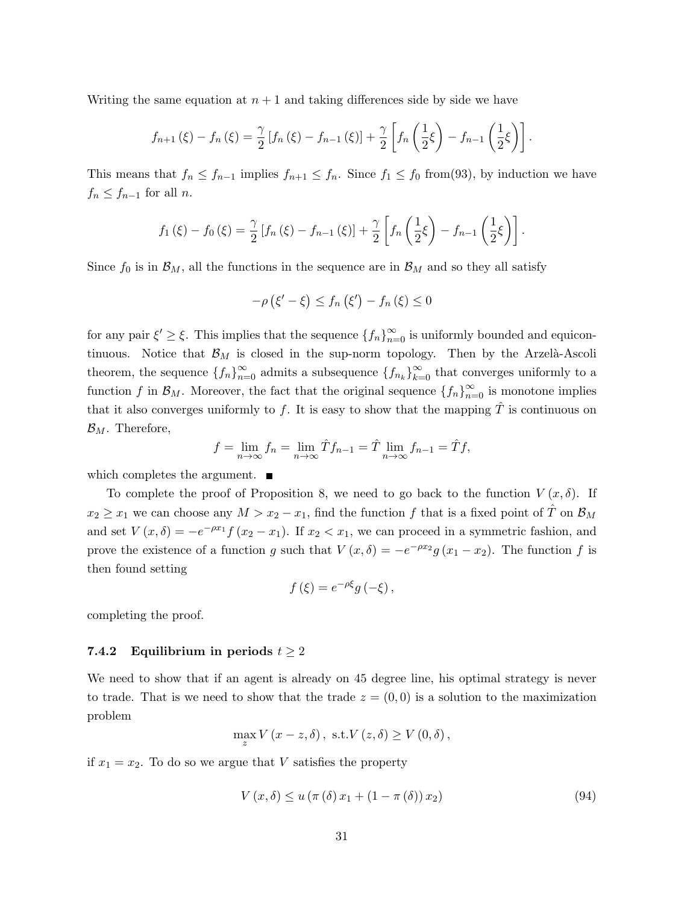Writing the same equation at  $n + 1$  and taking differences side by side we have

$$
f_{n+1}(\xi) - f_n(\xi) = \frac{\gamma}{2} \left[ f_n(\xi) - f_{n-1}(\xi) \right] + \frac{\gamma}{2} \left[ f_n\left(\frac{1}{2}\xi\right) - f_{n-1}\left(\frac{1}{2}\xi\right) \right].
$$

This means that  $f_n \n\t\leq f_{n-1}$  implies  $f_{n+1} \leq f_n$ . Since  $f_1 \leq f_0$  from (93), by induction we have  $f_n \leq f_{n-1}$  for all n.

$$
f_1(\xi) - f_0(\xi) = \frac{\gamma}{2} \left[ f_n(\xi) - f_{n-1}(\xi) \right] + \frac{\gamma}{2} \left[ f_n\left(\frac{1}{2}\xi\right) - f_{n-1}\left(\frac{1}{2}\xi\right) \right].
$$

Since  $f_0$  is in  $\mathcal{B}_M$ , all the functions in the sequence are in  $\mathcal{B}_M$  and so they all satisfy

$$
-\rho\left(\xi'-\xi\right) \le f_n\left(\xi'\right) - f_n\left(\xi\right) \le 0
$$

for any pair  $\xi' \geq \xi$ . This implies that the sequence  $\{f_n\}_{n=0}^{\infty}$  is uniformly bounded and equicontinuous. Notice that  $\mathcal{B}_M$  is closed in the sup-norm topology. Then by the Arzelà-Ascoli theorem, the sequence  ${f_n}_{n=0}^{\infty}$  admits a subsequence  ${f_{n_k}}_{k=0}^{\infty}$  that converges uniformly to a function f in  $\mathcal{B}_M$ . Moreover, the fact that the original sequence  $\{f_n\}_{n=0}^{\infty}$  is monotone implies that it also converges uniformly to f. It is easy to show that the mapping  $\hat{T}$  is continuous on  $\mathcal{B}_M$ . Therefore,

$$
f = \lim_{n \to \infty} f_n = \lim_{n \to \infty} \hat{T} f_{n-1} = \hat{T} \lim_{n \to \infty} f_{n-1} = \hat{T} f,
$$

which completes the argument.  $\blacksquare$ 

To complete the proof of Proposition 8, we need to go back to the function  $V(x,\delta)$ . If  $x_2 \geq x_1$  we can choose any  $M > x_2 - x_1$ , find the function f that is a fixed point of  $\hat{T}$  on  $\mathcal{B}_M$ and set  $V(x, \delta) = -e^{-\rho x_1} f(x_2 - x_1)$ . If  $x_2 < x_1$ , we can proceed in a symmetric fashion, and prove the existence of a function g such that  $V(x, \delta) = -e^{-\rho x_2} g(x_1 - x_2)$ . The function f is then found setting

$$
f(\xi) = e^{-\rho \xi} g(-\xi),
$$

completing the proof.

#### 7.4.2 Equilibrium in periods  $t \geq 2$

We need to show that if an agent is already on 45 degree line, his optimal strategy is never to trade. That is we need to show that the trade  $z = (0, 0)$  is a solution to the maximization problem

$$
\max_{z} V(x-z,\delta), \text{ s.t.} V(z,\delta) \geq V(0,\delta),
$$

if  $x_1 = x_2$ . To do so we argue that V satisfies the property

$$
V(x,\delta) \le u\left(\pi(\delta)x_1 + (1-\pi(\delta))x_2\right) \tag{94}
$$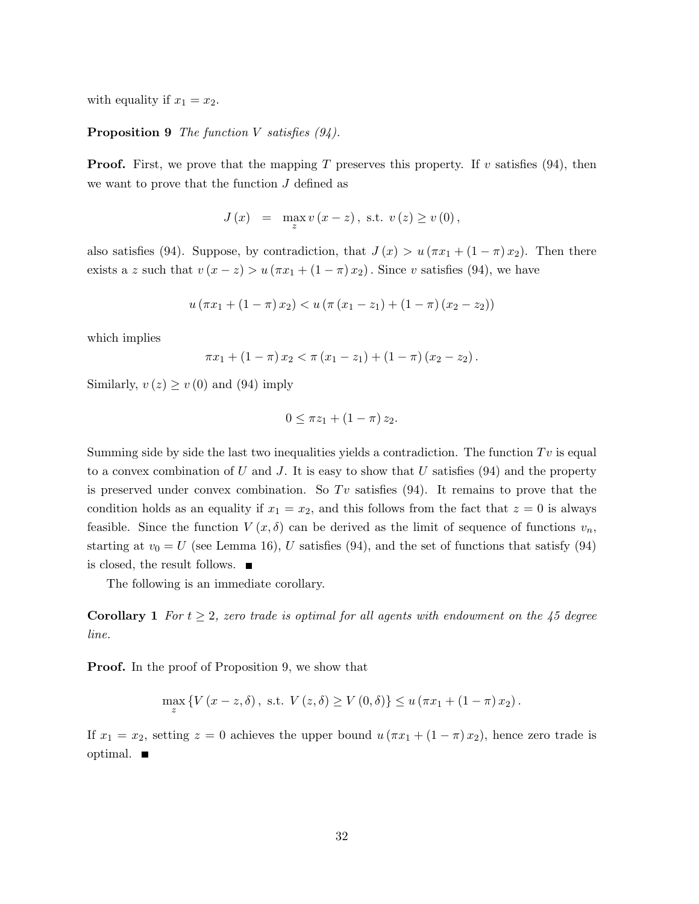with equality if  $x_1 = x_2$ .

#### **Proposition 9** The function V satisfies  $(94)$ .

**Proof.** First, we prove that the mapping T preserves this property. If v satisfies  $(94)$ , then we want to prove that the function J defined as

$$
J(x) = \max_{z} v(x - z), \text{ s.t. } v(z) \ge v(0),
$$

also satisfies (94). Suppose, by contradiction, that  $J(x) > u(\pi x_1 + (1 - \pi)x_2)$ . Then there exists a z such that  $v(x - z) > u(\pi x_1 + (1 - \pi) x_2)$ . Since v satisfies (94), we have

$$
u(\pi x_1 + (1 - \pi) x_2) < u(\pi (x_1 - z_1) + (1 - \pi) (x_2 - z_2))
$$

which implies

$$
\pi x_1 + (1 - \pi) x_2 < \pi (x_1 - z_1) + (1 - \pi) (x_2 - z_2).
$$

Similarly,  $v(z) \ge v(0)$  and (94) imply

$$
0\leq \pi z_1+(1-\pi) z_2.
$$

Summing side by side the last two inequalities yields a contradiction. The function  $Tv$  is equal to a convex combination of U and J. It is easy to show that U satisfies  $(94)$  and the property is preserved under convex combination. So  $Tv$  satisfies (94). It remains to prove that the condition holds as an equality if  $x_1 = x_2$ , and this follows from the fact that  $z = 0$  is always feasible. Since the function  $V(x, \delta)$  can be derived as the limit of sequence of functions  $v_n$ , starting at  $v_0 = U$  (see Lemma 16), U satisfies (94), and the set of functions that satisfy (94) is closed, the result follows.  $\blacksquare$ 

The following is an immediate corollary.

**Corollary 1** For  $t \geq 2$ , zero trade is optimal for all agents with endowment on the 45 degree line.

Proof. In the proof of Proposition 9, we show that

 $\max_{z} \{ V(x-z,\delta), \text{ s.t. } V(z,\delta) \geq V(0,\delta) \} \leq u(\pi x_1 + (1-\pi)x_2).$ 

If  $x_1 = x_2$ , setting  $z = 0$  achieves the upper bound  $u(\pi x_1 + (1 - \pi)x_2)$ , hence zero trade is optimal.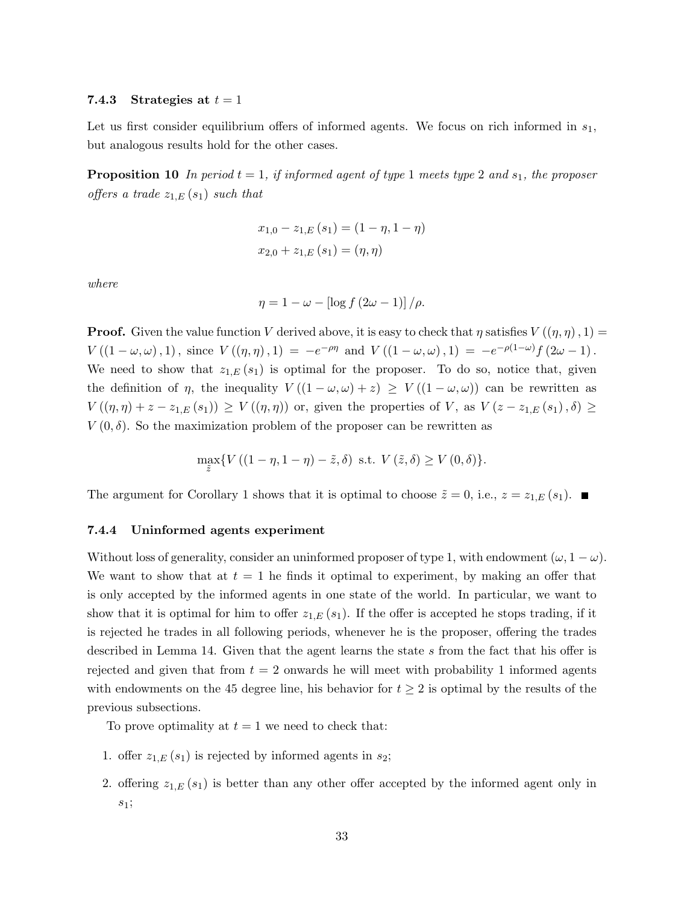#### 7.4.3 Strategies at  $t = 1$

Let us first consider equilibrium offers of informed agents. We focus on rich informed in  $s_1$ , but analogous results hold for the other cases.

**Proposition 10** In period  $t = 1$ , if informed agent of type 1 meets type 2 and  $s<sub>1</sub>$ , the proposer offers a trade  $z_{1,E}(s_1)$  such that

$$
x_{1,0} - z_{1,E}(s_1) = (1 - \eta, 1 - \eta)
$$

$$
x_{2,0} + z_{1,E}(s_1) = (\eta, \eta)
$$

where

$$
\eta = 1 - \omega - \left[ \log f \left( 2\omega - 1 \right) \right] / \rho.
$$

**Proof.** Given the value function V derived above, it is easy to check that  $\eta$  satisfies  $V((\eta, \eta), 1) =$  $V((1 - \omega, \omega), 1)$ , since  $V((\eta, \eta), 1) = -e^{-\rho\eta}$  and  $V((1 - \omega, \omega), 1) = -e^{-\rho(1 - \omega)}f(2\omega - 1)$ . We need to show that  $z_{1,E}(s_1)$  is optimal for the proposer. To do so, notice that, given the definition of  $\eta$ , the inequality  $V((1 - \omega, \omega) + z) \ge V((1 - \omega, \omega))$  can be rewritten as  $V((\eta,\eta)+z-z_{1,E}(s_1))\geq V((\eta,\eta))$  or, given the properties of V, as  $V(z-z_{1,E}(s_1),\delta)\geq$  $V(0,\delta)$ . So the maximization problem of the proposer can be rewritten as

$$
\max_{\tilde{z}} \{ V\left( (1 - \eta, 1 - \eta) - \tilde{z}, \delta \right) \text{ s.t. } V\left(\tilde{z}, \delta\right) \ge V\left(0, \delta\right) \}.
$$

The argument for Corollary 1 shows that it is optimal to choose  $\tilde{z} = 0$ , i.e.,  $z = z_{1,E}(s_1)$ .

#### 7.4.4 Uninformed agents experiment

Without loss of generality, consider an uninformed proposer of type 1, with endowment  $(\omega, 1 - \omega)$ . We want to show that at  $t = 1$  he finds it optimal to experiment, by making an offer that is only accepted by the informed agents in one state of the world. In particular, we want to show that it is optimal for him to offer  $z_{1,E}(s_1)$ . If the offer is accepted he stops trading, if it is rejected he trades in all following periods, whenever he is the proposer, offering the trades described in Lemma 14. Given that the agent learns the state s from the fact that his offer is rejected and given that from  $t = 2$  onwards he will meet with probability 1 informed agents with endowments on the 45 degree line, his behavior for  $t \geq 2$  is optimal by the results of the previous subsections.

To prove optimality at  $t = 1$  we need to check that:

- 1. offer  $z_{1,E}(s_1)$  is rejected by informed agents in  $s_2$ ;
- 2. offering  $z_{1,E}(s_1)$  is better than any other offer accepted by the informed agent only in s1;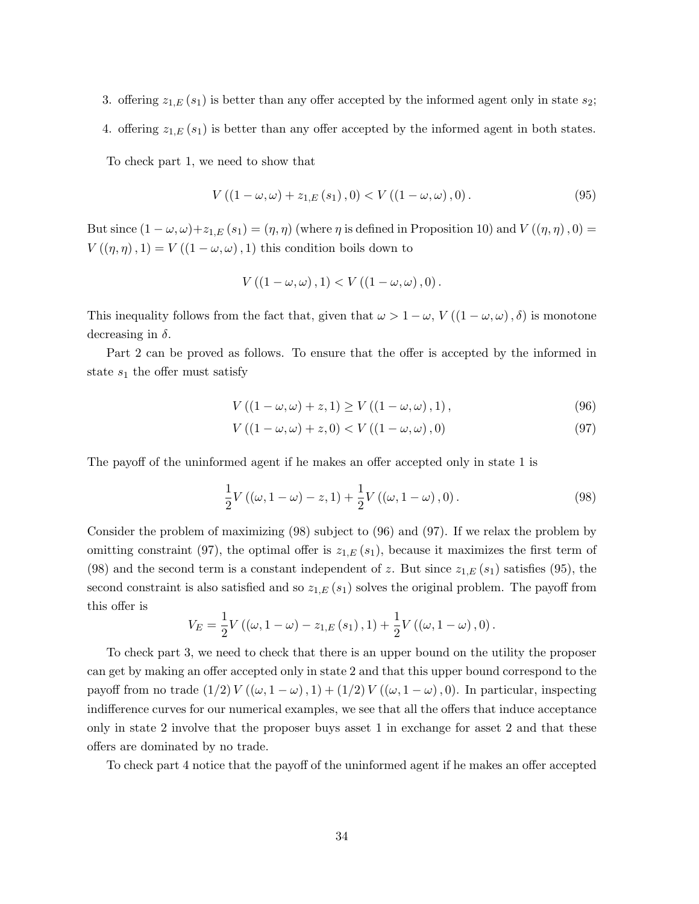3. offering  $z_{1,E}(s_1)$  is better than any offer accepted by the informed agent only in state  $s_2$ ;

4. offering  $z_{1,E}(s_1)$  is better than any offer accepted by the informed agent in both states.

To check part 1, we need to show that

$$
V((1 - \omega, \omega) + z_{1,E}(s_1), 0) < V((1 - \omega, \omega), 0). \tag{95}
$$

But since  $(1 - \omega, \omega) + z_{1,E}(s_1) = (\eta, \eta)$  (where  $\eta$  is defined in Proposition 10) and  $V((\eta, \eta), 0) =$  $V((\eta, \eta), 1) = V((1 - \omega, \omega), 1)$  this condition boils down to

$$
V((1 - \omega, \omega), 1) < V((1 - \omega, \omega), 0).
$$

This inequality follows from the fact that, given that  $\omega > 1 - \omega$ ,  $V((1 - \omega, \omega), \delta)$  is monotone decreasing in  $\delta$ .

Part 2 can be proved as follows. To ensure that the offer is accepted by the informed in state  $s_1$  the offer must satisfy

$$
V((1 - \omega, \omega) + z, 1) \ge V((1 - \omega, \omega), 1), \qquad (96)
$$

$$
V((1 - \omega, \omega) + z, 0) < V((1 - \omega, \omega), 0) \tag{97}
$$

The payoff of the uninformed agent if he makes an offer accepted only in state 1 is

$$
\frac{1}{2}V\left((\omega, 1-\omega)-z, 1\right) + \frac{1}{2}V\left((\omega, 1-\omega), 0\right). \tag{98}
$$

Consider the problem of maximizing (98) subject to (96) and (97). If we relax the problem by omitting constraint (97), the optimal offer is  $z_{1,E}(s_1)$ , because it maximizes the first term of (98) and the second term is a constant independent of z. But since  $z_{1,E}(s_1)$  satisfies (95), the second constraint is also satisfied and so  $z_{1,E}(s_1)$  solves the original problem. The payoff from this offer is

$$
V_E = \frac{1}{2} V ((\omega, 1 - \omega) - z_{1,E}(s_1), 1) + \frac{1}{2} V ((\omega, 1 - \omega), 0).
$$

To check part 3, we need to check that there is an upper bound on the utility the proposer can get by making an offer accepted only in state 2 and that this upper bound correspond to the payoff from no trade  $(1/2) V ((\omega, 1 - \omega), 1) + (1/2) V ((\omega, 1 - \omega), 0)$ . In particular, inspecting indifference curves for our numerical examples, we see that all the offers that induce acceptance only in state 2 involve that the proposer buys asset 1 in exchange for asset 2 and that these offers are dominated by no trade.

To check part 4 notice that the payoff of the uninformed agent if he makes an offer accepted